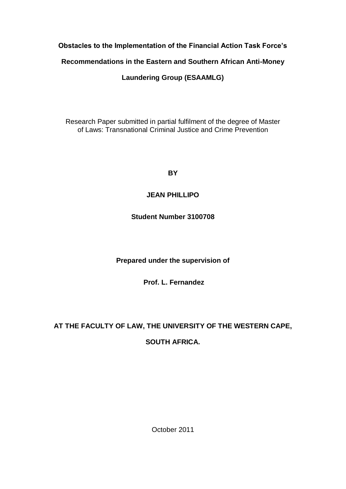## **Obstacles to the Implementation of the Financial Action Task Force's**

## **Recommendations in the Eastern and Southern African Anti-Money**

## **Laundering Group (ESAAMLG)**

Research Paper submitted in partial fulfilment of the degree of Master of Laws: Transnational Criminal Justice and Crime Prevention

**BY**

## **JEAN PHILLIPO**

## **Student Number 3100708**

**Prepared under the supervision of**

**Prof. L. Fernandez**

# **AT THE FACULTY OF LAW, THE UNIVERSITY OF THE WESTERN CAPE,**

## **SOUTH AFRICA.**

October 2011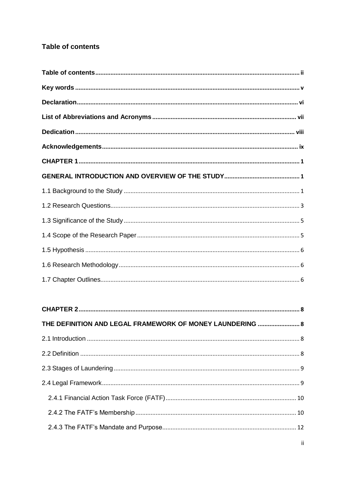## <span id="page-1-0"></span>**Table of contents**

| THE DEFINITION AND LEGAL FRAMEWORK OF MONEY LAUNDERING  8 |  |
|-----------------------------------------------------------|--|
|                                                           |  |
|                                                           |  |
|                                                           |  |
|                                                           |  |
|                                                           |  |
|                                                           |  |
|                                                           |  |
|                                                           |  |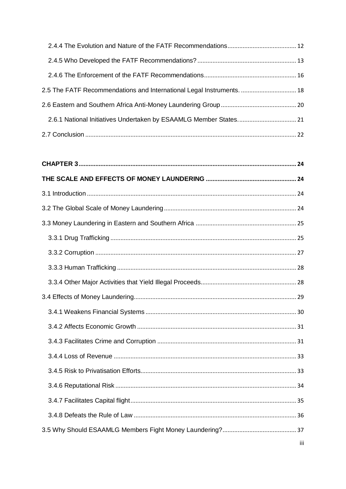| 2.5 The FATF Recommendations and International Legal Instruments.  18 |  |
|-----------------------------------------------------------------------|--|
|                                                                       |  |
|                                                                       |  |
|                                                                       |  |

|  | iii |  |
|--|-----|--|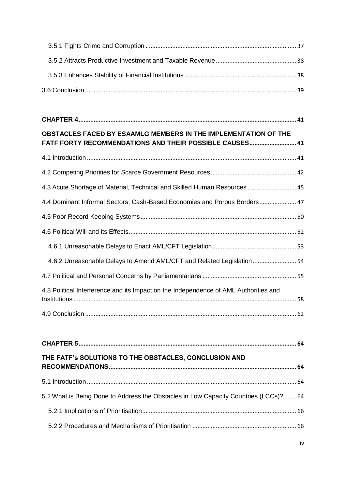| OBSTACLES FACED BY ESAAMLG MEMBERS IN THE IMPLEMENTATION OF THE<br>FATF FORTY RECOMMENDATIONS AND THEIR POSSIBLE CAUSES 41 |  |
|----------------------------------------------------------------------------------------------------------------------------|--|
|                                                                                                                            |  |
|                                                                                                                            |  |
| 4.3 Acute Shortage of Material, Technical and Skilled Human Resources 45                                                   |  |
| 4.4 Dominant Informal Sectors, Cash-Based Economies and Porous Borders 47                                                  |  |
|                                                                                                                            |  |
|                                                                                                                            |  |
|                                                                                                                            |  |
| 4.6.2 Unreasonable Delays to Amend AML/CFT and Related Legislation  54                                                     |  |
|                                                                                                                            |  |
| 4.8 Political Interference and its Impact on the Independence of AML Authorities and                                       |  |
|                                                                                                                            |  |

| THE FATF'S SOLUTIONS TO THE OBSTACLES, CONCLUSION AND                                 |  |
|---------------------------------------------------------------------------------------|--|
|                                                                                       |  |
| 5.2 What is Being Done to Address the Obstacles in Low Capacity Countries (LCCs)?  64 |  |
|                                                                                       |  |
|                                                                                       |  |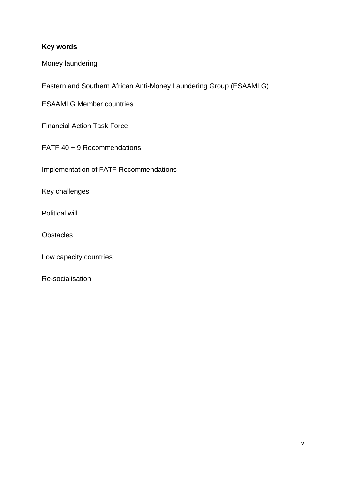## <span id="page-5-0"></span>**Key words**

Money laundering

Eastern and Southern African Anti-Money Laundering Group (ESAAMLG)

ESAAMLG Member countries

Financial Action Task Force

FATF 40 + 9 Recommendations

Implementation of FATF Recommendations

Key challenges

Political will

**Obstacles** 

Low capacity countries

Re-socialisation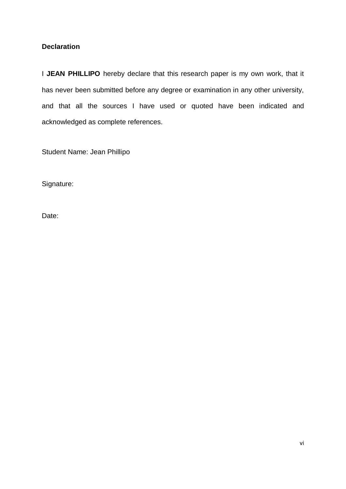## <span id="page-6-0"></span>**Declaration**

I JEAN PHILLIPO hereby declare that this research paper is my own work, that it has never been submitted before any degree or examination in any other university, and that all the sources I have used or quoted have been indicated and acknowledged as complete references.

Student Name: Jean Phillipo

Signature:

Date: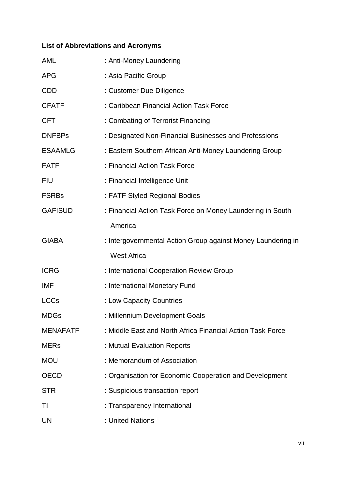# <span id="page-7-0"></span>**List of Abbreviations and Acronyms**

| <b>AML</b>      | : Anti-Money Laundering                                      |
|-----------------|--------------------------------------------------------------|
| <b>APG</b>      | : Asia Pacific Group                                         |
| CDD             | : Customer Due Diligence                                     |
| <b>CFATF</b>    | : Caribbean Financial Action Task Force                      |
| <b>CFT</b>      | : Combating of Terrorist Financing                           |
| <b>DNFBPs</b>   | : Designated Non-Financial Businesses and Professions        |
| <b>ESAAMLG</b>  | : Eastern Southern African Anti-Money Laundering Group       |
| <b>FATF</b>     | : Financial Action Task Force                                |
| <b>FIU</b>      | : Financial Intelligence Unit                                |
| <b>FSRBs</b>    | : FATF Styled Regional Bodies                                |
| <b>GAFISUD</b>  | : Financial Action Task Force on Money Laundering in South   |
|                 | America                                                      |
| <b>GIABA</b>    | : Intergovernmental Action Group against Money Laundering in |
|                 | <b>West Africa</b>                                           |
| <b>ICRG</b>     | : International Cooperation Review Group                     |
| <b>IMF</b>      | : International Monetary Fund                                |
| <b>LCCs</b>     | : Low Capacity Countries                                     |
| <b>MDGs</b>     | : Millennium Development Goals                               |
| <b>MENAFATF</b> | : Middle East and North Africa Financial Action Task Force   |
| <b>MERs</b>     | : Mutual Evaluation Reports                                  |
| <b>MOU</b>      | : Memorandum of Association                                  |
| <b>OECD</b>     | : Organisation for Economic Cooperation and Development      |
| <b>STR</b>      | : Suspicious transaction report                              |
| TI              | : Transparency International                                 |
| UN              | : United Nations                                             |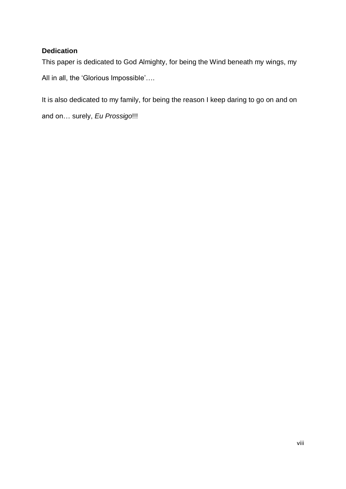## <span id="page-8-0"></span>**Dedication**

This paper is dedicated to God Almighty, for being the Wind beneath my wings, my All in all, the 'Glorious Impossible'....

It is also dedicated to my family, for being the reason I keep daring to go on and on

and on… surely, *Eu Prossigo*!!!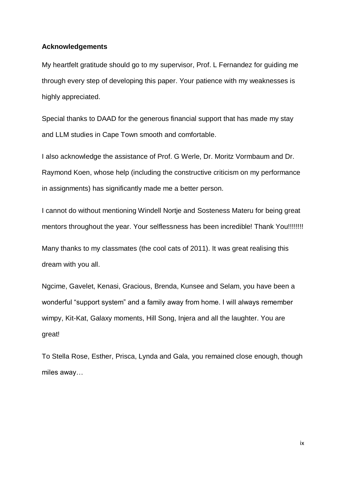#### <span id="page-9-0"></span>**Acknowledgements**

My heartfelt gratitude should go to my supervisor, Prof. L Fernandez for guiding me through every step of developing this paper. Your patience with my weaknesses is highly appreciated.

Special thanks to DAAD for the generous financial support that has made my stay and LLM studies in Cape Town smooth and comfortable.

I also acknowledge the assistance of Prof. G Werle, Dr. Moritz Vormbaum and Dr. Raymond Koen, whose help (including the constructive criticism on my performance in assignments) has significantly made me a better person.

I cannot do without mentioning Windell Nortje and Sosteness Materu for being great mentors throughout the year. Your selflessness has been incredible! Thank You!!!!!!!!!

Many thanks to my classmates (the cool cats of 2011). It was great realising this dream with you all.

Ngcime, Gavelet, Kenasi, Gracious, Brenda, Kunsee and Selam, you have been a wonderful "support system" and a family away from home. I will always remember wimpy, Kit-Kat, Galaxy moments, Hill Song, Injera and all the laughter. You are great!

To Stella Rose, Esther, Prisca, Lynda and Gala, you remained close enough, though miles away…

ix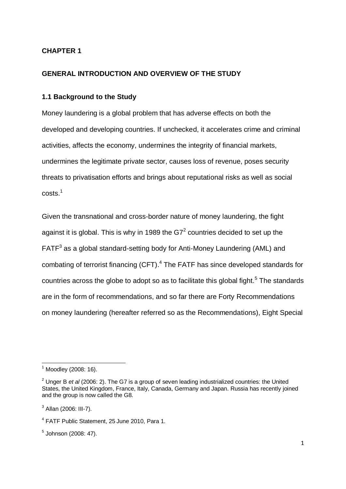## <span id="page-10-0"></span>**CHAPTER 1**

### <span id="page-10-1"></span>**GENERAL INTRODUCTION AND OVERVIEW OF THE STUDY**

#### <span id="page-10-2"></span>**1.1 Background to the Study**

Money laundering is a global problem that has adverse effects on both the developed and developing countries. If unchecked, it accelerates crime and criminal activities, affects the economy, undermines the integrity of financial markets, undermines the legitimate private sector, causes loss of revenue, poses security threats to privatisation efforts and brings about reputational risks as well as social  $costs.<sup>1</sup>$ 

Given the transnational and cross-border nature of money laundering, the fight against it is global. This is why in 1989 the G7<sup>2</sup> countries decided to set up the  $FATF<sup>3</sup>$  as a global standard-setting body for Anti-Money Laundering (AML) and combating of terrorist financing (CFT). 4 The FATF has since developed standards for countries across the globe to adopt so as to facilitate this global fight.<sup>5</sup> The standards are in the form of recommendations, and so far there are Forty Recommendations on money laundering (hereafter referred so as the Recommendations), Eight Special

 $\overline{\phantom{a}}$  $1$  Moodley (2008: 16).

<sup>&</sup>lt;sup>2</sup> Unger B et al (2006: 2). The G7 is a group of seven leading industrialized countries: the United States, the United Kingdom, France, Italy, Canada, Germany and Japan. Russia has recently joined and the group is now called the G8.

 $3$  Allan (2006: III-7).

<sup>4</sup> FATF Public Statement, 25 June 2010, Para 1.

<sup>5</sup> Johnson (2008: 47).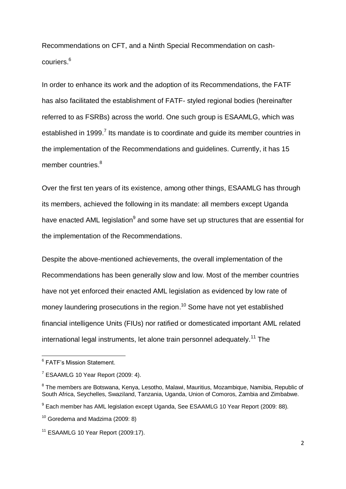Recommendations on CFT, and a Ninth Special Recommendation on cashcouriers. 6

In order to enhance its work and the adoption of its Recommendations, the FATF has also facilitated the establishment of FATF- styled regional bodies (hereinafter referred to as FSRBs) across the world. One such group is ESAAMLG, which was established in 1999.<sup>7</sup> Its mandate is to coordinate and guide its member countries in the implementation of the Recommendations and guidelines. Currently, it has 15 member countries.<sup>8</sup>

Over the first ten years of its existence, among other things, ESAAMLG has through its members, achieved the following in its mandate: all members except Uganda have enacted AML legislation<sup>9</sup> and some have set up structures that are essential for the implementation of the Recommendations.

Despite the above-mentioned achievements, the overall implementation of the Recommendations has been generally slow and low. Most of the member countries have not yet enforced their enacted AML legislation as evidenced by low rate of money laundering prosecutions in the region.<sup>10</sup> Some have not yet established financial intelligence Units (FIUs) nor ratified or domesticated important AML related international legal instruments, let alone train personnel adequately.<sup>11</sup> The

<sup>-&</sup>lt;br><sup>6</sup> FATF's Mission Statement.

 $7$  ESAAMLG 10 Year Report (2009: 4).

<sup>&</sup>lt;sup>8</sup> The members are Botswana, Kenya, Lesotho, Malawi, Mauritius, Mozambique, Namibia, Republic of South Africa, Seychelles, Swaziland, Tanzania, Uganda, Union of Comoros, Zambia and Zimbabwe.

<sup>&</sup>lt;sup>9</sup> Each member has AML legislation except Uganda, See ESAAMLG 10 Year Report (2009: 88).

 $10$  Goredema and Madzima (2009: 8)

 $11$  ESAAMLG 10 Year Report (2009:17).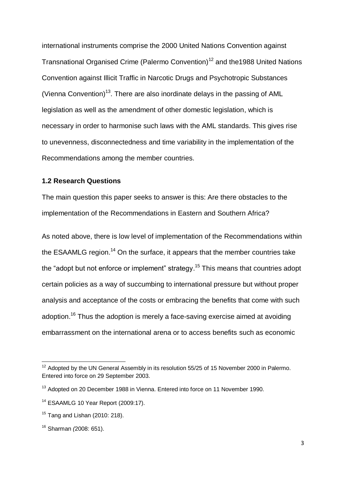international instruments comprise the 2000 United Nations Convention against Transnational Organised Crime (Palermo Convention)<sup>12</sup> and the1988 United Nations Convention against Illicit Traffic in Narcotic Drugs and Psychotropic Substances (Vienna Convention)<sup>13</sup>. There are also inordinate delays in the passing of AML legislation as well as the amendment of other domestic legislation, which is necessary in order to harmonise such laws with the AML standards. This gives rise to unevenness, disconnectedness and time variability in the implementation of the Recommendations among the member countries.

#### <span id="page-12-0"></span>**1.2 Research Questions**

The main question this paper seeks to answer is this: Are there obstacles to the implementation of the Recommendations in Eastern and Southern Africa?

As noted above, there is low level of implementation of the Recommendations within the ESAAMLG region.<sup>14</sup> On the surface, it appears that the member countries take the "adopt but not enforce or implement" strategy.<sup>15</sup> This means that countries adopt certain policies as a way of succumbing to international pressure but without proper analysis and acceptance of the costs or embracing the benefits that come with such adoption.<sup>16</sup> Thus the adoption is merely a face-saving exercise aimed at avoiding embarrassment on the international arena or to access benefits such as economic

<sup>1</sup>  $12$  Adopted by the UN General Assembly in its resolution 55/25 of 15 November 2000 in Palermo. Entered into force on 29 September 2003.

<sup>&</sup>lt;sup>13</sup> Adopted on 20 December 1988 in Vienna. Entered into force on 11 November 1990.

 $14$  ESAAMLG 10 Year Report (2009:17).

 $15$  Tang and Lishan (2010: 218).

<sup>16</sup> Sharman *(*2008: 651).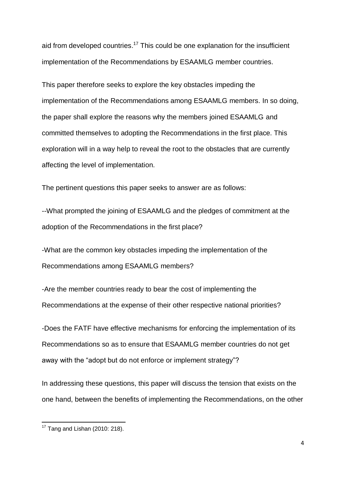aid from developed countries.<sup>17</sup> This could be one explanation for the insufficient implementation of the Recommendations by ESAAMLG member countries.

This paper therefore seeks to explore the key obstacles impeding the implementation of the Recommendations among ESAAMLG members. In so doing, the paper shall explore the reasons why the members joined ESAAMLG and committed themselves to adopting the Recommendations in the first place. This exploration will in a way help to reveal the root to the obstacles that are currently affecting the level of implementation.

The pertinent questions this paper seeks to answer are as follows:

--What prompted the joining of ESAAMLG and the pledges of commitment at the adoption of the Recommendations in the first place?

-What are the common key obstacles impeding the implementation of the Recommendations among ESAAMLG members?

-Are the member countries ready to bear the cost of implementing the Recommendations at the expense of their other respective national priorities?

-Does the FATF have effective mechanisms for enforcing the implementation of its Recommendations so as to ensure that ESAAMLG member countries do not get away with the "adopt but do not enforce or implement strategy"?

In addressing these questions, this paper will discuss the tension that exists on the one hand, between the benefits of implementing the Recommendations, on the other

**.** 

 $17$  Tang and Lishan (2010: 218).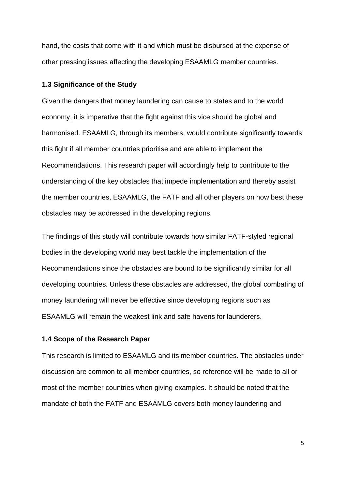hand, the costs that come with it and which must be disbursed at the expense of other pressing issues affecting the developing ESAAMLG member countries.

#### <span id="page-14-0"></span>**1.3 Significance of the Study**

Given the dangers that money laundering can cause to states and to the world economy, it is imperative that the fight against this vice should be global and harmonised. ESAAMLG, through its members, would contribute significantly towards this fight if all member countries prioritise and are able to implement the Recommendations. This research paper will accordingly help to contribute to the understanding of the key obstacles that impede implementation and thereby assist the member countries, ESAAMLG, the FATF and all other players on how best these obstacles may be addressed in the developing regions.

The findings of this study will contribute towards how similar FATF-styled regional bodies in the developing world may best tackle the implementation of the Recommendations since the obstacles are bound to be significantly similar for all developing countries. Unless these obstacles are addressed, the global combating of money laundering will never be effective since developing regions such as ESAAMLG will remain the weakest link and safe havens for launderers.

#### <span id="page-14-1"></span>**1.4 Scope of the Research Paper**

This research is limited to ESAAMLG and its member countries. The obstacles under discussion are common to all member countries, so reference will be made to all or most of the member countries when giving examples. It should be noted that the mandate of both the FATF and ESAAMLG covers both money laundering and

5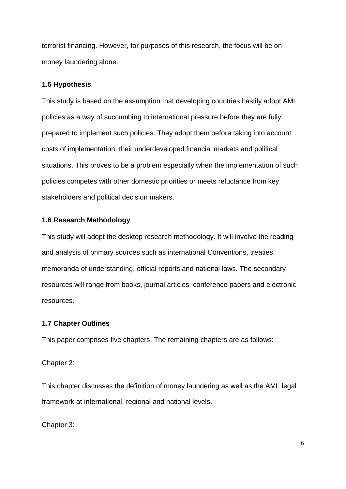terrorist financing. However, for purposes of this research, the focus will be on money laundering alone.

## <span id="page-15-0"></span>**1.5 Hypothesis**

This study is based on the assumption that developing countries hastily adopt AML policies as a way of succumbing to international pressure before they are fully prepared to implement such policies. They adopt them before taking into account costs of implementation, their underdeveloped financial markets and political situations. This proves to be a problem especially when the implementation of such policies competes with other domestic priorities or meets reluctance from key stakeholders and political decision makers.

## <span id="page-15-1"></span>**1.6 Research Methodology**

This study will adopt the desktop research methodology. It will involve the reading and analysis of primary sources such as international Conventions, treaties, memoranda of understanding, official reports and national laws. The secondary resources will range from books, journal articles, conference papers and electronic resources.

## <span id="page-15-2"></span>**1.7 Chapter Outlines**

This paper comprises five chapters. The remaining chapters are as follows:

Chapter 2:

This chapter discusses the definition of money laundering as well as the AML legal framework at international, regional and national levels.

Chapter 3: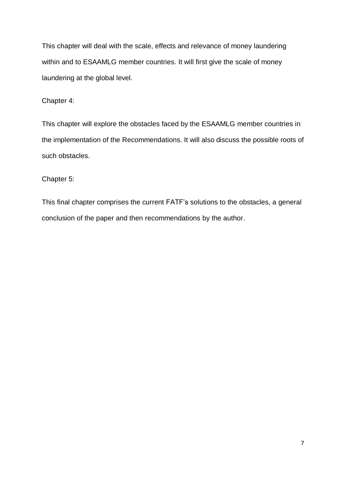This chapter will deal with the scale, effects and relevance of money laundering within and to ESAAMLG member countries. It will first give the scale of money laundering at the global level.

Chapter 4:

This chapter will explore the obstacles faced by the ESAAMLG member countries in the implementation of the Recommendations. It will also discuss the possible roots of such obstacles.

Chapter 5:

This final chapter comprises the current FATF's solutions to the obstacles, a general conclusion of the paper and then recommendations by the author.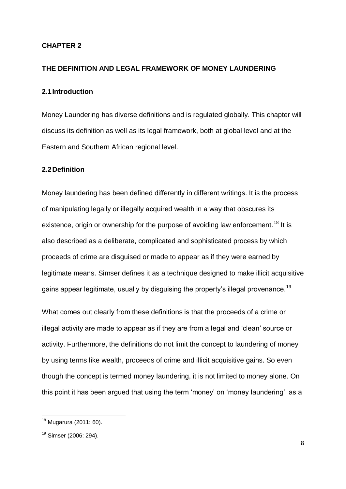#### <span id="page-17-0"></span>**CHAPTER 2**

#### <span id="page-17-1"></span>**THE DEFINITION AND LEGAL FRAMEWORK OF MONEY LAUNDERING**

#### <span id="page-17-2"></span>**2.1Introduction**

Money Laundering has diverse definitions and is regulated globally. This chapter will discuss its definition as well as its legal framework, both at global level and at the Eastern and Southern African regional level.

#### <span id="page-17-3"></span>**2.2Definition**

Money laundering has been defined differently in different writings. It is the process of manipulating legally or illegally acquired wealth in a way that obscures its existence, origin or ownership for the purpose of avoiding law enforcement.<sup>18</sup> It is also described as a deliberate, complicated and sophisticated process by which proceeds of crime are disguised or made to appear as if they were earned by legitimate means. Simser defines it as a technique designed to make illicit acquisitive gains appear legitimate, usually by disguising the property's illegal provenance.<sup>19</sup>

What comes out clearly from these definitions is that the proceeds of a crime or illegal activity are made to appear as if they are from a legal and 'clean' source or activity. Furthermore, the definitions do not limit the concept to laundering of money by using terms like wealth, proceeds of crime and illicit acquisitive gains. So even though the concept is termed money laundering, it is not limited to money alone. On this point it has been argued that using the term 'money' on 'money laundering' as a

 $\overline{\phantom{a}}$ 

<sup>18</sup> Mugarura (2011: 60).

<sup>19</sup> Simser (2006: 294).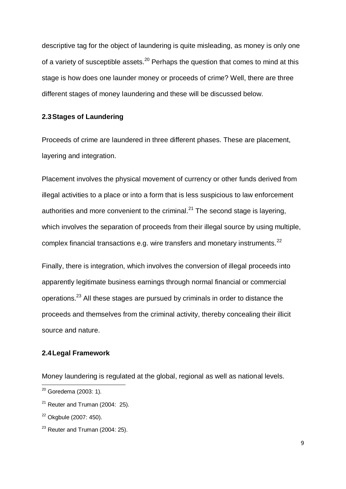descriptive tag for the object of laundering is quite misleading, as money is only one of a variety of susceptible assets.<sup>20</sup> Perhaps the question that comes to mind at this stage is how does one launder money or proceeds of crime? Well, there are three different stages of money laundering and these will be discussed below.

### <span id="page-18-0"></span>**2.3Stages of Laundering**

Proceeds of crime are laundered in three different phases. These are placement, layering and integration.

Placement involves the physical movement of currency or other funds derived from illegal activities to a place or into a form that is less suspicious to law enforcement authorities and more convenient to the criminal.<sup>21</sup> The second stage is layering, which involves the separation of proceeds from their illegal source by using multiple, complex financial transactions e.g. wire transfers and monetary instruments.<sup>22</sup>

Finally, there is integration, which involves the conversion of illegal proceeds into apparently legitimate business earnings through normal financial or commercial operations.<sup>23</sup> All these stages are pursued by criminals in order to distance the proceeds and themselves from the criminal activity, thereby concealing their illicit source and nature.

## <span id="page-18-1"></span>**2.4Legal Framework**

Money laundering is regulated at the global, regional as well as national levels.

**.** 

<sup>&</sup>lt;sup>20</sup> Goredema (2003: 1).

 $21$  Reuter and Truman (2004: 25).

<sup>&</sup>lt;sup>22</sup> Okgbule (2007: 450).

 $23$  Reuter and Truman (2004: 25).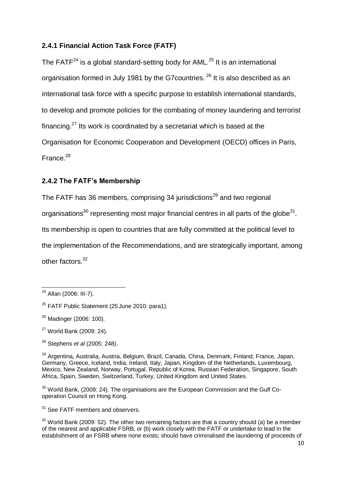## <span id="page-19-0"></span>**2.4.1 Financial Action Task Force (FATF)**

The FATF $^{24}$  is a global standard-setting body for AML. $^{25}$  It is an international organisation formed in July 1981 by the G7 countries. <sup>26</sup> It is also described as an international task force with a specific purpose to establish international standards, to develop and promote policies for the combating of money laundering and terrorist financing.<sup>27</sup> Its work is coordinated by a secretariat which is based at the Organisation for Economic Cooperation and Development (OECD) offices in Paris, France.<sup>28</sup>

## <span id="page-19-1"></span>**2.4.2 The FATF's Membership**

The FATF has 36 members, comprising 34 jurisdictions<sup>29</sup> and two regional organisations<sup>30</sup> representing most major financial centres in all parts of the globe<sup>31</sup>. Its membership is open to countries that are fully committed at the political level to the implementation of the Recommendations, and are strategically important, among other factors.<sup>32</sup>

 $30$  World Bank, (2009: 24). The organisations are the European Commission and the Gulf Cooperation Council on Hong Kong.

<sup>31</sup> See FATF members and observers.

**<sup>.</sup>** <sup>24</sup> Allan (2006: III-7).

<sup>&</sup>lt;sup>25</sup> FATF Public Statement (25 June 2010: para1).

<sup>26</sup> Madinger (2006: 100).

 $27$  World Bank (2009: 24).

<sup>28</sup> Stephens *et al* (2005: 248).

<sup>29</sup> Argentina, Australia, Austria, Belgium, Brazil, Canada, China, Denmark, Finland, France, Japan, Germany, Greece, Iceland, India, Ireland, Italy, Japan, Kingdom of the Netherlands, Luxembourg, Mexico, New Zealand, Norway, Portugal, Republic of Korea, Russian Federation, Singapore, South Africa, Spain, Sweden, Switzerland, Turkey, United Kingdom and United States.

 $32$  World Bank (2009: 52). The other two remaining factors are that a country should (a) be a member of the nearest and applicable FSRB, or (b) work closely with the FATF or undertake to lead in the establishment of an FSRB where none exists; should have criminalised the laundering of proceeds of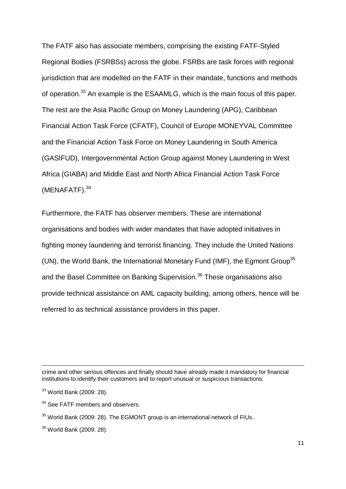The FATF also has associate members, comprising the existing FATF-Styled Regional Bodies (FSRBSs) across the globe. FSRBs are task forces with regional jurisdiction that are modelled on the FATF in their mandate, functions and methods of operation.<sup>33</sup> An example is the ESAAMLG, which is the main focus of this paper. The rest are the Asia Pacific Group on Money Laundering (APG), Caribbean Financial Action Task Force (CFATF), Council of Europe MONEYVAL Committee and the Financial Action Task Force on Money Laundering in South America (GASIFUD), Intergovernmental Action Group against Money Laundering in West Africa (GIABA) and Middle East and North Africa Financial Action Task Force (MENAFATF).<sup>34</sup>

Furthermore, the FATF has observer members. These are international organisations and bodies with wider mandates that have adopted initiatives in fighting money laundering and terrorist financing. They include the United Nations (UN), the World Bank, the International Monetary Fund (IMF), the Egmont Group<sup>35</sup> and the Basel Committee on Banking Supervision.<sup>36</sup> These organisations also provide technical assistance on AML capacity building, among others, hence will be referred to as technical assistance providers in this paper.

<sup>34</sup> See FATF members and observers.

**<sup>.</sup>** crime and other serious offences and finally should have already made it mandatory for financial institutions to identify their customers and to report unusual or suspicious transactions.

<sup>33</sup> World Bank (2009: 28).

<sup>&</sup>lt;sup>35</sup> World Bank (2009: 28). The EGMONT group is an international network of FIUs.

<sup>36</sup> World Bank (2009: 28).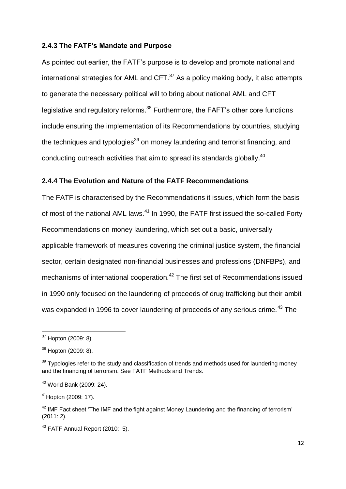#### <span id="page-21-0"></span>**2.4.3 The FATF's Mandate and Purpose**

As pointed out earlier, the FATF's purpose is to develop and promote national and international strategies for AML and  $CFT.^{37}$  As a policy making body, it also attempts to generate the necessary political will to bring about national AML and CFT legislative and regulatory reforms.<sup>38</sup> Furthermore, the FAFT's other core functions include ensuring the implementation of its Recommendations by countries, studying the techniques and typologies<sup>39</sup> on money laundering and terrorist financing, and conducting outreach activities that aim to spread its standards globally.<sup>40</sup>

#### <span id="page-21-1"></span>**2.4.4 The Evolution and Nature of the FATF Recommendations**

The FATF is characterised by the Recommendations it issues, which form the basis of most of the national AML laws.<sup>41</sup> In 1990, the FATF first issued the so-called Forty Recommendations on money laundering, which set out a basic, universally applicable framework of measures covering the criminal justice system, the financial sector, certain designated non-financial businesses and professions (DNFBPs), and mechanisms of international cooperation.<sup>42</sup> The first set of Recommendations issued in 1990 only focused on the laundering of proceeds of drug trafficking but their ambit was expanded in 1996 to cover laundering of proceeds of any serious crime.<sup>43</sup> The

-

<sup>&</sup>lt;sup>37</sup> Hopton (2009: 8).

<sup>38</sup> Hopton (2009: 8).

 $39$  Typologies refer to the study and classification of trends and methods used for laundering money and the financing of terrorism. See FATF Methods and Trends.

<sup>40</sup> World Bank (2009: 24).

 $41$ Hopton (2009: 17).

 $42$  IMF Fact sheet 'The IMF and the fight against Money Laundering and the financing of terrorism' (2011: 2).

<sup>&</sup>lt;sup>43</sup> FATF Annual Report (2010: 5).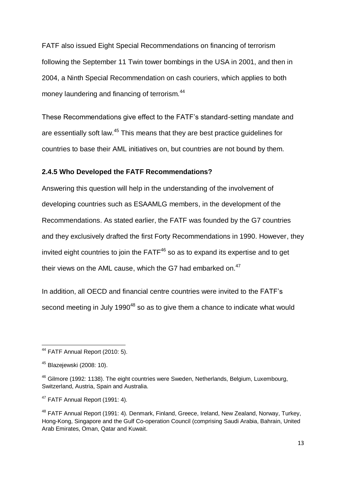FATF also issued Eight Special Recommendations on financing of terrorism following the September 11 Twin tower bombings in the USA in 2001, and then in 2004, a Ninth Special Recommendation on cash couriers, which applies to both money laundering and financing of terrorism.<sup>44</sup>

These Recommendations give effect to the FATF's standard-setting mandate and are essentially soft law.<sup>45</sup> This means that they are best practice guidelines for countries to base their AML initiatives on, but countries are not bound by them.

#### <span id="page-22-0"></span>**2.4.5 Who Developed the FATF Recommendations?**

Answering this question will help in the understanding of the involvement of developing countries such as ESAAMLG members, in the development of the Recommendations. As stated earlier, the FATF was founded by the G7 countries and they exclusively drafted the first Forty Recommendations in 1990. However, they invited eight countries to join the  $FATF<sup>46</sup>$  so as to expand its expertise and to get their views on the AML cause, which the G7 had embarked on.<sup>47</sup>

In addition, all OECD and financial centre countries were invited to the FATF's second meeting in July 1990 $48$  so as to give them a chance to indicate what would

<sup>&</sup>lt;u>.</u>  $44$  FATF Annual Report (2010: 5).

<sup>45</sup> Blazejewski (2008: 10).

<sup>46</sup> Gilmore (1992*:* 1138). The eight countries were Sweden, Netherlands, Belgium, Luxembourg, Switzerland, Austria, Spain and Australia.

<sup>47</sup> FATF Annual Report (1991: 4)*.*

<sup>48</sup> FATF Annual Report (1991: 4)*.* Denmark, Finland, Greece, Ireland, New Zealand, Norway, Turkey, Hong-Kong, Singapore and the Gulf Co-operation Council (comprising Saudi Arabia, Bahrain, United Arab Emirates, Oman, Qatar and Kuwait.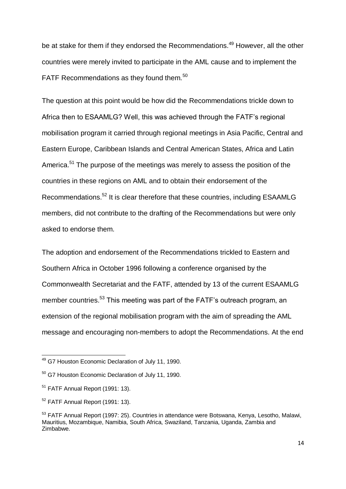be at stake for them if they endorsed the Recommendations.<sup>49</sup> However, all the other countries were merely invited to participate in the AML cause and to implement the FATF Recommendations as they found them.<sup>50</sup>

The question at this point would be how did the Recommendations trickle down to Africa then to ESAAMLG? Well, this was achieved through the FATF's regional mobilisation program it carried through regional meetings in Asia Pacific, Central and Eastern Europe, Caribbean Islands and Central American States, Africa and Latin America.<sup>51</sup> The purpose of the meetings was merely to assess the position of the countries in these regions on AML and to obtain their endorsement of the Recommendations.<sup>52</sup> It is clear therefore that these countries, including ESAAMLG members, did not contribute to the drafting of the Recommendations but were only asked to endorse them.

The adoption and endorsement of the Recommendations trickled to Eastern and Southern Africa in October 1996 following a conference organised by the Commonwealth Secretariat and the FATF, attended by 13 of the current ESAAMLG member countries.<sup>53</sup> This meeting was part of the FATF's outreach program, an extension of the regional mobilisation program with the aim of spreading the AML message and encouraging non-members to adopt the Recommendations. At the end

 $\overline{\phantom{a}}$ 

<sup>&</sup>lt;sup>49</sup> G7 Houston Economic Declaration of July 11, 1990.

<sup>&</sup>lt;sup>50</sup> G7 Houston Economic Declaration of July 11, 1990.

 $51$  FATF Annual Report (1991: 13).

<sup>52</sup> FATF Annual Report (1991: 13).

<sup>53</sup> FATF Annual Report (1997: 25). Countries in attendance were Botswana, Kenya, Lesotho, Malawi, Mauritius, Mozambique, Namibia, South Africa, Swaziland, Tanzania, Uganda, Zambia and Zimbabwe.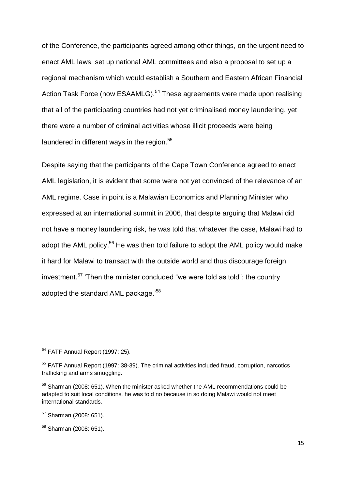of the Conference, the participants agreed among other things, on the urgent need to enact AML laws, set up national AML committees and also a proposal to set up a regional mechanism which would establish a Southern and Eastern African Financial Action Task Force (now ESAAMLG).<sup>54</sup> These agreements were made upon realising that all of the participating countries had not yet criminalised money laundering, yet there were a number of criminal activities whose illicit proceeds were being laundered in different ways in the region.<sup>55</sup>

Despite saying that the participants of the Cape Town Conference agreed to enact AML legislation, it is evident that some were not yet convinced of the relevance of an AML regime. Case in point is a Malawian Economics and Planning Minister who expressed at an international summit in 2006, that despite arguing that Malawi did not have a money laundering risk, he was told that whatever the case, Malawi had to adopt the AML policy.<sup>56</sup> He was then told failure to adopt the AML policy would make it hard for Malawi to transact with the outside world and thus discourage foreign investment.<sup>57</sup> 'Then the minister concluded "we were told as told": the country adopted the standard AML package.'<sup>58</sup>

<sup>-</sup><sup>54</sup> FATF Annual Report (1997: 25).

<sup>&</sup>lt;sup>55</sup> FATF Annual Report (1997: 38-39). The criminal activities included fraud, corruption, narcotics trafficking and arms smuggling.

<sup>&</sup>lt;sup>56</sup> Sharman (2008: 651). When the minister asked whether the AML recommendations could be adapted to suit local conditions, he was told no because in so doing Malawi would not meet international standards.

 $57$  Sharman (2008: 651).

<sup>58</sup> Sharman (2008: 651).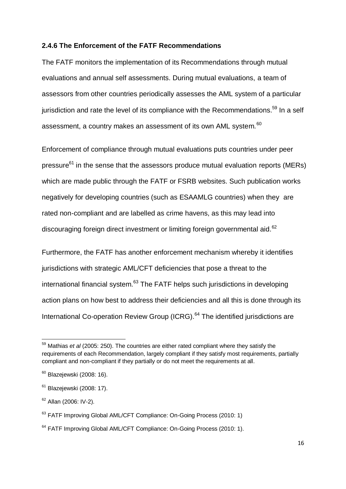#### <span id="page-25-0"></span>**2.4.6 The Enforcement of the FATF Recommendations**

The FATF monitors the implementation of its Recommendations through mutual evaluations and annual self assessments. During mutual evaluations, a team of assessors from other countries periodically assesses the AML system of a particular jurisdiction and rate the level of its compliance with the Recommendations.<sup>59</sup> In a self assessment, a country makes an assessment of its own AML system.<sup>60</sup>

Enforcement of compliance through mutual evaluations puts countries under peer pressure $61$  in the sense that the assessors produce mutual evaluation reports (MERs) which are made public through the FATF or FSRB websites. Such publication works negatively for developing countries (such as ESAAMLG countries) when they are rated non-compliant and are labelled as crime havens, as this may lead into discouraging foreign direct investment or limiting foreign governmental aid.<sup>62</sup>

Furthermore, the FATF has another enforcement mechanism whereby it identifies jurisdictions with strategic AML/CFT deficiencies that pose a threat to the international financial system.<sup>63</sup> The FATF helps such jurisdictions in developing action plans on how best to address their deficiencies and all this is done through its International Co-operation Review Group (ICRG).<sup>64</sup> The identified jurisdictions are

**.** 

<sup>59</sup> Mathias *et al* (2005: 250). The countries are either rated compliant where they satisfy the requirements of each Recommendation, largely compliant if they satisfy most requirements, partially compliant and non-compliant if they partially or do not meet the requirements at all.

 $60$  Blazejewski (2008: 16).

 $61$  Blazejewski (2008: 17).

 $62$  Allan (2006: IV-2).

<sup>&</sup>lt;sup>63</sup> FATF Improving Global AML/CFT Compliance: On-Going Process (2010: 1)

<sup>&</sup>lt;sup>64</sup> FATF Improving Global AML/CFT Compliance: On-Going Process (2010: 1).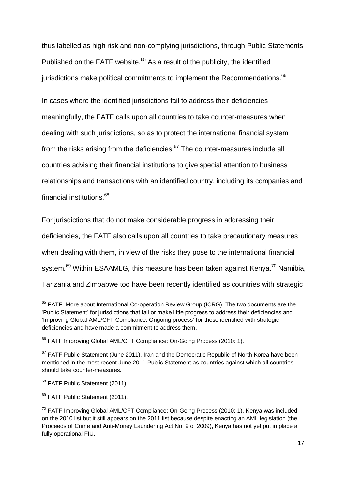thus labelled as high risk and non-complying jurisdictions, through Public Statements Published on the FATF website.<sup>65</sup> As a result of the publicity, the identified jurisdictions make political commitments to implement the Recommendations.<sup>66</sup>

In cases where the identified jurisdictions fail to address their deficiencies meaningfully, the FATF calls upon all countries to take counter-measures when dealing with such jurisdictions, so as to protect the international financial system from the risks arising from the deficiencies. $67$  The counter-measures include all countries advising their financial institutions to give special attention to business relationships and transactions with an identified country, including its companies and financial institutions.<sup>68</sup>

For jurisdictions that do not make considerable progress in addressing their

deficiencies, the FATF also calls upon all countries to take precautionary measures

when dealing with them, in view of the risks they pose to the international financial

system.<sup>69</sup> Within ESAAMLG, this measure has been taken against Kenya.<sup>70</sup> Namibia,

Tanzania and Zimbabwe too have been recently identified as countries with strategic

 $\overline{\phantom{a}}$ 

 $65$  FATF: More about International Co-operation Review Group (ICRG). The two documents are the ‗Public Statement' for jurisdictions that fail or make little progress to address their deficiencies and 'Improving Global AML/CFT Compliance: Ongoing process' for those identified with strategic deficiencies and have made a commitment to address them.

<sup>&</sup>lt;sup>66</sup> FATF Improving Global AML/CFT Compliance: On-Going Process (2010: 1).

 $67$  FATF Public Statement (June 2011). Iran and the Democratic Republic of North Korea have been mentioned in the most recent June 2011 Public Statement as countries against which all countries should take counter-measures.

<sup>&</sup>lt;sup>68</sup> FATF Public Statement (2011).

<sup>&</sup>lt;sup>69</sup> FATF Public Statement (2011).

 $70$  FATF Improving Global AML/CFT Compliance: On-Going Process (2010: 1). Kenya was included on the 2010 list but it still appears on the 2011 list because despite enacting an AML legislation (the Proceeds of Crime and Anti-Money Laundering Act No. 9 of 2009), Kenya has not yet put in place a fully operational FIU.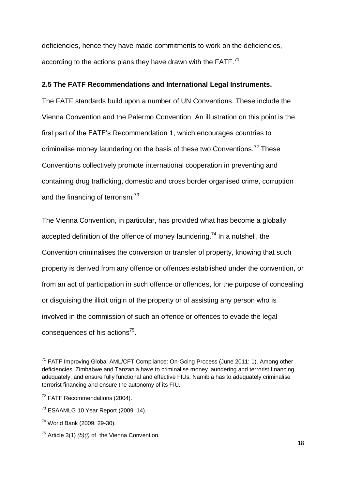deficiencies, hence they have made commitments to work on the deficiencies, according to the actions plans they have drawn with the FATF.<sup>71</sup>

## <span id="page-27-0"></span>**2.5 The FATF Recommendations and International Legal Instruments.**

The FATF standards build upon a number of UN Conventions. These include the Vienna Convention and the Palermo Convention. An illustration on this point is the first part of the FATF's Recommendation 1, which encourages countries to criminalise money laundering on the basis of these two Conventions.<sup>72</sup> These Conventions collectively promote international cooperation in preventing and containing drug trafficking, domestic and cross border organised crime, corruption and the financing of terrorism.<sup>73</sup>

The Vienna Convention, in particular, has provided what has become a globally accepted definition of the offence of money laundering.<sup>74</sup> In a nutshell, the Convention criminalises the conversion or transfer of property, knowing that such property is derived from any offence or offences established under the convention, or from an act of participation in such offence or offences, for the purpose of concealing or disguising the illicit origin of the property or of assisting any person who is involved in the commission of such an offence or offences to evade the legal consequences of his actions<sup>75</sup>.

**<sup>.</sup>** <sup>71</sup> FATF Improving Global AML/CFT Compliance: On-Going Process (June 2011: 1). Among other deficiencies, Zimbabwe and Tanzania have to criminalise money laundering and terrorist financing adequately; and ensure fully functional and effective FIUs. Namibia has to adequately criminalise terrorist financing and ensure the autonomy of its FIU.

<sup>72</sup> FATF Recommendations (2004).

 $73$  ESAAMLG 10 Year Report (2009: 14).

<sup>74</sup> World Bank (2009: 29-30).

<sup>75</sup> Article 3(1) *(b)(i)* of the Vienna Convention.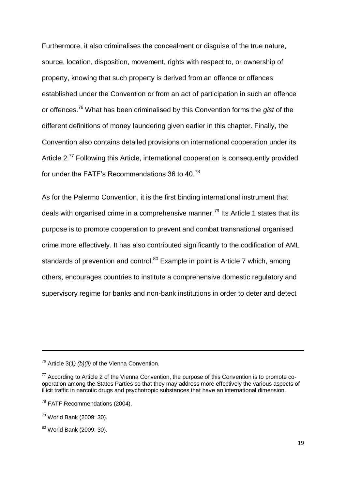Furthermore, it also criminalises the concealment or disguise of the true nature, source, location, disposition, movement, rights with respect to, or ownership of property, knowing that such property is derived from an offence or offences established under the Convention or from an act of participation in such an offence or offences.<sup>76</sup> What has been criminalised by this Convention forms the *gist* of the different definitions of money laundering given earlier in this chapter. Finally, the Convention also contains detailed provisions on international cooperation under its Article 2.<sup>77</sup> Following this Article, international cooperation is consequently provided for under the FATF's Recommendations 36 to 40.<sup>78</sup>

As for the Palermo Convention, it is the first binding international instrument that deals with organised crime in a comprehensive manner.<sup>79</sup> Its Article 1 states that its purpose is to promote cooperation to prevent and combat transnational organised crime more effectively. It has also contributed significantly to the codification of AML standards of prevention and control.<sup>80</sup> Example in point is Article 7 which, among others, encourages countries to institute a comprehensive domestic regulatory and supervisory regime for banks and non-bank institutions in order to deter and detect

**.** 

<sup>76</sup> Article 3(1*) (b)(ii)* of the Vienna Convention.

 $77$  According to Article 2 of the Vienna Convention, the purpose of this Convention is to promote cooperation among the States Parties so that they may address more effectively the various aspects of illicit traffic in narcotic drugs and psychotropic substances that have an international dimension.

<sup>&</sup>lt;sup>78</sup> FATF Recommendations (2004).

<sup>79</sup> World Bank (2009: 30).

<sup>80</sup> World Bank (2009: 30).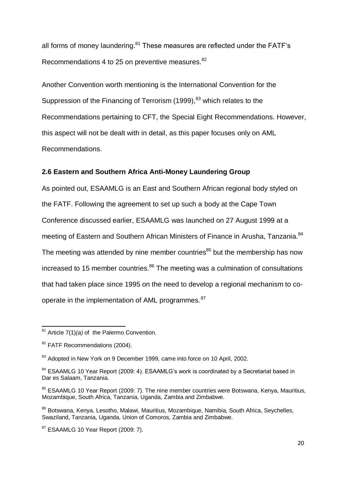all forms of money laundering.<sup>81</sup> These measures are reflected under the FATF's Recommendations 4 to 25 on preventive measures.<sup>82</sup>

Another Convention worth mentioning is the International Convention for the Suppression of the Financing of Terrorism (1999), <sup>83</sup> which relates to the Recommendations pertaining to CFT, the Special Eight Recommendations. However, this aspect will not be dealt with in detail, as this paper focuses only on AML Recommendations.

### <span id="page-29-0"></span>**2.6 Eastern and Southern Africa Anti-Money Laundering Group**

As pointed out, ESAAMLG is an East and Southern African regional body styled on the FATF. Following the agreement to set up such a body at the Cape Town Conference discussed earlier, ESAAMLG was launched on 27 August 1999 at a meeting of Eastern and Southern African Ministers of Finance in Arusha, Tanzania.<sup>84</sup> The meeting was attended by nine member countries $85$  but the membership has now increased to 15 member countries. $86$  The meeting was a culmination of consultations that had taken place since 1995 on the need to develop a regional mechanism to cooperate in the implementation of AML programmes.<sup>87</sup>

 <sup>81</sup> Article 7(1)*(a)* of the Palermo Convention.

<sup>82</sup> FATF Recommendations (2004).

<sup>&</sup>lt;sup>83</sup> Adopted in New York on 9 December 1999, came into force on 10 April, 2002.

<sup>&</sup>lt;sup>84</sup> ESAAMLG 10 Year Report (2009: 4). ESAAMLG's work is coordinated by a Secretariat based in Dar es Salaam, Tanzania.

<sup>&</sup>lt;sup>85</sup> ESAAMLG 10 Year Report (2009: 7). The nine member countries were Botswana, Kenya, Mauritius, Mozambique, South Africa, Tanzania, Uganda, Zambia and Zimbabwe.

<sup>&</sup>lt;sup>86</sup> Botswana, Kenya, Lesotho, Malawi, Mauritius, Mozambique, Namibia, South Africa, Seychelles, Swaziland, Tanzania, Uganda, Union of Comoros, Zambia and Zimbabwe.

<sup>87</sup> ESAAMLG 10 Year Report (2009: 7).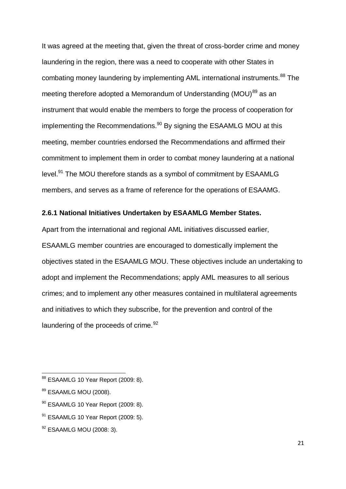It was agreed at the meeting that, given the threat of cross-border crime and money laundering in the region, there was a need to cooperate with other States in combating money laundering by implementing AML international instruments.<sup>88</sup> The meeting therefore adopted a Memorandum of Understanding (MOU)<sup>89</sup> as an instrument that would enable the members to forge the process of cooperation for implementing the Recommendations.<sup>90</sup> By signing the ESAAMLG MOU at this meeting, member countries endorsed the Recommendations and affirmed their commitment to implement them in order to combat money laundering at a national level.<sup>91</sup> The MOU therefore stands as a symbol of commitment by ESAAMLG members, and serves as a frame of reference for the operations of ESAAMG.

#### <span id="page-30-0"></span>**2.6.1 National Initiatives Undertaken by ESAAMLG Member States.**

Apart from the international and regional AML initiatives discussed earlier, ESAAMLG member countries are encouraged to domestically implement the objectives stated in the ESAAMLG MOU. These objectives include an undertaking to adopt and implement the Recommendations; apply AML measures to all serious crimes; and to implement any other measures contained in multilateral agreements and initiatives to which they subscribe, for the prevention and control of the laundering of the proceeds of crime.<sup>92</sup>

 $\overline{\phantom{a}}$ 

<sup>&</sup>lt;sup>88</sup> ESAAMLG 10 Year Report (2009: 8).

<sup>89</sup> ESAAMLG MOU (2008).

<sup>90</sup> ESAAMLG 10 Year Report (2009: 8).

 $91$  ESAAMLG 10 Year Report (2009: 5).

<sup>&</sup>lt;sup>92</sup> ESAAMLG MOU (2008: 3).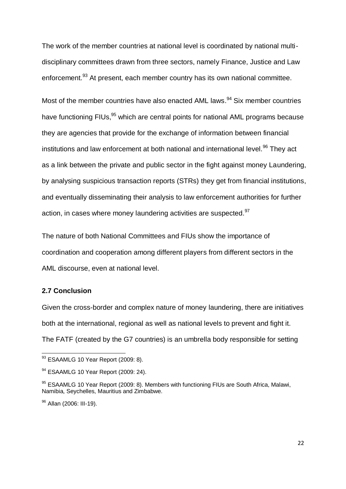The work of the member countries at national level is coordinated by national multidisciplinary committees drawn from three sectors, namely Finance, Justice and Law enforcement.<sup>93</sup> At present, each member country has its own national committee.

Most of the member countries have also enacted AML laws.<sup>94</sup> Six member countries have functioning FIUs,<sup>95</sup> which are central points for national AML programs because they are agencies that provide for the exchange of information between financial institutions and law enforcement at both national and international level.<sup>96</sup> They act as a link between the private and public sector in the fight against money Laundering, by analysing suspicious transaction reports (STRs) they get from financial institutions, and eventually disseminating their analysis to law enforcement authorities for further action, in cases where money laundering activities are suspected.<sup>97</sup>

The nature of both National Committees and FIUs show the importance of coordination and cooperation among different players from different sectors in the AML discourse, even at national level.

## <span id="page-31-0"></span>**2.7 Conclusion**

 $\overline{\phantom{a}}$ 

Given the cross-border and complex nature of money laundering, there are initiatives both at the international, regional as well as national levels to prevent and fight it. The FATF (created by the G7 countries) is an umbrella body responsible for setting

<sup>&</sup>lt;sup>93</sup> ESAAMLG 10 Year Report (2009: 8).

<sup>&</sup>lt;sup>94</sup> ESAAMLG 10 Year Report (2009: 24).

<sup>95</sup> ESAAMLG 10 Year Report (2009: 8). Members with functioning FIUs are South Africa, Malawi, Namibia, Seychelles, Mauritius and Zimbabwe.

<sup>&</sup>lt;sup>96</sup> Allan (2006: III-19).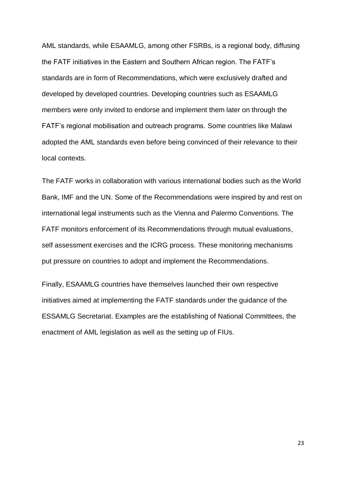AML standards, while ESAAMLG, among other FSRBs, is a regional body, diffusing the FATF initiatives in the Eastern and Southern African region. The FATF's standards are in form of Recommendations, which were exclusively drafted and developed by developed countries. Developing countries such as ESAAMLG members were only invited to endorse and implement them later on through the FATF's regional mobilisation and outreach programs. Some countries like Malawi adopted the AML standards even before being convinced of their relevance to their local contexts.

The FATF works in collaboration with various international bodies such as the World Bank, IMF and the UN. Some of the Recommendations were inspired by and rest on international legal instruments such as the Vienna and Palermo Conventions. The FATF monitors enforcement of its Recommendations through mutual evaluations, self assessment exercises and the ICRG process. These monitoring mechanisms put pressure on countries to adopt and implement the Recommendations.

Finally, ESAAMLG countries have themselves launched their own respective initiatives aimed at implementing the FATF standards under the guidance of the ESSAMLG Secretariat. Examples are the establishing of National Committees, the enactment of AML legislation as well as the setting up of FIUs.

23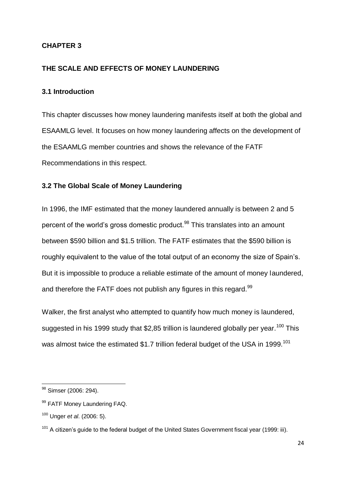## <span id="page-33-0"></span>**CHAPTER 3**

## <span id="page-33-1"></span>**THE SCALE AND EFFECTS OF MONEY LAUNDERING**

#### <span id="page-33-2"></span>**3.1 Introduction**

This chapter discusses how money laundering manifests itself at both the global and ESAAMLG level. It focuses on how money laundering affects on the development of the ESAAMLG member countries and shows the relevance of the FATF Recommendations in this respect.

### <span id="page-33-3"></span>**3.2 The Global Scale of Money Laundering**

In 1996, the IMF estimated that the money laundered annually is between 2 and 5 percent of the world's gross domestic product.<sup>98</sup> This translates into an amount between \$590 billion and \$1.5 trillion. The FATF estimates that the \$590 billion is roughly equivalent to the value of the total output of an economy the size of Spain's. But it is impossible to produce a reliable estimate of the amount of money laundered, and therefore the FATF does not publish any figures in this regard.<sup>99</sup>

Walker, the first analyst who attempted to quantify how much money is laundered, suggested in his 1999 study that \$2,85 trillion is laundered globally per year.<sup>100</sup> This was almost twice the estimated \$1.7 trillion federal budget of the USA in 1999.<sup>101</sup>

 $\overline{\phantom{a}}$ 

<sup>&</sup>lt;sup>98</sup> Simser (2006: 294).

<sup>99</sup> FATF Money Laundering FAQ.

<sup>100</sup> Unger *et al*. (2006: 5).

 $101$  A citizen's guide to the federal budget of the United States Government fiscal year (1999: iii).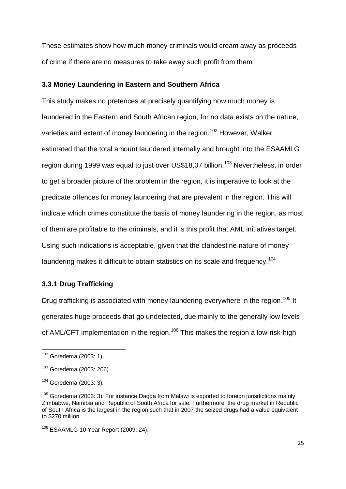These estimates show how much money criminals would cream away as proceeds of crime if there are no measures to take away such profit from them.

#### <span id="page-34-0"></span>**3.3 Money Laundering in Eastern and Southern Africa**

This study makes no pretences at precisely quantifying how much money is laundered in the Eastern and South African region, for no data exists on the nature, varieties and extent of money laundering in the region.<sup>102</sup> However, Walker estimated that the total amount laundered internally and brought into the ESAAMLG region during 1999 was equal to just over US\$18,07 billion.<sup>103</sup> Nevertheless, in order to get a broader picture of the problem in the region, it is imperative to look at the predicate offences for money laundering that are prevalent in the region. This will indicate which crimes constitute the basis of money laundering in the region, as most of them are profitable to the criminals, and it is this profit that AML initiatives target. Using such indications is acceptable, given that the clandestine nature of money laundering makes it difficult to obtain statistics on its scale and frequency.<sup>104</sup>

#### <span id="page-34-1"></span>**3.3.1 Drug Trafficking**

Drug trafficking is associated with money laundering everywhere in the region.<sup>105</sup> It generates huge proceeds that go undetected, due mainly to the generally low levels of AML/CFT implementation in the region.<sup>106</sup> This makes the region a low-risk-high

 $\overline{\phantom{a}}$ 

 $102$  Goredema (2003: 1).

 $103$  Goredema (2003: 206).

<sup>104</sup> Goredema (2003: 3).

 $105$  Goredema (2003: 3). For instance Dagga from Malawi is exported to foreign jurisdictions mainly Zimbabwe, Namibia and Republic of South Africa for sale. Furthermore, the drug market in Republic of South Africa is the largest in the region such that in 2007 the seized drugs had a value equivalent to \$270 million.

<sup>106</sup> ESAAMLG 10 Year Report (2009: 24).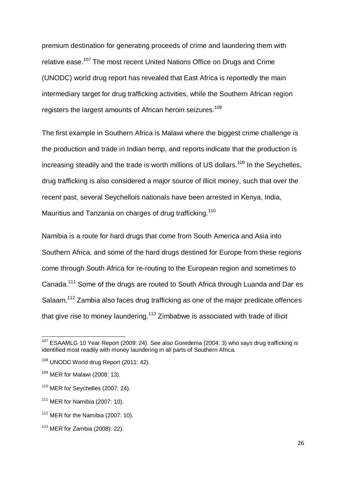premium destination for generating proceeds of crime and laundering them with relative ease.<sup>107</sup> The most recent United Nations Office on Drugs and Crime (UNODC) world drug report has revealed that East Africa is reportedly the main intermediary target for drug trafficking activities, while the Southern African region registers the largest amounts of African heroin seizures.<sup>108</sup>

The first example in Southern Africa is Malawi where the biggest crime challenge is the production and trade in Indian hemp, and reports indicate that the production is increasing steadily and the trade is worth millions of US dollars.<sup>109</sup> In the Seychelles, drug trafficking is also considered a major source of illicit money, such that over the recent past, several Seychellois nationals have been arrested in Kenya, India, Mauritius and Tanzania on charges of drug trafficking.<sup>110</sup>

Namibia is a route for hard drugs that come from South America and Asia into Southern Africa, and some of the hard drugs destined for Europe from these regions come through South Africa for re-routing to the European region and sometimes to Canada.<sup>111</sup> Some of the drugs are routed to South Africa through Luanda and Dar es Salaam.<sup>112</sup> Zambia also faces drug trafficking as one of the major predicate offences that give rise to money laundering.<sup>113</sup> Zimbabwe is associated with trade of illicit

**.** 

 $107$  ESAAMLG 10 Year Report (2009: 24). See also Goredema (2004: 3) who says drug trafficking is identified most readily with money laundering in all parts of Southern Africa.

<sup>&</sup>lt;sup>108</sup> UNODC World drug Report (2011: 42).

<sup>109</sup> MER for Malawi (2008: 13).

 $110$  MER for Seychelles (2007: 24).

 $111$  MER for Namibia (2007: 10).

 $112$  MER for the Namibia (2007: 10).

 $113$  MER for Zambia (2008): 22).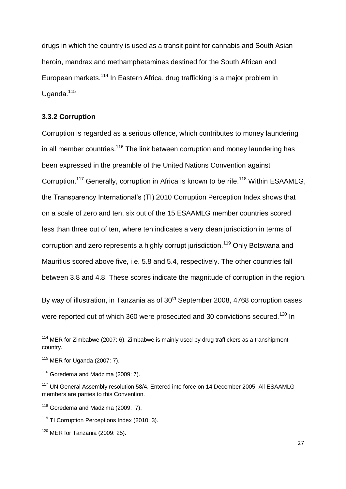drugs in which the country is used as a transit point for cannabis and South Asian heroin, mandrax and methamphetamines destined for the South African and European markets.<sup>114</sup> In Eastern Africa, drug trafficking is a major problem in Uganda.<sup>115</sup>

#### **3.3.2 Corruption**

Corruption is regarded as a serious offence, which contributes to money laundering in all member countries.<sup>116</sup> The link between corruption and money laundering has been expressed in the preamble of the United Nations Convention against Corruption.<sup>117</sup> Generally, corruption in Africa is known to be rife.<sup>118</sup> Within ESAAMLG, the Transparency International's (TI) 2010 Corruption Perception Index shows that on a scale of zero and ten, six out of the 15 ESAAMLG member countries scored less than three out of ten, where ten indicates a very clean jurisdiction in terms of corruption and zero represents a highly corrupt jurisdiction.<sup>119</sup> Only Botswana and Mauritius scored above five, i.e. 5.8 and 5.4, respectively. The other countries fall between 3.8 and 4.8. These scores indicate the magnitude of corruption in the region.

By way of illustration, in Tanzania as of  $30<sup>th</sup>$  September 2008, 4768 corruption cases were reported out of which 360 were prosecuted and 30 convictions secured.<sup>120</sup> In

 $114$  MER for Zimbabwe (2007: 6). Zimbabwe is mainly used by drug traffickers as a transhipment country.

 $115$  MER for Uganda (2007: 7).

<sup>&</sup>lt;sup>116</sup> Goredema and Madzima (2009: 7).

<sup>&</sup>lt;sup>117</sup> UN General Assembly resolution 58/4. Entered into force on 14 December 2005. All ESAAMLG members are parties to this Convention.

 $118$  Goredema and Madzima (2009: 7).

<sup>&</sup>lt;sup>119</sup> TI Corruption Perceptions Index (2010: 3).

 $120$  MER for Tanzania (2009: 25).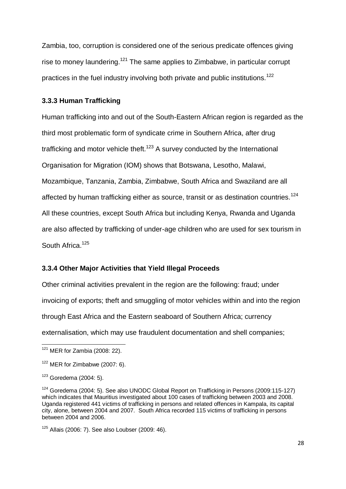Zambia, too, corruption is considered one of the serious predicate offences giving rise to money laundering.<sup>121</sup> The same applies to Zimbabwe, in particular corrupt practices in the fuel industry involving both private and public institutions.<sup>122</sup>

#### **3.3.3 Human Trafficking**

Human trafficking into and out of the South-Eastern African region is regarded as the third most problematic form of syndicate crime in Southern Africa, after drug trafficking and motor vehicle theft.<sup>123</sup> A survey conducted by the International Organisation for Migration (IOM) shows that Botswana, Lesotho, Malawi, Mozambique, Tanzania, Zambia, Zimbabwe, South Africa and Swaziland are all affected by human trafficking either as source, transit or as destination countries.<sup>124</sup> All these countries, except South Africa but including Kenya, Rwanda and Uganda are also affected by trafficking of under-age children who are used for sex tourism in South Africa.<sup>125</sup>

# **3.3.4 Other Major Activities that Yield Illegal Proceeds**

Other criminal activities prevalent in the region are the following: fraud; under invoicing of exports; theft and smuggling of motor vehicles within and into the region through East Africa and the Eastern seaboard of Southern Africa; currency externalisation, which may use fraudulent documentation and shell companies;

 $\overline{\phantom{a}}$  $121$  MER for Zambia (2008: 22).

 $122$  MER for Zimbabwe (2007: 6).

 $123$  Goredema (2004: 5).

 $124$  Goredema (2004: 5). See also UNODC Global Report on Trafficking in Persons (2009:115-127) which indicates that Mauritius investigated about 100 cases of trafficking between 2003 and 2008. Uganda registered 441 victims of trafficking in persons and related offences in Kampala, its capital city, alone, between 2004 and 2007. South Africa recorded 115 victims of trafficking in persons between 2004 and 2006.

 $125$  Allais (2006: 7). See also Loubser (2009: 46).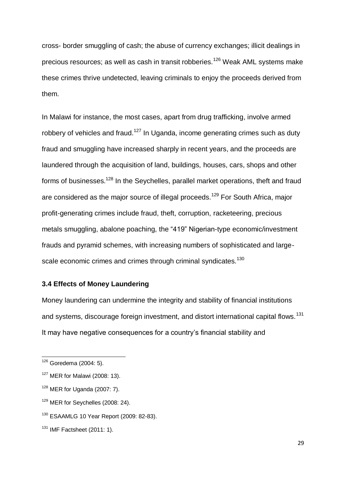cross- border smuggling of cash; the abuse of currency exchanges; illicit dealings in precious resources; as well as cash in transit robberies.<sup>126</sup> Weak AML systems make these crimes thrive undetected, leaving criminals to enjoy the proceeds derived from them.

In Malawi for instance, the most cases, apart from drug trafficking, involve armed robbery of vehicles and fraud.<sup>127</sup> In Uganda, income generating crimes such as duty fraud and smuggling have increased sharply in recent years, and the proceeds are laundered through the acquisition of land, buildings, houses, cars, shops and other forms of businesses.<sup>128</sup> In the Seychelles, parallel market operations, theft and fraud are considered as the major source of illegal proceeds.<sup>129</sup> For South Africa, major profit-generating crimes include fraud, theft, corruption, racketeering, precious metals smuggling, abalone poaching, the "419" Nigerian-type economic/investment frauds and pyramid schemes, with increasing numbers of sophisticated and largescale economic crimes and crimes through criminal syndicates.<sup>130</sup>

### **3.4 Effects of Money Laundering**

Money laundering can undermine the integrity and stability of financial institutions and systems, discourage foreign investment, and distort international capital flows.<sup>131</sup> It may have negative consequences for a country's financial stability and

 $\overline{\phantom{a}}$ 

<sup>129</sup> MER for Seychelles (2008: 24).

 $126$  Goredema (2004: 5).

 $127$  MER for Malawi (2008: 13).

 $128$  MER for Uganda (2007: 7).

<sup>130</sup> ESAAMLG 10 Year Report (2009: 82-83).

<sup>&</sup>lt;sup>131</sup> IMF Factsheet (2011: 1).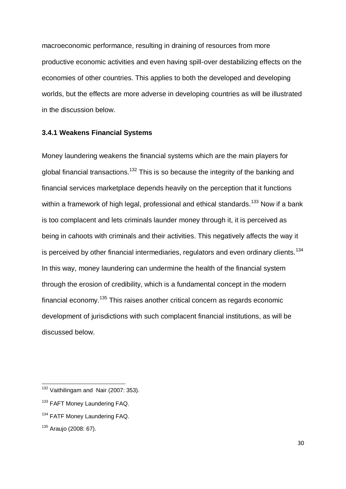macroeconomic performance, resulting in draining of resources from more productive economic activities and even having spill-over destabilizing effects on the economies of other countries. This applies to both the developed and developing worlds, but the effects are more adverse in developing countries as will be illustrated in the discussion below.

#### **3.4.1 Weakens Financial Systems**

Money laundering weakens the financial systems which are the main players for global financial transactions.<sup>132</sup> This is so because the integrity of the banking and financial services marketplace depends heavily on the perception that it functions within a framework of high legal, professional and ethical standards.<sup>133</sup> Now if a bank is too complacent and lets criminals launder money through it, it is perceived as being in cahoots with criminals and their activities. This negatively affects the way it is perceived by other financial intermediaries, regulators and even ordinary clients. $134$ In this way, money laundering can undermine the health of the financial system through the erosion of credibility, which is a fundamental concept in the modern financial economy.<sup>135</sup> This raises another critical concern as regards economic development of jurisdictions with such complacent financial institutions, as will be discussed below.

<sup>&</sup>lt;sup>132</sup> Vaithilingam and Nair (2007: 353).

<sup>&</sup>lt;sup>133</sup> FAFT Money Laundering FAQ.

<sup>&</sup>lt;sup>134</sup> FATF Money Laundering FAQ.

<sup>135</sup> Araujo (2008: 67).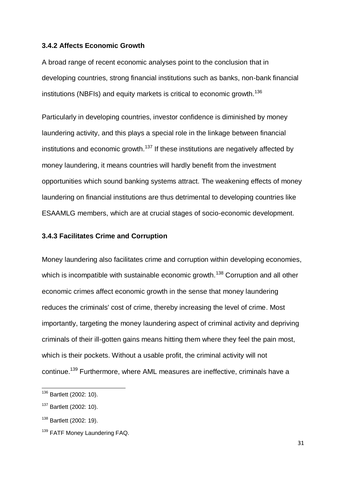#### **3.4.2 Affects Economic Growth**

A broad range of recent economic analyses point to the conclusion that in developing countries, strong financial institutions such as banks, non-bank financial institutions (NBFIs) and equity markets is critical to economic growth.<sup>136</sup>

Particularly in developing countries, investor confidence is diminished by money laundering activity, and this plays a special role in the linkage between financial institutions and economic growth.<sup>137</sup> If these institutions are negatively affected by money laundering, it means countries will hardly benefit from the investment opportunities which sound banking systems attract. The weakening effects of money laundering on financial institutions are thus detrimental to developing countries like ESAAMLG members, which are at crucial stages of socio-economic development.

#### **3.4.3 Facilitates Crime and Corruption**

Money laundering also facilitates crime and corruption within developing economies, which is incompatible with sustainable economic growth.<sup>138</sup> Corruption and all other economic crimes affect economic growth in the sense that money laundering reduces the criminals' cost of crime, thereby increasing the level of crime. Most importantly, targeting the money laundering aspect of criminal activity and depriving criminals of their ill-gotten gains means hitting them where they feel the pain most, which is their pockets. Without a usable profit, the criminal activity will not continue.<sup>139</sup> Furthermore, where AML measures are ineffective, criminals have a

<sup>&</sup>lt;sup>136</sup> Bartlett (2002: 10).

<sup>&</sup>lt;sup>137</sup> Bartlett (2002: 10).

<sup>138</sup> Bartlett (2002: 19).

<sup>&</sup>lt;sup>139</sup> FATF Money Laundering FAQ.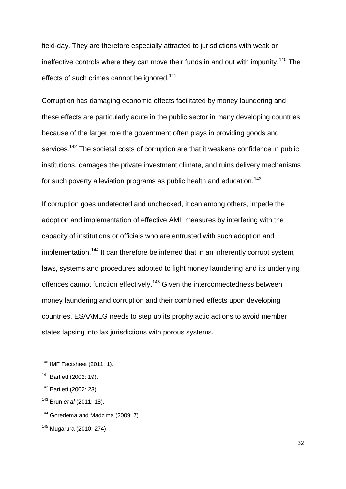field-day. They are therefore especially attracted to jurisdictions with weak or ineffective controls where they can move their funds in and out with impunity.<sup>140</sup> The effects of such crimes cannot be janored.<sup>141</sup>

Corruption has damaging economic effects facilitated by money laundering and these effects are particularly acute in the public sector in many developing countries because of the larger role the government often plays in providing goods and services.<sup>142</sup> The societal costs of corruption are that it weakens confidence in public institutions, damages the private investment climate, and ruins delivery mechanisms for such poverty alleviation programs as public health and education.<sup>143</sup>

If corruption goes undetected and unchecked, it can among others, impede the adoption and implementation of effective AML measures by interfering with the capacity of institutions or officials who are entrusted with such adoption and implementation.<sup>144</sup> It can therefore be inferred that in an inherently corrupt system, laws, systems and procedures adopted to fight money laundering and its underlying offences cannot function effectively.<sup>145</sup> Given the interconnectedness between money laundering and corruption and their combined effects upon developing countries, ESAAMLG needs to step up its prophylactic actions to avoid member states lapsing into lax jurisdictions with porous systems.

<sup>140</sup> IMF Factsheet (2011: 1).

<sup>141</sup> Bartlett (2002: 19).

<sup>142</sup> Bartlett (2002: 23).

<sup>143</sup> Brun *et al* (2011: 18).

<sup>&</sup>lt;sup>144</sup> Goredema and Madzima (2009: 7).

<sup>145</sup> Mugarura (2010: 274)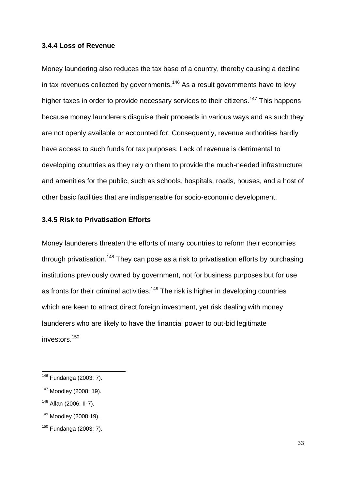#### **3.4.4 Loss of Revenue**

Money laundering also reduces the tax base of a country, thereby causing a decline in tax revenues collected by governments.<sup>146</sup> As a result governments have to levy higher taxes in order to provide necessary services to their citizens.<sup>147</sup> This happens because money launderers disguise their proceeds in various ways and as such they are not openly available or accounted for. Consequently, revenue authorities hardly have access to such funds for tax purposes. Lack of revenue is detrimental to developing countries as they rely on them to provide the much-needed infrastructure and amenities for the public, such as schools, hospitals, roads, houses, and a host of other basic facilities that are indispensable for socio-economic development.

# **3.4.5 Risk to Privatisation Efforts**

Money launderers threaten the efforts of many countries to reform their economies through privatisation.<sup>148</sup> They can pose as a risk to privatisation efforts by purchasing institutions previously owned by government, not for business purposes but for use as fronts for their criminal activities.<sup>149</sup> The risk is higher in developing countries which are keen to attract direct foreign investment, yet risk dealing with money launderers who are likely to have the financial power to out-bid legitimate investors.<sup>150</sup>

<sup>146</sup> Fundanga (2003: 7).

<sup>&</sup>lt;sup>147</sup> Moodley (2008: 19).

<sup>148</sup> Allan (2006: II-7).

<sup>149</sup> Moodley (2008:19).

 $150$  Fundanga (2003: 7).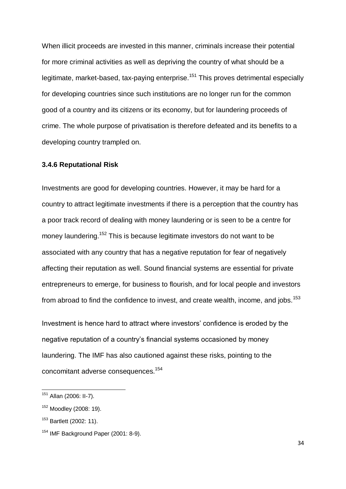When illicit proceeds are invested in this manner, criminals increase their potential for more criminal activities as well as depriving the country of what should be a legitimate, market-based, tax-paying enterprise.<sup>151</sup> This proves detrimental especially for developing countries since such institutions are no longer run for the common good of a country and its citizens or its economy, but for laundering proceeds of crime. The whole purpose of privatisation is therefore defeated and its benefits to a developing country trampled on.

#### **3.4.6 Reputational Risk**

Investments are good for developing countries. However, it may be hard for a country to attract legitimate investments if there is a perception that the country has a poor track record of dealing with money laundering or is seen to be a centre for money laundering.<sup>152</sup> This is because legitimate investors do not want to be associated with any country that has a negative reputation for fear of negatively affecting their reputation as well. Sound financial systems are essential for private entrepreneurs to emerge, for business to flourish, and for local people and investors from abroad to find the confidence to invest, and create wealth, income, and jobs.<sup>153</sup>

Investment is hence hard to attract where investors' confidence is eroded by the negative reputation of a country's financial systems occasioned by money laundering. The IMF has also cautioned against these risks, pointing to the concomitant adverse consequences.<sup>154</sup>

**.** 

34

<sup>&</sup>lt;sup>151</sup> Allan (2006: II-7).

<sup>152</sup> Moodley (2008: 19).

<sup>&</sup>lt;sup>153</sup> Bartlett (2002: 11).

<sup>&</sup>lt;sup>154</sup> IMF Background Paper (2001: 8-9).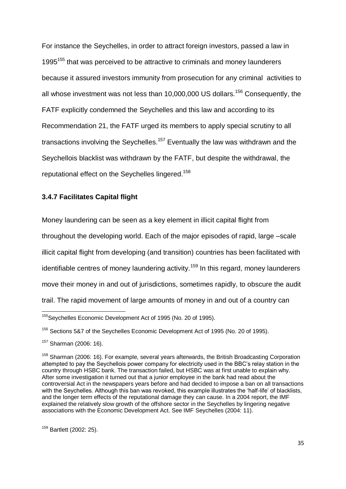For instance the Seychelles, in order to attract foreign investors, passed a law in 1995<sup>155</sup> that was perceived to be attractive to criminals and money launderers because it assured investors immunity from prosecution for any criminal activities to all whose investment was not less than 10,000,000 US dollars.<sup>156</sup> Consequently, the FATF explicitly condemned the Seychelles and this law and according to its Recommendation 21, the FATF urged its members to apply special scrutiny to all transactions involving the Seychelles.<sup>157</sup> Eventually the law was withdrawn and the Seychellois blacklist was withdrawn by the FATF, but despite the withdrawal, the reputational effect on the Seychelles lingered.<sup>158</sup>

#### **3.4.7 Facilitates Capital flight**

Money laundering can be seen as a key element in illicit capital flight from

throughout the developing world. Each of the major episodes of rapid, large –scale

illicit capital flight from developing (and transition) countries has been facilitated with

identifiable centres of money laundering activity.<sup>159</sup> In this regard, money launderers

move their money in and out of jurisdictions, sometimes rapidly, to obscure the audit

trail. The rapid movement of large amounts of money in and out of a country can

<sup>&</sup>lt;sup>155</sup>Seychelles Economic Development Act of 1995 (No. 20 of 1995).

<sup>&</sup>lt;sup>156</sup> Sections 5&7 of the Sevchelles Economic Development Act of 1995 (No. 20 of 1995).

<sup>157</sup> Sharman (2006: 16).

 $158$  Sharman (2006: 16). For example, several years afterwards, the British Broadcasting Corporation attempted to pay the Seychellois power company for electricity used in the BBC's relay station in the country through HSBC bank. The transaction failed, but HSBC was at first unable to explain why. After some investigation it turned out that a junior employee in the bank had read about the controversial Act in the newspapers years before and had decided to impose a ban on all transactions with the Seychelles. Although this ban was revoked, this example illustrates the 'half-life' of blacklists, and the longer term effects of the reputational damage they can cause. In a 2004 report, the IMF explained the relatively slow growth of the offshore sector in the Seychelles by lingering negative associations with the Economic Development Act. See IMF Seychelles (2004: 11).

<sup>159</sup> Bartlett (2002: 25).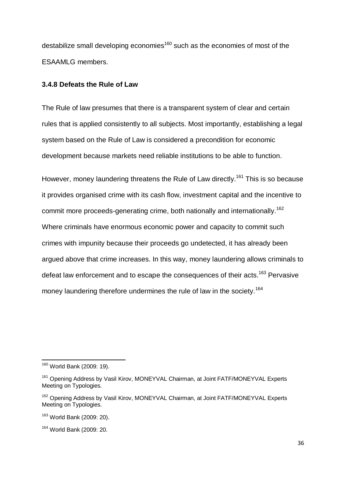destabilize small developing economies<sup>160</sup> such as the economies of most of the ESAAMLG members.

#### **3.4.8 Defeats the Rule of Law**

The Rule of law presumes that there is a transparent system of clear and certain rules that is applied consistently to all subjects. Most importantly, establishing a legal system based on the Rule of Law is considered a precondition for economic development because markets need reliable institutions to be able to function.

However, money laundering threatens the Rule of Law directly.<sup>161</sup> This is so because it provides organised crime with its cash flow, investment capital and the incentive to commit more proceeds-generating crime, both nationally and internationally.<sup>162</sup> Where criminals have enormous economic power and capacity to commit such crimes with impunity because their proceeds go undetected, it has already been argued above that crime increases. In this way, money laundering allows criminals to defeat law enforcement and to escape the consequences of their acts.<sup>163</sup> Pervasive money laundering therefore undermines the rule of law in the society.<sup>164</sup>

<sup>&</sup>lt;sup>160</sup> World Bank (2009: 19).

<sup>&</sup>lt;sup>161</sup> Opening Address by Vasil Kirov, MONEYVAL Chairman, at Joint FATF/MONEYVAL Experts Meeting on Typologies.

<sup>&</sup>lt;sup>162</sup> Opening Address by Vasil Kirov, MONEYVAL Chairman, at Joint FATF/MONEYVAL Experts Meeting on Typologies.

<sup>163</sup> World Bank (2009: 20).

<sup>164</sup> World Bank (2009: 20.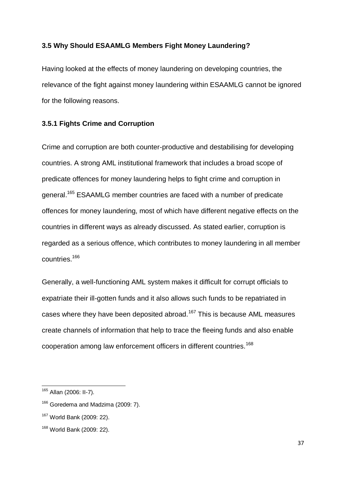### **3.5 Why Should ESAAMLG Members Fight Money Laundering?**

Having looked at the effects of money laundering on developing countries, the relevance of the fight against money laundering within ESAAMLG cannot be ignored for the following reasons.

### **3.5.1 Fights Crime and Corruption**

Crime and corruption are both counter-productive and destabilising for developing countries. A strong AML institutional framework that includes a broad scope of predicate offences for money laundering helps to fight crime and corruption in general.<sup>165</sup> ESAAMLG member countries are faced with a number of predicate offences for money laundering, most of which have different negative effects on the countries in different ways as already discussed. As stated earlier, corruption is regarded as a serious offence, which contributes to money laundering in all member countries.<sup>166</sup>

Generally, a well-functioning AML system makes it difficult for corrupt officials to expatriate their ill-gotten funds and it also allows such funds to be repatriated in cases where they have been deposited abroad.<sup>167</sup> This is because AML measures create channels of information that help to trace the fleeing funds and also enable cooperation among law enforcement officers in different countries.<sup>168</sup>

<sup>&</sup>lt;sup>165</sup> Allan (2006: II-7).

<sup>&</sup>lt;sup>166</sup> Goredema and Madzima (2009: 7).

<sup>167</sup> World Bank (2009: 22).

<sup>168</sup> World Bank (2009: 22).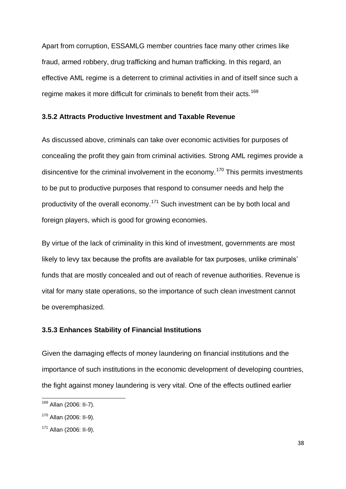Apart from corruption, ESSAMLG member countries face many other crimes like fraud, armed robbery, drug trafficking and human trafficking. In this regard, an effective AML regime is a deterrent to criminal activities in and of itself since such a regime makes it more difficult for criminals to benefit from their acts.<sup>169</sup>

#### **3.5.2 Attracts Productive Investment and Taxable Revenue**

As discussed above, criminals can take over economic activities for purposes of concealing the profit they gain from criminal activities. Strong AML regimes provide a disincentive for the criminal involvement in the economy.<sup>170</sup> This permits investments to be put to productive purposes that respond to consumer needs and help the productivity of the overall economy.<sup>171</sup> Such investment can be by both local and foreign players, which is good for growing economies.

By virtue of the lack of criminality in this kind of investment, governments are most likely to levy tax because the profits are available for tax purposes, unlike criminals' funds that are mostly concealed and out of reach of revenue authorities. Revenue is vital for many state operations, so the importance of such clean investment cannot be overemphasized.

#### **3.5.3 Enhances Stability of Financial Institutions**

Given the damaging effects of money laundering on financial institutions and the importance of such institutions in the economic development of developing countries, the fight against money laundering is very vital. One of the effects outlined earlier

 $\overline{\phantom{a}}$ <sup>169</sup> Allan (2006: II-7).

<sup>170</sup> Allan (2006: II-9).

<sup>171</sup> Allan (2006: II-9).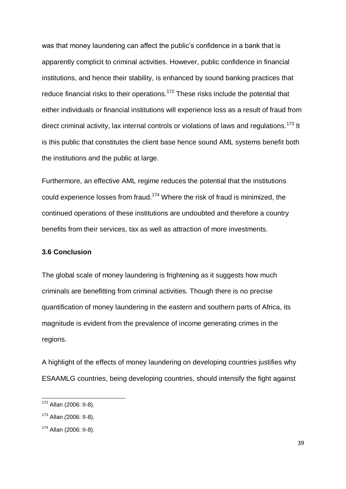was that money laundering can affect the public's confidence in a bank that is apparently complicit to criminal activities. However, public confidence in financial institutions, and hence their stability, is enhanced by sound banking practices that reduce financial risks to their operations.<sup>172</sup> These risks include the potential that either individuals or financial institutions will experience loss as a result of fraud from direct criminal activity, lax internal controls or violations of laws and regulations.<sup>173</sup> It is this public that constitutes the client base hence sound AML systems benefit both the institutions and the public at large.

Furthermore, an effective AML regime reduces the potential that the institutions could experience losses from fraud.<sup>174</sup> Where the risk of fraud is minimized, the continued operations of these institutions are undoubted and therefore a country benefits from their services, tax as well as attraction of more investments.

### **3.6 Conclusion**

The global scale of money laundering is frightening as it suggests how much criminals are benefitting from criminal activities. Though there is no precise quantification of money laundering in the eastern and southern parts of Africa, its magnitude is evident from the prevalence of income generating crimes in the regions.

A highlight of the effects of money laundering on developing countries justifies why ESAAMLG countries, being developing countries, should intensify the fight against

<sup>&</sup>lt;sup>172</sup> Allan (2006: II-8).

<sup>173</sup> Allan *(*2006: II-8).

<sup>174</sup> Allan (2006: II-8).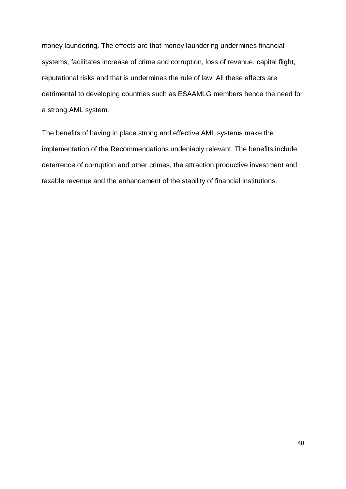money laundering. The effects are that money laundering undermines financial systems, facilitates increase of crime and corruption, loss of revenue, capital flight, reputational risks and that is undermines the rule of law. All these effects are detrimental to developing countries such as ESAAMLG members hence the need for a strong AML system.

The benefits of having in place strong and effective AML systems make the implementation of the Recommendations undeniably relevant. The benefits include deterrence of corruption and other crimes, the attraction productive investment and taxable revenue and the enhancement of the stability of financial institutions.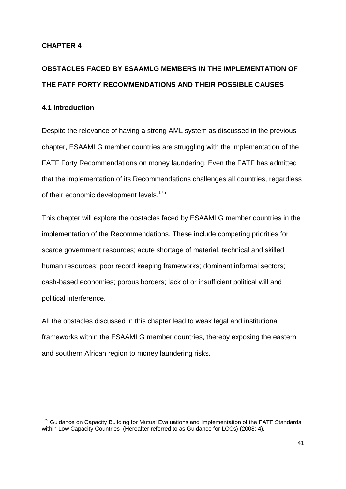# **CHAPTER 4**

# **OBSTACLES FACED BY ESAAMLG MEMBERS IN THE IMPLEMENTATION OF THE FATF FORTY RECOMMENDATIONS AND THEIR POSSIBLE CAUSES**

# **4.1 Introduction**

Despite the relevance of having a strong AML system as discussed in the previous chapter, ESAAMLG member countries are struggling with the implementation of the FATF Forty Recommendations on money laundering. Even the FATF has admitted that the implementation of its Recommendations challenges all countries, regardless of their economic development levels.<sup>175</sup>

This chapter will explore the obstacles faced by ESAAMLG member countries in the implementation of the Recommendations. These include competing priorities for scarce government resources; acute shortage of material, technical and skilled human resources; poor record keeping frameworks; dominant informal sectors; cash-based economies; porous borders; lack of or insufficient political will and political interference.

All the obstacles discussed in this chapter lead to weak legal and institutional frameworks within the ESAAMLG member countries, thereby exposing the eastern and southern African region to money laundering risks.

 $\overline{\phantom{a}}$ <sup>175</sup> Guidance on Capacity Building for Mutual Evaluations and Implementation of the FATF Standards within Low Capacity Countries (Hereafter referred to as Guidance for LCCs) (2008: 4).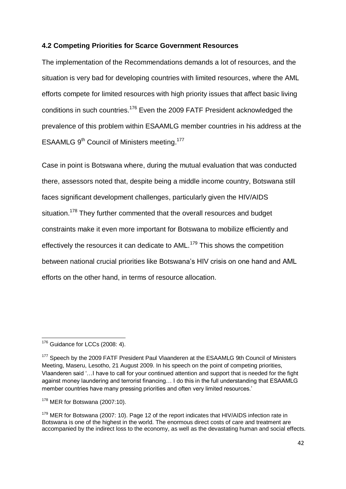#### **4.2 Competing Priorities for Scarce Government Resources**

The implementation of the Recommendations demands a lot of resources, and the situation is very bad for developing countries with limited resources, where the AML efforts compete for limited resources with high priority issues that affect basic living conditions in such countries.<sup>176</sup> Even the 2009 FATF President acknowledged the prevalence of this problem within ESAAMLG member countries in his address at the ESAAMLG 9<sup>th</sup> Council of Ministers meeting.<sup>177</sup>

Case in point is Botswana where, during the mutual evaluation that was conducted there, assessors noted that, despite being a middle income country, Botswana still faces significant development challenges, particularly given the HIV/AIDS situation.<sup>178</sup> They further commented that the overall resources and budget constraints make it even more important for Botswana to mobilize efficiently and effectively the resources it can dedicate to AML.<sup>179</sup> This shows the competition between national crucial priorities like Botswana's HIV crisis on one hand and AML efforts on the other hand, in terms of resource allocation.

 $\overline{\phantom{a}}$  $176$  Guidance for LCCs (2008: 4).

<sup>&</sup>lt;sup>177</sup> Speech by the 2009 FATF President Paul Vlaanderen at the ESAAMLG 9th Council of Ministers Meeting, Maseru, Lesotho, 21 August 2009. In his speech on the point of competing priorities, Vlaanderen said ‗…I have to call for your continued attention and support that is needed for the fight against money laundering and terrorist financing… I do this in the full understanding that ESAAMLG member countries have many pressing priorities and often very limited resources.'

 $178$  MER for Botswana (2007:10).

<sup>&</sup>lt;sup>179</sup> MER for Botswana (2007: 10). Page 12 of the report indicates that HIV/AIDS infection rate in Botswana is one of the highest in the world. The enormous direct costs of care and treatment are accompanied by the indirect loss to the economy, as well as the devastating human and social effects.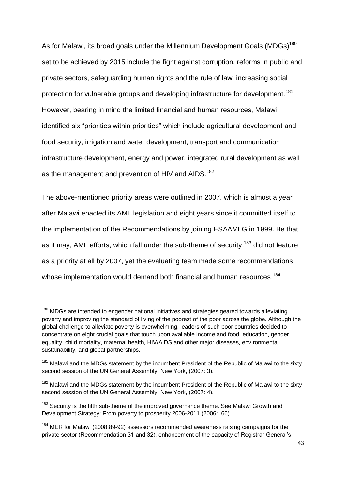As for Malawi, its broad goals under the Millennium Development Goals (MDGs)<sup>180</sup> set to be achieved by 2015 include the fight against corruption, reforms in public and private sectors, safeguarding human rights and the rule of law, increasing social protection for vulnerable groups and developing infrastructure for development.<sup>181</sup> However, bearing in mind the limited financial and human resources, Malawi identified six "priorities within priorities" which include agricultural development and food security, irrigation and water development, transport and communication infrastructure development, energy and power, integrated rural development as well as the management and prevention of HIV and AIDS.<sup>182</sup>

The above-mentioned priority areas were outlined in 2007, which is almost a year after Malawi enacted its AML legislation and eight years since it committed itself to the implementation of the Recommendations by joining ESAAMLG in 1999. Be that as it may, AML efforts, which fall under the sub-theme of security,<sup>183</sup> did not feature as a priority at all by 2007, yet the evaluating team made some recommendations whose implementation would demand both financial and human resources.<sup>184</sup>

1

<sup>&</sup>lt;sup>180</sup> MDGs are intended to engender national initiatives and strategies geared towards alleviating poverty and improving the standard of living of the poorest of the poor across the globe. Although the global challenge to alleviate poverty is overwhelming, leaders of such poor countries decided to concentrate on eight crucial goals that touch upon available income and food, education, gender equality, child mortality, maternal health, HIV/AIDS and other major diseases, environmental sustainability, and global partnerships.

<sup>&</sup>lt;sup>181</sup> Malawi and the MDGs statement by the incumbent President of the Republic of Malawi to the sixty second session of the UN General Assembly, New York, (2007: 3).

<sup>&</sup>lt;sup>182</sup> Malawi and the MDGs statement by the incumbent President of the Republic of Malawi to the sixty second session of the UN General Assembly, New York, (2007: 4).

 $183$  Security is the fifth sub-theme of the improved governance theme. See Malawi Growth and Development Strategy: From poverty to prosperity 2006-2011 (2006: 66).

<sup>&</sup>lt;sup>184</sup> MER for Malawi (2008:89-92) assessors recommended awareness raising campaigns for the private sector (Recommendation 31 and 32), enhancement of the capacity of Registrar General's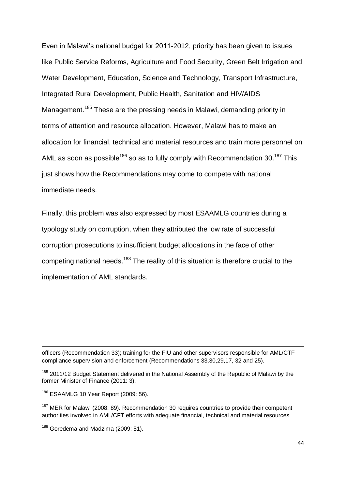Even in Malawi's national budget for 2011-2012, priority has been given to issues like Public Service Reforms, Agriculture and Food Security, Green Belt Irrigation and Water Development, Education, Science and Technology, Transport Infrastructure, Integrated Rural Development, Public Health, Sanitation and HIV/AIDS Management.<sup>185</sup> These are the pressing needs in Malawi, demanding priority in terms of attention and resource allocation. However, Malawi has to make an allocation for financial, technical and material resources and train more personnel on AML as soon as possible<sup>186</sup> so as to fully comply with Recommendation 30.<sup>187</sup> This just shows how the Recommendations may come to compete with national immediate needs.

Finally, this problem was also expressed by most ESAAMLG countries during a typology study on corruption, when they attributed the low rate of successful corruption prosecutions to insufficient budget allocations in the face of other competing national needs.<sup>188</sup> The reality of this situation is therefore crucial to the implementation of AML standards.

officers (Recommendation 33); training for the FIU and other supervisors responsible for AML/CTF compliance supervision and enforcement (Recommendations 33,30,29,17, 32 and 25).

<sup>185</sup> 2011/12 Budget Statement delivered in the National Assembly of the Republic of Malawi by the former Minister of Finance (2011: 3).

<sup>186</sup> ESAAMLG 10 Year Report (2009: 56).

**.** 

 $187$  MER for Malawi (2008: 89). Recommendation 30 requires countries to provide their competent authorities involved in AML/CFT efforts with adequate financial, technical and material resources.

<sup>&</sup>lt;sup>188</sup> Goredema and Madzima (2009: 51).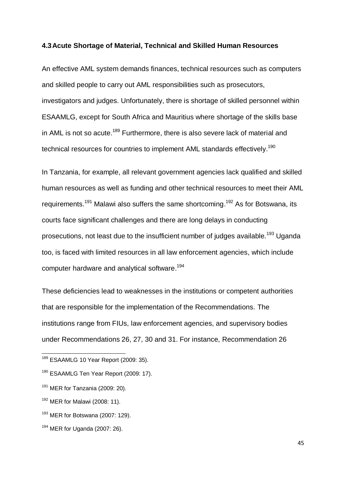#### **4.3Acute Shortage of Material, Technical and Skilled Human Resources**

An effective AML system demands finances, technical resources such as computers and skilled people to carry out AML responsibilities such as prosecutors, investigators and judges. Unfortunately, there is shortage of skilled personnel within ESAAMLG, except for South Africa and Mauritius where shortage of the skills base in AML is not so acute.<sup>189</sup> Furthermore, there is also severe lack of material and technical resources for countries to implement AML standards effectively.<sup>190</sup>

In Tanzania, for example, all relevant government agencies lack qualified and skilled human resources as well as funding and other technical resources to meet their AML requirements.<sup>191</sup> Malawi also suffers the same shortcoming.<sup>192</sup> As for Botswana, its courts face significant challenges and there are long delays in conducting prosecutions, not least due to the insufficient number of judges available.<sup>193</sup> Uganda too, is faced with limited resources in all law enforcement agencies, which include computer hardware and analytical software. 194

These deficiencies lead to weaknesses in the institutions or competent authorities that are responsible for the implementation of the Recommendations. The institutions range from FIUs, law enforcement agencies, and supervisory bodies under Recommendations 26, 27, 30 and 31. For instance, Recommendation 26

<sup>&</sup>lt;sup>189</sup> ESAAMLG 10 Year Report (2009: 35).

<sup>&</sup>lt;sup>190</sup> ESAAMLG Ten Year Report (2009: 17).

 $191$  MER for Tanzania (2009: 20).

<sup>&</sup>lt;sup>192</sup> MER for Malawi (2008: 11).

 $193$  MER for Botswana (2007: 129).

<sup>194</sup> MER for Uganda (2007: 26).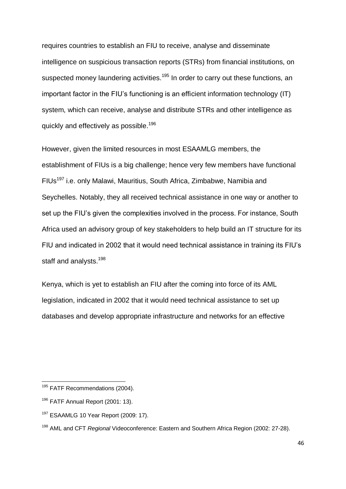requires countries to establish an FIU to receive, analyse and disseminate intelligence on suspicious transaction reports (STRs) from financial institutions, on suspected money laundering activities.<sup>195</sup> In order to carry out these functions, an important factor in the FIU's functioning is an efficient information technology (IT) system, which can receive, analyse and distribute STRs and other intelligence as quickly and effectively as possible.<sup>196</sup>

However, given the limited resources in most ESAAMLG members, the establishment of FIUs is a big challenge; hence very few members have functional FIUs<sup>197</sup> i.e. only Malawi, Mauritius, South Africa, Zimbabwe, Namibia and Seychelles. Notably, they all received technical assistance in one way or another to set up the FIU's given the complexities involved in the process. For instance, South Africa used an advisory group of key stakeholders to help build an IT structure for its FIU and indicated in 2002 that it would need technical assistance in training its FIU's staff and analysts.<sup>198</sup>

Kenya, which is yet to establish an FIU after the coming into force of its AML legislation, indicated in 2002 that it would need technical assistance to set up databases and develop appropriate infrastructure and networks for an effective

<sup>&</sup>lt;sup>195</sup> FATF Recommendations (2004).

 $196$  FATF Annual Report (2001: 13).

 $197$  ESAAMLG 10 Year Report (2009: 17).

<sup>198</sup> AML and CFT *Regional* Videoconference: Eastern and Southern Africa Region (2002: 27-28).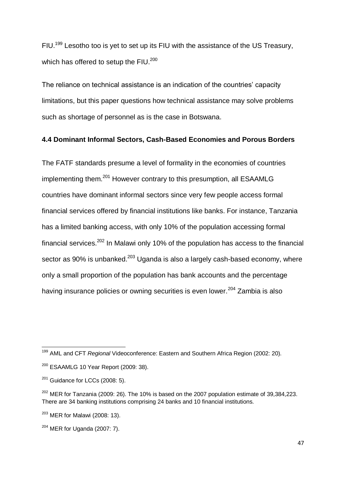FIU.<sup>199</sup> Lesotho too is yet to set up its FIU with the assistance of the US Treasury, which has offered to setup the FIU.<sup>200</sup>

The reliance on technical assistance is an indication of the countries' capacity limitations, but this paper questions how technical assistance may solve problems such as shortage of personnel as is the case in Botswana.

#### **4.4 Dominant Informal Sectors, Cash-Based Economies and Porous Borders**

The FATF standards presume a level of formality in the economies of countries implementing them.<sup>201</sup> However contrary to this presumption, all ESAAMLG countries have dominant informal sectors since very few people access formal financial services offered by financial institutions like banks. For instance, Tanzania has a limited banking access, with only 10% of the population accessing formal financial services. $202$  In Malawi only 10% of the population has access to the financial sector as 90% is unbanked.<sup>203</sup> Uganda is also a largely cash-based economy, where only a small proportion of the population has bank accounts and the percentage having insurance policies or owning securities is even lower.<sup>204</sup> Zambia is also

 $\overline{\phantom{a}}$ <sup>199</sup> AML and CFT *Regional* Videoconference: Eastern and Southern Africa Region (2002: 20).

<sup>200</sup> ESAAMLG 10 Year Report (2009: 38).

 $201$  Guidance for LCCs (2008: 5).

 $202$  MER for Tanzania (2009: 26). The 10% is based on the 2007 population estimate of 39,384,223. There are 34 banking institutions comprising 24 banks and 10 financial institutions.

 $203$  MER for Malawi (2008: 13).

 $204$  MER for Uganda (2007: 7).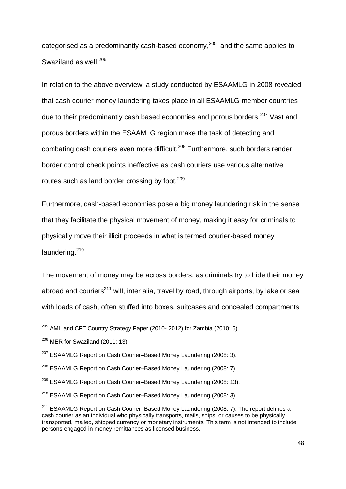categorised as a predominantly cash-based economy, $205$  and the same applies to Swaziland as well.<sup>206</sup>

In relation to the above overview, a study conducted by ESAAMLG in 2008 revealed that cash courier money laundering takes place in all ESAAMLG member countries due to their predominantly cash based economies and porous borders.<sup>207</sup> Vast and porous borders within the ESAAMLG region make the task of detecting and combating cash couriers even more difficult.<sup>208</sup> Furthermore, such borders render border control check points ineffective as cash couriers use various alternative routes such as land border crossing by foot.<sup>209</sup>

Furthermore, cash-based economies pose a big money laundering risk in the sense that they facilitate the physical movement of money, making it easy for criminals to physically move their illicit proceeds in what is termed courier-based money laundering.<sup>210</sup>

The movement of money may be across borders, as criminals try to hide their money abroad and couriers<sup>211</sup> will, inter alia, travel by road, through airports, by lake or sea with loads of cash, often stuffed into boxes, suitcases and concealed compartments

 $^{205}$  AML and CFT Country Strategy Paper (2010- 2012) for Zambia (2010: 6).

<sup>&</sup>lt;sup>206</sup> MER for Swaziland (2011: 13).

 $207$  ESAAMLG Report on Cash Courier–Based Money Laundering (2008: 3).

<sup>&</sup>lt;sup>208</sup> ESAAMLG Report on Cash Courier–Based Money Laundering (2008: 7).

<sup>&</sup>lt;sup>209</sup> ESAAMLG Report on Cash Courier–Based Money Laundering (2008: 13).

<sup>&</sup>lt;sup>210</sup> ESAAMLG Report on Cash Courier–Based Money Laundering (2008: 3).

 $211$  ESAAMLG Report on Cash Courier–Based Money Laundering (2008: 7). The report defines a cash courier as an individual who physically transports, mails, ships, or causes to be physically transported, mailed, shipped currency or monetary instruments. This term is not intended to include persons engaged in money remittances as licensed business.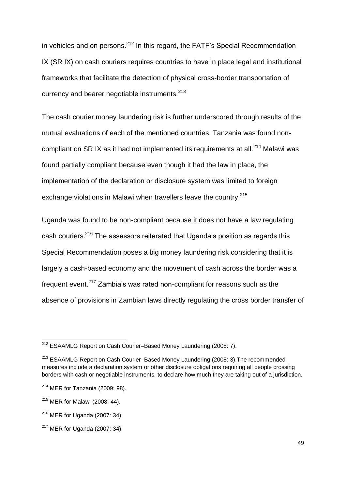in vehicles and on persons.<sup>212</sup> In this regard, the FATF's Special Recommendation IX (SR IX) on cash couriers requires countries to have in place legal and institutional frameworks that facilitate the detection of physical cross-border transportation of currency and bearer negotiable instruments.<sup>213</sup>

The cash courier money laundering risk is further underscored through results of the mutual evaluations of each of the mentioned countries. Tanzania was found noncompliant on SR IX as it had not implemented its requirements at all.<sup>214</sup> Malawi was found partially compliant because even though it had the law in place, the implementation of the declaration or disclosure system was limited to foreign exchange violations in Malawi when travellers leave the country.<sup>215</sup>

Uganda was found to be non-compliant because it does not have a law regulating cash couriers.<sup>216</sup> The assessors reiterated that Uganda's position as regards this Special Recommendation poses a big money laundering risk considering that it is largely a cash-based economy and the movement of cash across the border was a frequent event.<sup>217</sup> Zambia's was rated non-compliant for reasons such as the absence of provisions in Zambian laws directly regulating the cross border transfer of

 $\overline{\phantom{a}}$ <sup>212</sup> ESAAMLG Report on Cash Courier–Based Money Laundering (2008: 7).

<sup>&</sup>lt;sup>213</sup> ESAAMLG Report on Cash Courier–Based Money Laundering (2008: 3). The recommended measures include a declaration system or other disclosure obligations requiring all people crossing borders with cash or negotiable instruments, to declare how much they are taking out of a jurisdiction.

 $214$  MER for Tanzania (2009: 98).

 $215$  MER for Malawi (2008: 44).

 $216$  MER for Uganda (2007: 34).

 $217$  MER for Uganda (2007: 34).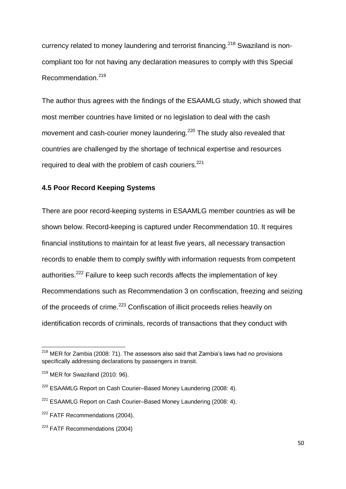currency related to money laundering and terrorist financing.<sup>218</sup> Swaziland is noncompliant too for not having any declaration measures to comply with this Special Recommendation.<sup>219</sup>

The author thus agrees with the findings of the ESAAMLG study, which showed that most member countries have limited or no legislation to deal with the cash movement and cash-courier money laundering.<sup>220</sup> The study also revealed that countries are challenged by the shortage of technical expertise and resources required to deal with the problem of cash couriers.<sup>221</sup>

# **4.5 Poor Record Keeping Systems**

There are poor record-keeping systems in ESAAMLG member countries as will be shown below. Record-keeping is captured under Recommendation 10. It requires financial institutions to maintain for at least five years, all necessary transaction records to enable them to comply swiftly with information requests from competent authorities.<sup>222</sup> Failure to keep such records affects the implementation of key Recommendations such as Recommendation 3 on confiscation, freezing and seizing of the proceeds of crime.<sup>223</sup> Confiscation of illicit proceeds relies heavily on identification records of criminals, records of transactions that they conduct with

<sup>&</sup>lt;sup>218</sup> MER for Zambia (2008: 71). The assessors also said that Zambia's laws had no provisions specifically addressing declarations by passengers in transit.

 $219$  MER for Swaziland (2010: 96).

 $220$  ESAAMLG Report on Cash Courier–Based Money Laundering (2008: 4).

 $221$  ESAAMLG Report on Cash Courier–Based Money Laundering (2008: 4).

<sup>&</sup>lt;sup>222</sup> FATF Recommendations (2004).

<sup>223</sup> FATF Recommendations (2004)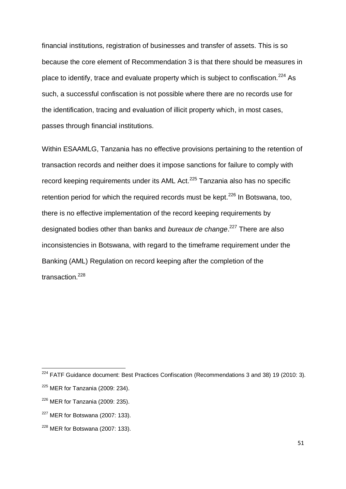financial institutions, registration of businesses and transfer of assets. This is so because the core element of Recommendation 3 is that there should be measures in place to identify, trace and evaluate property which is subject to confiscation.<sup>224</sup> As such, a successful confiscation is not possible where there are no records use for the identification, tracing and evaluation of illicit property which, in most cases, passes through financial institutions.

Within ESAAMLG, Tanzania has no effective provisions pertaining to the retention of transaction records and neither does it impose sanctions for failure to comply with record keeping requirements under its AML Act. $225$  Tanzania also has no specific retention period for which the required records must be kept.<sup>226</sup> In Botswana, too, there is no effective implementation of the record keeping requirements by designated bodies other than banks and *bureaux de change*. <sup>227</sup> There are also inconsistencies in Botswana, with regard to the timeframe requirement under the Banking (AML) Regulation on record keeping after the completion of the transaction $228$ 

 $224$  FATF Guidance document: Best Practices Confiscation (Recommendations 3 and 38) 19 (2010: 3).

 $225$  MER for Tanzania (2009: 234).

 $226$  MER for Tanzania (2009: 235).

 $227$  MER for Botswana (2007: 133).

<sup>228</sup> MER for Botswana (2007: 133).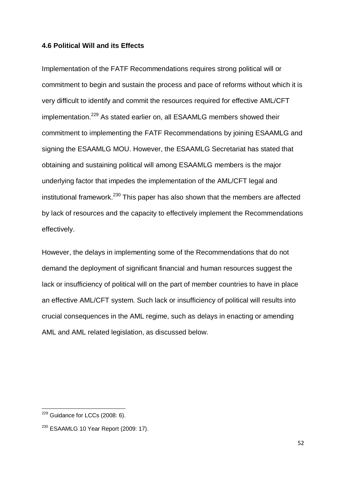#### **4.6 Political Will and its Effects**

Implementation of the FATF Recommendations requires strong political will or commitment to begin and sustain the process and pace of reforms without which it is very difficult to identify and commit the resources required for effective AML/CFT implementation.<sup>229</sup> As stated earlier on, all ESAAMLG members showed their commitment to implementing the FATF Recommendations by joining ESAAMLG and signing the ESAAMLG MOU. However, the ESAAMLG Secretariat has stated that obtaining and sustaining political will among ESAAMLG members is the major underlying factor that impedes the implementation of the AML/CFT legal and institutional framework. $^{230}$  This paper has also shown that the members are affected by lack of resources and the capacity to effectively implement the Recommendations effectively.

However, the delays in implementing some of the Recommendations that do not demand the deployment of significant financial and human resources suggest the lack or insufficiency of political will on the part of member countries to have in place an effective AML/CFT system. Such lack or insufficiency of political will results into crucial consequences in the AML regime, such as delays in enacting or amending AML and AML related legislation, as discussed below.

 $\overline{\phantom{a}}$  $229$  Guidance for LCCs (2008: 6).

 $230$  ESAAMLG 10 Year Report (2009: 17).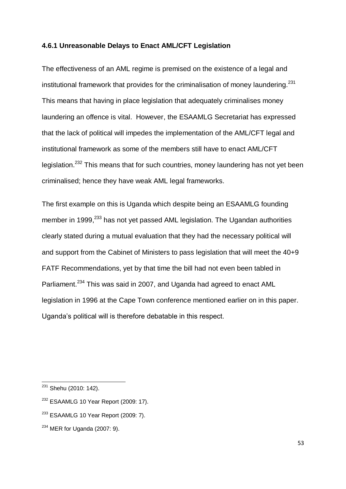#### **4.6.1 Unreasonable Delays to Enact AML/CFT Legislation**

The effectiveness of an AML regime is premised on the existence of a legal and institutional framework that provides for the criminalisation of money laundering.<sup>231</sup> This means that having in place legislation that adequately criminalises money laundering an offence is vital. However, the ESAAMLG Secretariat has expressed that the lack of political will impedes the implementation of the AML/CFT legal and institutional framework as some of the members still have to enact AML/CFT legislation.<sup>232</sup> This means that for such countries, money laundering has not yet been criminalised; hence they have weak AML legal frameworks.

The first example on this is Uganda which despite being an ESAAMLG founding member in 1999,<sup>233</sup> has not yet passed AML legislation. The Ugandan authorities clearly stated during a mutual evaluation that they had the necessary political will and support from the Cabinet of Ministers to pass legislation that will meet the 40+9 FATF Recommendations, yet by that time the bill had not even been tabled in Parliament.<sup>234</sup> This was said in 2007, and Uganda had agreed to enact AML legislation in 1996 at the Cape Town conference mentioned earlier on in this paper. Uganda's political will is therefore debatable in this respect.

<sup>&</sup>lt;sup>231</sup> Shehu (2010: 142).

 $232$  ESAAMLG 10 Year Report (2009: 17).

 $233$  ESAAMLG 10 Year Report (2009: 7).

 $234$  MER for Uganda (2007: 9).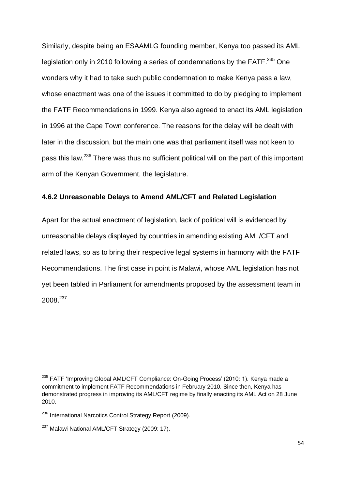Similarly, despite being an ESAAMLG founding member, Kenya too passed its AML legislation only in 2010 following a series of condemnations by the FATF.<sup>235</sup> One wonders why it had to take such public condemnation to make Kenya pass a law, whose enactment was one of the issues it committed to do by pledging to implement the FATF Recommendations in 1999. Kenya also agreed to enact its AML legislation in 1996 at the Cape Town conference. The reasons for the delay will be dealt with later in the discussion, but the main one was that parliament itself was not keen to pass this law.<sup>236</sup> There was thus no sufficient political will on the part of this important arm of the Kenyan Government, the legislature.

#### **4.6.2 Unreasonable Delays to Amend AML/CFT and Related Legislation**

Apart for the actual enactment of legislation, lack of political will is evidenced by unreasonable delays displayed by countries in amending existing AML/CFT and related laws, so as to bring their respective legal systems in harmony with the FATF Recommendations. The first case in point is Malawi, whose AML legislation has not yet been tabled in Parliament for amendments proposed by the assessment team in 2008.<sup>237</sup>

<sup>&</sup>lt;sup>235</sup> FATF 'Improving Global AML/CFT Compliance: On-Going Process' (2010: 1). Kenya made a commitment to implement FATF Recommendations in February 2010. Since then, Kenya has demonstrated progress in improving its AML/CFT regime by finally enacting its AML Act on 28 June 2010.

<sup>&</sup>lt;sup>236</sup> [International Narcotics Control Strategy Report \(](http://www.state.gov/p/inl/rls/nrcrpt/2009/index.htm)2009).

<sup>&</sup>lt;sup>237</sup> Malawi National AML/CFT Strategy (2009: 17).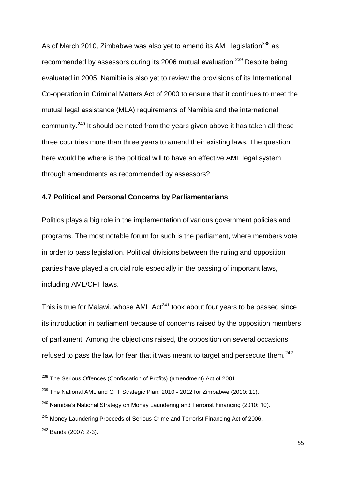As of March 2010, Zimbabwe was also yet to amend its AML legislation<sup>238</sup> as recommended by assessors during its 2006 mutual evaluation.<sup>239</sup> Despite being evaluated in 2005, Namibia is also yet to review the provisions of its International Co-operation in Criminal Matters Act of 2000 to ensure that it continues to meet the mutual legal assistance (MLA) requirements of Namibia and the international community.<sup>240</sup> It should be noted from the years given above it has taken all these three countries more than three years to amend their existing laws. The question here would be where is the political will to have an effective AML legal system through amendments as recommended by assessors?

# **4.7 Political and Personal Concerns by Parliamentarians**

Politics plays a big role in the implementation of various government policies and programs. The most notable forum for such is the parliament, where members vote in order to pass legislation. Political divisions between the ruling and opposition parties have played a crucial role especially in the passing of important laws, including AML/CFT laws.

This is true for Malawi, whose AML  $Act^{241}$  took about four years to be passed since its introduction in parliament because of concerns raised by the opposition members of parliament. Among the objections raised, the opposition on several occasions refused to pass the law for fear that it was meant to target and persecute them.<sup>242</sup>

<sup>&</sup>lt;sup>238</sup> The Serious Offences (Confiscation of Profits) (amendment) Act of 2001.

<sup>&</sup>lt;sup>239</sup> The National AML and CFT Strategic Plan: 2010 - 2012 for Zimbabwe (2010: 11).

 $240$  Namibia's National Strategy on Money Laundering and Terrorist Financing (2010: 10).

<sup>&</sup>lt;sup>241</sup> Money Laundering Proceeds of Serious Crime and Terrorist Financing Act of 2006.

<sup>242</sup> Banda (2007: 2-3).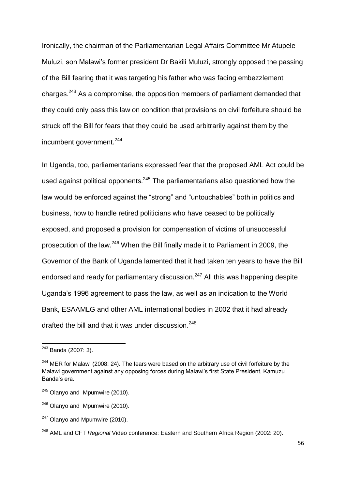Ironically, the chairman of the Parliamentarian Legal Affairs Committee Mr Atupele Muluzi, son Malawi's former president Dr Bakili Muluzi, strongly opposed the passing of the Bill fearing that it was targeting his father who was facing embezzlement charges.<sup>243</sup> As a compromise, the opposition members of parliament demanded that they could only pass this law on condition that provisions on civil forfeiture should be struck off the Bill for fears that they could be used arbitrarily against them by the incumbent government.<sup>244</sup>

In Uganda, too, parliamentarians expressed fear that the proposed AML Act could be used against political opponents. $245$  The parliamentarians also questioned how the law would be enforced against the "strong" and "untouchables" both in politics and business, how to handle retired politicians who have ceased to be politically exposed, and proposed a provision for compensation of victims of unsuccessful prosecution of the law.<sup>246</sup> When the Bill finally made it to Parliament in 2009, the Governor of the Bank of Uganda lamented that it had taken ten years to have the Bill endorsed and ready for parliamentary discussion.<sup>247</sup> All this was happening despite Uganda's 1996 agreement to pass the law, as well as an indication to the World Bank, ESAAMLG and other AML international bodies in 2002 that it had already drafted the bill and that it was under discussion.<sup>248</sup>

<sup>&</sup>lt;sup>243</sup> Banda (2007: 3).

 $244$  MER for Malawi (2008: 24). The fears were based on the arbitrary use of civil forfeiture by the Malawi government against any opposing forces during Malawi's first State President, Kamuzu Banda's era.

 $245$  Olanyo and Mpumwire (2010).

 $246$  Olanyo and Mpumwire (2010).

 $247$  Olanyo and Mpumwire (2010).

<sup>248</sup> AML and CFT *Regional* Video conference: Eastern and Southern Africa Region (2002: 20).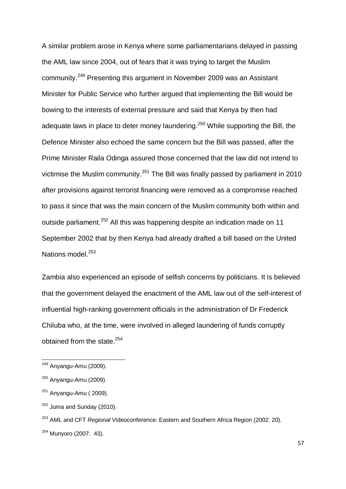A similar problem arose in Kenya where some parliamentarians delayed in passing the AML law since 2004, out of fears that it was trying to target the Muslim community.<sup>249</sup> Presenting this argument in November 2009 was an Assistant Minister for Public Service who further argued that implementing the Bill would be bowing to the interests of external pressure and said that Kenya by then had adequate laws in place to deter money laundering.<sup>250</sup> While supporting the Bill, the Defence Minister also echoed the same concern but the Bill was passed, after the Prime Minister Raila Odinga assured those concerned that the law did not intend to victimise the Muslim community.<sup>251</sup> The Bill was finally passed by parliament in 2010 after provisions against terrorist financing were removed as a compromise reached to pass it since that was the main concern of the Muslim community both within and outside parliament.<sup>252</sup> All this was happening despite an indication made on 11 September 2002 that by then Kenya had already drafted a bill based on the United Nations model.<sup>253</sup>

Zambia also experienced an episode of selfish concerns by politicians. It is believed that the government delayed the enactment of the AML law out of the self-interest of influential high-ranking government officials in the administration of Dr Frederick Chiluba who, at the time, were involved in alleged laundering of funds corruptly obtained from the state.<sup>254</sup>

<sup>&</sup>lt;sup>249</sup> Anyangu-Amu (2009).

<sup>250</sup> Anyangu-Amu (2009).

 $251$  Anyangu-Amu (2009).

 $252$  Juma and Sunday (2010).

<sup>253</sup> AML and CFT *Regional* Videoconference: Eastern and Southern Africa Region (2002: 20).

 $254$  Munyoro (2007: 43).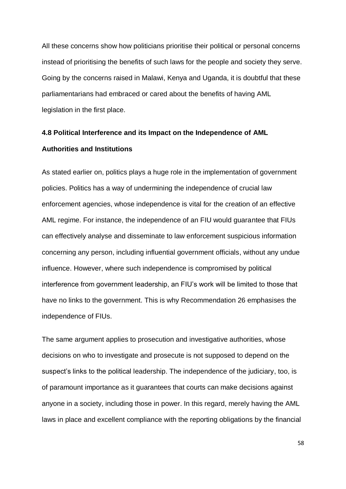All these concerns show how politicians prioritise their political or personal concerns instead of prioritising the benefits of such laws for the people and society they serve. Going by the concerns raised in Malawi, Kenya and Uganda, it is doubtful that these parliamentarians had embraced or cared about the benefits of having AML legislation in the first place.

# **4.8 Political Interference and its Impact on the Independence of AML Authorities and Institutions**

As stated earlier on, politics plays a huge role in the implementation of government policies. Politics has a way of undermining the independence of crucial law enforcement agencies, whose independence is vital for the creation of an effective AML regime. For instance, the independence of an FIU would guarantee that FIUs can effectively analyse and disseminate to law enforcement suspicious information concerning any person, including influential government officials, without any undue influence. However, where such independence is compromised by political interference from government leadership, an FIU's work will be limited to those that have no links to the government. This is why Recommendation 26 emphasises the independence of FIUs.

The same argument applies to prosecution and investigative authorities, whose decisions on who to investigate and prosecute is not supposed to depend on the suspect's links to the political leadership. The independence of the judiciary, too, is of paramount importance as it guarantees that courts can make decisions against anyone in a society, including those in power. In this regard, merely having the AML laws in place and excellent compliance with the reporting obligations by the financial

58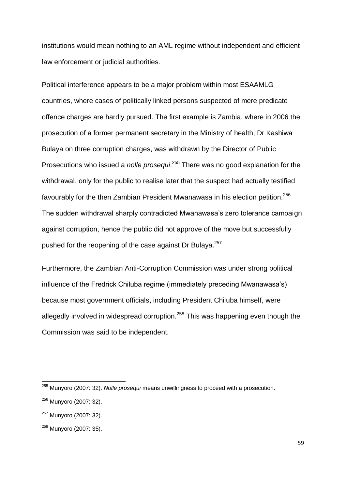institutions would mean nothing to an AML regime without independent and efficient law enforcement or judicial authorities.

Political interference appears to be a major problem within most ESAAMLG countries, where cases of politically linked persons suspected of mere predicate offence charges are hardly pursued. The first example is Zambia, where in 2006 the prosecution of a former permanent secretary in the Ministry of health, Dr Kashiwa Bulaya on three corruption charges, was withdrawn by the Director of Public Prosecutions who issued a *nolle prosequi*. <sup>255</sup> There was no good explanation for the withdrawal, only for the public to realise later that the suspect had actually testified favourably for the then Zambian President Mwanawasa in his election petition.<sup>256</sup> The sudden withdrawal sharply contradicted Mwanawasa's zero tolerance campaign against corruption, hence the public did not approve of the move but successfully pushed for the reopening of the case against Dr Bulaya.<sup>257</sup>

Furthermore, the Zambian Anti-Corruption Commission was under strong political influence of the Fredrick Chiluba regime (immediately preceding Mwanawasa's) because most government officials, including President Chiluba himself, were allegedly involved in widespread corruption.<sup>258</sup> This was happening even though the Commission was said to be independent.

<sup>255</sup> Munyoro (2007: 32). *Nolle prosequi* means unwillingness to proceed with a prosecution.

<sup>256</sup> Munyoro (2007: 32).

<sup>257</sup> Munyoro (2007: 32).

<sup>258</sup> Munyoro (2007: 35).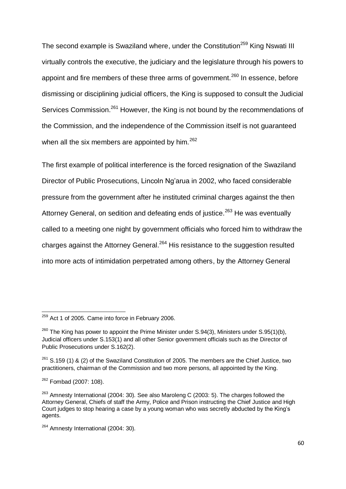The second example is Swaziland where, under the Constitution<sup>259</sup> King Nswati III virtually controls the executive, the judiciary and the legislature through his powers to appoint and fire members of these three arms of government.<sup>260</sup> In essence, before dismissing or disciplining judicial officers, the King is supposed to consult the Judicial Services Commission.<sup>261</sup> However, the King is not bound by the recommendations of the Commission, and the independence of the Commission itself is not guaranteed when all the six members are appointed by him.<sup>262</sup>

The first example of political interference is the forced resignation of the Swaziland Director of Public Prosecutions, Lincoln Ng'arua in 2002, who faced considerable pressure from the government after he instituted criminal charges against the then Attorney General, on sedition and defeating ends of justice.<sup>263</sup> He was eventually called to a meeting one night by government officials who forced him to withdraw the charges against the Attorney General.<sup>264</sup> His resistance to the suggestion resulted into more acts of intimidation perpetrated among others, by the Attorney General

 $259$  Act 1 of 2005. Came into force in February 2006.

 $^{260}$  The King has power to appoint the Prime Minister under S.94(3), Ministers under S.95(1)(b), Judicial officers under S.153(1) and all other Senior government officials such as the Director of Public Prosecutions under S.162(2).

<sup>&</sup>lt;sup>261</sup> S.159 (1) & (2) of the Swaziland Constitution of 2005. The members are the Chief Justice, two practitioners, chairman of the Commission and two more persons, all appointed by the King.

<sup>&</sup>lt;sup>262</sup> Fombad (2007: 108).

<sup>263</sup> Amnesty International (2004: 30)*.* See also Maroleng C (2003: 5). The charges followed the Attorney General, Chiefs of staff the Army, Police and Prison instructing the Chief Justice and High Court judges to stop hearing a case by a young woman who was secretly abducted by the King's agents.

<sup>264</sup> Amnesty International (2004: 30)*.*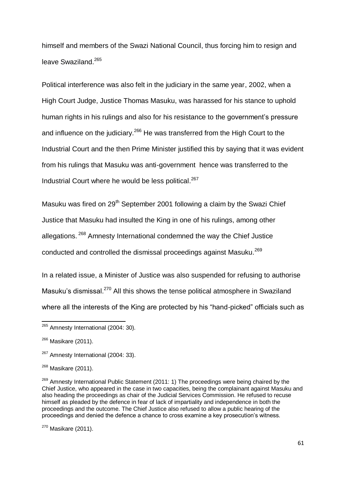himself and members of the Swazi National Council, thus forcing him to resign and leave Swaziland.<sup>265</sup>

Political interference was also felt in the judiciary in the same year, 2002, when a High Court Judge, Justice Thomas Masuku, was harassed for his stance to uphold human rights in his rulings and also for his resistance to the government's pressure and influence on the judiciary.<sup>266</sup> He was transferred from the High Court to the Industrial Court and the then Prime Minister justified this by saying that it was evident from his rulings that Masuku was anti-government hence was transferred to the Industrial Court where he would be less political.<sup>267</sup>

Masuku was fired on  $29<sup>th</sup>$  September 2001 following a claim by the Swazi Chief Justice that Masuku had insulted the King in one of his rulings, among other allegations. <sup>268</sup> Amnesty International condemned the way the Chief Justice conducted and controlled the dismissal proceedings against Masuku.<sup>269</sup>

In a related issue, a Minister of Justice was also suspended for refusing to authorise Masuku's dismissal.<sup>270</sup> All this shows the tense political atmosphere in Swaziland where all the interests of the King are protected by his "hand-picked" officials such as

 $\overline{\phantom{a}}$ 

 $270$  Masikare (2011).

<sup>265</sup> Amnesty International (2004: 30)*.*

<sup>&</sup>lt;sup>266</sup> Masikare (2011).

<sup>&</sup>lt;sup>267</sup> Amnesty International (2004: 33).

 $268$  Masikare (2011).

<sup>&</sup>lt;sup>269</sup> Amnesty International Public Statement (2011: 1) The proceedings were being chaired by the Chief Justice, who appeared in the case in two capacities, being the complainant against Masuku and also heading the proceedings as chair of the Judicial Services Commission. He refused to recuse himself as pleaded by the defence in fear of lack of impartiality and independence in both the proceedings and the outcome. The Chief Justice also refused to allow a public hearing of the proceedings and denied the defence a chance to cross examine a key prosecution's witness.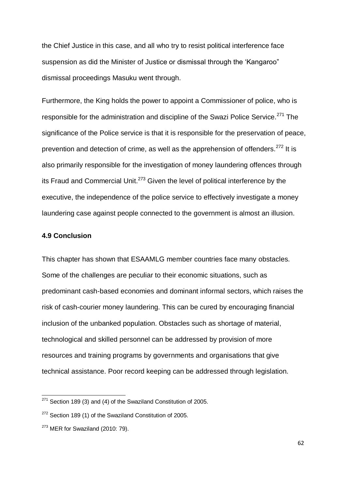the Chief Justice in this case, and all who try to resist political interference face suspension as did the Minister of Justice or dismissal through the 'Kangaroo" dismissal proceedings Masuku went through.

Furthermore, the King holds the power to appoint a Commissioner of police, who is responsible for the administration and discipline of the Swazi Police Service.<sup>271</sup> The significance of the Police service is that it is responsible for the preservation of peace, prevention and detection of crime, as well as the apprehension of offenders.<sup>272</sup> It is also primarily responsible for the investigation of money laundering offences through its Fraud and Commercial Unit.<sup>273</sup> Given the level of political interference by the executive, the independence of the police service to effectively investigate a money laundering case against people connected to the government is almost an illusion.

#### **4.9 Conclusion**

This chapter has shown that ESAAMLG member countries face many obstacles. Some of the challenges are peculiar to their economic situations, such as predominant cash-based economies and dominant informal sectors, which raises the risk of cash-courier money laundering. This can be cured by encouraging financial inclusion of the unbanked population. Obstacles such as shortage of material, technological and skilled personnel can be addressed by provision of more resources and training programs by governments and organisations that give technical assistance. Poor record keeping can be addressed through legislation.

 $271$  Section 189 (3) and (4) of the Swaziland Constitution of 2005.

 $272$  Section 189 (1) of the Swaziland Constitution of 2005.

 $273$  MER for Swaziland (2010: 79).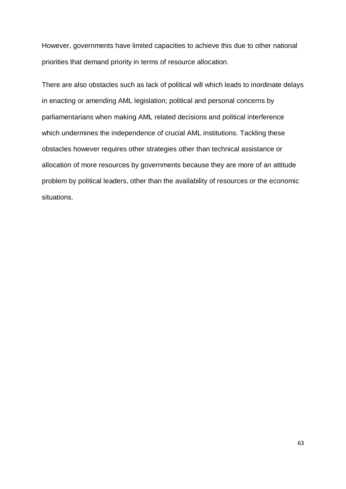However, governments have limited capacities to achieve this due to other national priorities that demand priority in terms of resource allocation.

There are also obstacles such as lack of political will which leads to inordinate delays in enacting or amending AML legislation; political and personal concerns by parliamentarians when making AML related decisions and political interference which undermines the independence of crucial AML institutions. Tackling these obstacles however requires other strategies other than technical assistance or allocation of more resources by governments because they are more of an attitude problem by political leaders, other than the availability of resources or the economic situations.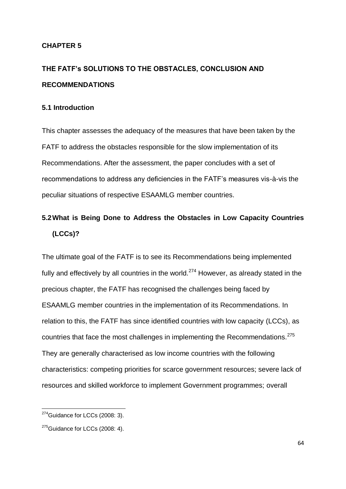#### **CHAPTER 5**

# **THE FATF's SOLUTIONS TO THE OBSTACLES, CONCLUSION AND RECOMMENDATIONS**

#### **5.1 Introduction**

This chapter assesses the adequacy of the measures that have been taken by the FATF to address the obstacles responsible for the slow implementation of its Recommendations. After the assessment, the paper concludes with a set of recommendations to address any deficiencies in the FATF's measures vis-à-vis the peculiar situations of respective ESAAMLG member countries.

## **5.2What is Being Done to Address the Obstacles in Low Capacity Countries (LCCs)?**

The ultimate goal of the FATF is to see its Recommendations being implemented fully and effectively by all countries in the world.<sup>274</sup> However, as already stated in the precious chapter, the FATF has recognised the challenges being faced by ESAAMLG member countries in the implementation of its Recommendations. In relation to this, the FATF has since identified countries with low capacity (LCCs), as countries that face the most challenges in implementing the Recommendations.<sup>275</sup> They are generally characterised as low income countries with the following characteristics: competing priorities for scarce government resources; severe lack of resources and skilled workforce to implement Government programmes; overall

 $\overline{\phantom{a}}$ 

 $274$ Guidance for LCCs (2008: 3).

 $275$ Guidance for LCCs (2008: 4).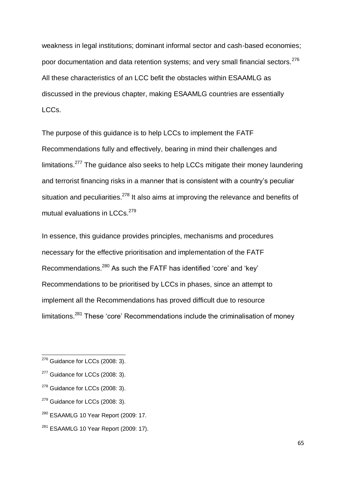weakness in legal institutions; dominant informal sector and cash-based economies; poor documentation and data retention systems; and very small financial sectors.<sup>276</sup> All these characteristics of an LCC befit the obstacles within ESAAMLG as discussed in the previous chapter, making ESAAMLG countries are essentially LCCs.

The purpose of this guidance is to help LCCs to implement the FATF Recommendations fully and effectively, bearing in mind their challenges and limitations.<sup>277</sup> The guidance also seeks to help LCCs mitigate their money laundering and terrorist financing risks in a manner that is consistent with a country's peculiar situation and peculiarities. $278$  It also aims at improving the relevance and benefits of mutual evaluations in LCCs.<sup>279</sup>

In essence, this guidance provides principles, mechanisms and procedures necessary for the effective prioritisation and implementation of the FATF Recommendations.<sup>280</sup> As such the FATF has identified 'core' and 'key' Recommendations to be prioritised by LCCs in phases, since an attempt to implement all the Recommendations has proved difficult due to resource limitations.<sup>281</sup> These 'core' Recommendations include the criminalisation of money

**.** 

 $276$  Guidance for LCCs (2008: 3).

<sup>&</sup>lt;sup>277</sup> Guidance for LCCs (2008: 3).

<sup>&</sup>lt;sup>278</sup> Guidance for LCCs (2008: 3).

 $279$  Guidance for LCCs (2008: 3).

 $280$  ESAAMLG 10 Year Report (2009: 17.

 $281$  ESAAMLG 10 Year Report (2009: 17).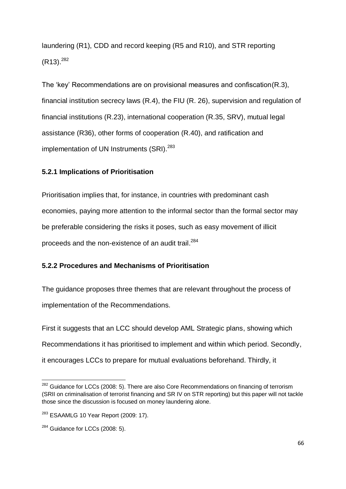laundering (R1), CDD and record keeping (R5 and R10), and STR reporting  $(R13).^{282}$ 

The 'key' Recommendations are on provisional measures and confiscation(R.3), financial institution secrecy laws (R.4), the FIU (R. 26), supervision and regulation of financial institutions (R.23), international cooperation (R.35, SRV), mutual legal assistance (R36), other forms of cooperation (R.40), and ratification and implementation of UN Instruments (SRI).<sup>283</sup>

## **5.2.1 Implications of Prioritisation**

Prioritisation implies that, for instance, in countries with predominant cash economies, paying more attention to the informal sector than the formal sector may be preferable considering the risks it poses, such as easy movement of illicit proceeds and the non-existence of an audit trail.<sup>284</sup>

## **5.2.2 Procedures and Mechanisms of Prioritisation**

The guidance proposes three themes that are relevant throughout the process of implementation of the Recommendations.

First it suggests that an LCC should develop AML Strategic plans, showing which Recommendations it has prioritised to implement and within which period. Secondly, it encourages LCCs to prepare for mutual evaluations beforehand. Thirdly, it

**<sup>.</sup>**  $282$  Guidance for LCCs (2008: 5). There are also Core Recommendations on financing of terrorism (SRII on criminalisation of terrorist financing and SR IV on STR reporting) but this paper will not tackle those since the discussion is focused on money laundering alone.

 $283$  ESAAMLG 10 Year Report (2009: 17).

<sup>&</sup>lt;sup>284</sup> Guidance for LCCs (2008: 5).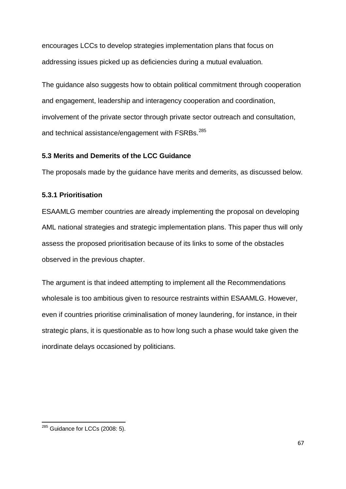encourages LCCs to develop strategies implementation plans that focus on addressing issues picked up as deficiencies during a mutual evaluation.

The guidance also suggests how to obtain political commitment through cooperation and engagement, leadership and interagency cooperation and coordination, involvement of the private sector through private sector outreach and consultation, and technical assistance/engagement with FSRBs.<sup>285</sup>

## **5.3 Merits and Demerits of the LCC Guidance**

The proposals made by the guidance have merits and demerits, as discussed below.

## **5.3.1 Prioritisation**

ESAAMLG member countries are already implementing the proposal on developing AML national strategies and strategic implementation plans. This paper thus will only assess the proposed prioritisation because of its links to some of the obstacles observed in the previous chapter.

The argument is that indeed attempting to implement all the Recommendations wholesale is too ambitious given to resource restraints within ESAAMLG. However, even if countries prioritise criminalisation of money laundering, for instance, in their strategic plans, it is questionable as to how long such a phase would take given the inordinate delays occasioned by politicians.

**<sup>.</sup>**  $285$  Guidance for LCCs (2008: 5).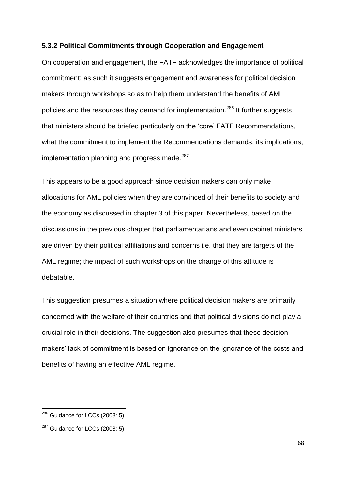#### **5.3.2 Political Commitments through Cooperation and Engagement**

On cooperation and engagement, the FATF acknowledges the importance of political commitment; as such it suggests engagement and awareness for political decision makers through workshops so as to help them understand the benefits of AML policies and the resources they demand for implementation.<sup>286</sup> It further suggests that ministers should be briefed particularly on the 'core' FATF Recommendations, what the commitment to implement the Recommendations demands, its implications, implementation planning and progress made. $287$ 

This appears to be a good approach since decision makers can only make allocations for AML policies when they are convinced of their benefits to society and the economy as discussed in chapter 3 of this paper. Nevertheless, based on the discussions in the previous chapter that parliamentarians and even cabinet ministers are driven by their political affiliations and concerns i.e. that they are targets of the AML regime; the impact of such workshops on the change of this attitude is debatable.

This suggestion presumes a situation where political decision makers are primarily concerned with the welfare of their countries and that political divisions do not play a crucial role in their decisions. The suggestion also presumes that these decision makers' lack of commitment is based on ignorance on the ignorance of the costs and benefits of having an effective AML regime.

 $\overline{\phantom{a}}$ 

 $^{286}$  Guidance for LCCs (2008: 5).

<sup>&</sup>lt;sup>287</sup> Guidance for LCCs (2008: 5).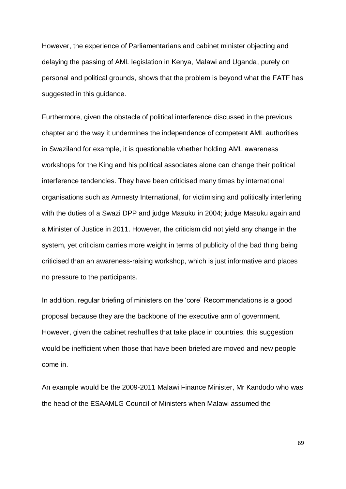However, the experience of Parliamentarians and cabinet minister objecting and delaying the passing of AML legislation in Kenya, Malawi and Uganda, purely on personal and political grounds, shows that the problem is beyond what the FATF has suggested in this guidance.

Furthermore, given the obstacle of political interference discussed in the previous chapter and the way it undermines the independence of competent AML authorities in Swaziland for example, it is questionable whether holding AML awareness workshops for the King and his political associates alone can change their political interference tendencies. They have been criticised many times by international organisations such as Amnesty International, for victimising and politically interfering with the duties of a Swazi DPP and judge Masuku in 2004; judge Masuku again and a Minister of Justice in 2011. However, the criticism did not yield any change in the system, yet criticism carries more weight in terms of publicity of the bad thing being criticised than an awareness-raising workshop, which is just informative and places no pressure to the participants.

In addition, regular briefing of ministers on the 'core' Recommendations is a good proposal because they are the backbone of the executive arm of government. However, given the cabinet reshuffles that take place in countries, this suggestion would be inefficient when those that have been briefed are moved and new people come in.

An example would be the 2009-2011 Malawi Finance Minister, Mr Kandodo who was the head of the ESAAMLG Council of Ministers when Malawi assumed the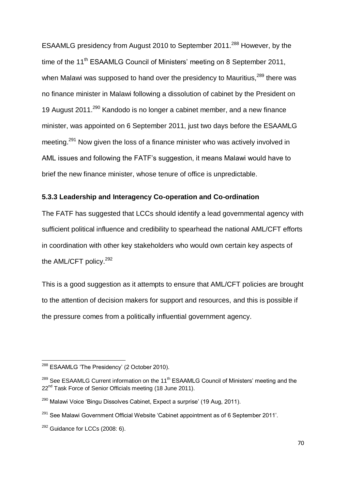ESAAMLG presidency from August 2010 to September 2011.<sup>288</sup> However, by the time of the 11<sup>th</sup> ESAAMLG Council of Ministers' meeting on 8 September 2011, when Malawi was supposed to hand over the presidency to Mauritius,<sup>289</sup> there was no finance minister in Malawi following a dissolution of cabinet by the President on 19 August 2011.<sup>290</sup> Kandodo is no longer a cabinet member, and a new finance minister, was appointed on 6 September 2011, just two days before the ESAAMLG meeting.<sup>291</sup> Now given the loss of a finance minister who was actively involved in AML issues and following the FATF's suggestion, it means Malawi would have to brief the new finance minister, whose tenure of office is unpredictable.

#### **5.3.3 Leadership and Interagency Co-operation and Co-ordination**

The FATF has suggested that LCCs should identify a lead governmental agency with sufficient political influence and credibility to spearhead the national AML/CFT efforts in coordination with other key stakeholders who would own certain key aspects of the AML/CFT policy.<sup>292</sup>

This is a good suggestion as it attempts to ensure that AML/CFT policies are brought to the attention of decision makers for support and resources, and this is possible if the pressure comes from a politically influential government agency.

**.** 

<sup>&</sup>lt;sup>288</sup> ESAAMLG 'The Presidency' (2 October 2010).

<sup>&</sup>lt;sup>289</sup> See ESAAMLG Current information on the 11<sup>th</sup> ESAAMLG Council of Ministers' meeting and the 22<sup>nd</sup> Task Force of Senior Officials meeting (18 June 2011).

 $290$  Malawi Voice 'Bingu Dissolves Cabinet, Expect a surprise' (19 Aug. 2011).

 $291$  See Malawi Government Official Website 'Cabinet appointment as of 6 September 2011'.

<sup>&</sup>lt;sup>292</sup> Guidance for LCCs (2008: 6).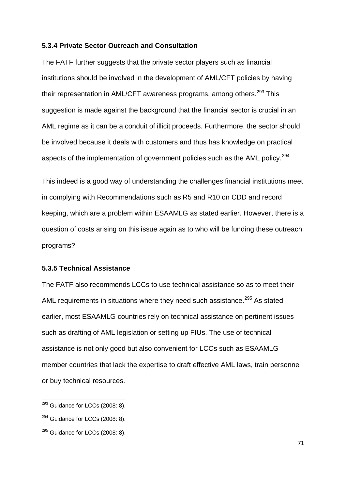#### **5.3.4 Private Sector Outreach and Consultation**

The FATF further suggests that the private sector players such as financial institutions should be involved in the development of AML/CFT policies by having their representation in AML/CFT awareness programs, among others. $^{293}$  This suggestion is made against the background that the financial sector is crucial in an AML regime as it can be a conduit of illicit proceeds. Furthermore, the sector should be involved because it deals with customers and thus has knowledge on practical aspects of the implementation of government policies such as the AML policy.<sup>294</sup>

This indeed is a good way of understanding the challenges financial institutions meet in complying with Recommendations such as R5 and R10 on CDD and record keeping, which are a problem within ESAAMLG as stated earlier. However, there is a question of costs arising on this issue again as to who will be funding these outreach programs?

#### **5.3.5 Technical Assistance**

The FATF also recommends LCCs to use technical assistance so as to meet their AML requirements in situations where they need such assistance.<sup>295</sup> As stated earlier, most ESAAMLG countries rely on technical assistance on pertinent issues such as drafting of AML legislation or setting up FIUs. The use of technical assistance is not only good but also convenient for LCCs such as ESAAMLG member countries that lack the expertise to draft effective AML laws, train personnel or buy technical resources.

 $\overline{\phantom{a}}$ 

 $293$  Guidance for LCCs (2008: 8).

<sup>&</sup>lt;sup>294</sup> Guidance for LCCs (2008: 8).

<sup>&</sup>lt;sup>295</sup> Guidance for LCCs (2008: 8).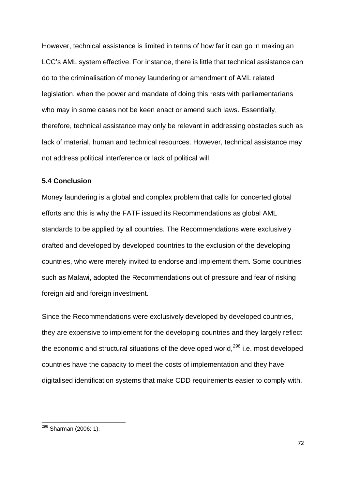However, technical assistance is limited in terms of how far it can go in making an LCC's AML system effective. For instance, there is little that technical assistance can do to the criminalisation of money laundering or amendment of AML related legislation, when the power and mandate of doing this rests with parliamentarians who may in some cases not be keen enact or amend such laws. Essentially, therefore, technical assistance may only be relevant in addressing obstacles such as lack of material, human and technical resources. However, technical assistance may not address political interference or lack of political will.

#### **5.4 Conclusion**

Money laundering is a global and complex problem that calls for concerted global efforts and this is why the FATF issued its Recommendations as global AML standards to be applied by all countries. The Recommendations were exclusively drafted and developed by developed countries to the exclusion of the developing countries, who were merely invited to endorse and implement them. Some countries such as Malawi, adopted the Recommendations out of pressure and fear of risking foreign aid and foreign investment.

Since the Recommendations were exclusively developed by developed countries, they are expensive to implement for the developing countries and they largely reflect the economic and structural situations of the developed world,  $296$  i.e. most developed countries have the capacity to meet the costs of implementation and they have digitalised identification systems that make CDD requirements easier to comply with.

**.** 

<sup>&</sup>lt;sup>296</sup> Sharman (2006: 1).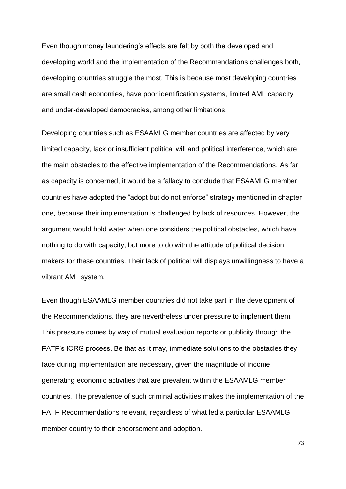Even though money laundering's effects are felt by both the developed and developing world and the implementation of the Recommendations challenges both, developing countries struggle the most. This is because most developing countries are small cash economies, have poor identification systems, limited AML capacity and under-developed democracies, among other limitations.

Developing countries such as ESAAMLG member countries are affected by very limited capacity, lack or insufficient political will and political interference, which are the main obstacles to the effective implementation of the Recommendations. As far as capacity is concerned, it would be a fallacy to conclude that ESAAMLG member countries have adopted the "adopt but do not enforce" strategy mentioned in chapter one, because their implementation is challenged by lack of resources. However, the argument would hold water when one considers the political obstacles, which have nothing to do with capacity, but more to do with the attitude of political decision makers for these countries. Their lack of political will displays unwillingness to have a vibrant AML system.

Even though ESAAMLG member countries did not take part in the development of the Recommendations, they are nevertheless under pressure to implement them. This pressure comes by way of mutual evaluation reports or publicity through the FATF's ICRG process. Be that as it may, immediate solutions to the obstacles they face during implementation are necessary, given the magnitude of income generating economic activities that are prevalent within the ESAAMLG member countries. The prevalence of such criminal activities makes the implementation of the FATF Recommendations relevant, regardless of what led a particular ESAAMLG member country to their endorsement and adoption.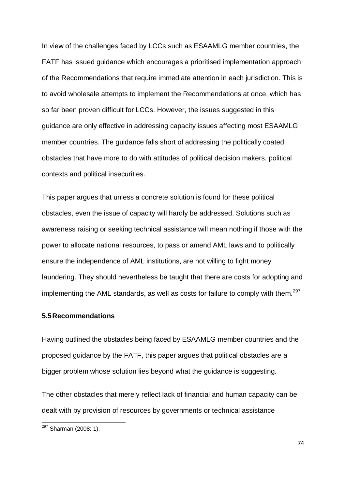In view of the challenges faced by LCCs such as ESAAMLG member countries, the FATF has issued guidance which encourages a prioritised implementation approach of the Recommendations that require immediate attention in each jurisdiction. This is to avoid wholesale attempts to implement the Recommendations at once, which has so far been proven difficult for LCCs. However, the issues suggested in this guidance are only effective in addressing capacity issues affecting most ESAAMLG member countries. The guidance falls short of addressing the politically coated obstacles that have more to do with attitudes of political decision makers, political contexts and political insecurities.

This paper argues that unless a concrete solution is found for these political obstacles, even the issue of capacity will hardly be addressed. Solutions such as awareness raising or seeking technical assistance will mean nothing if those with the power to allocate national resources, to pass or amend AML laws and to politically ensure the independence of AML institutions, are not willing to fight money laundering. They should nevertheless be taught that there are costs for adopting and implementing the AML standards, as well as costs for failure to comply with them.<sup>297</sup>

### **5.5Recommendations**

Having outlined the obstacles being faced by ESAAMLG member countries and the proposed guidance by the FATF, this paper argues that political obstacles are a bigger problem whose solution lies beyond what the guidance is suggesting.

The other obstacles that merely reflect lack of financial and human capacity can be dealt with by provision of resources by governments or technical assistance

**.** 

<sup>&</sup>lt;sup>297</sup> Sharman (2008: 1).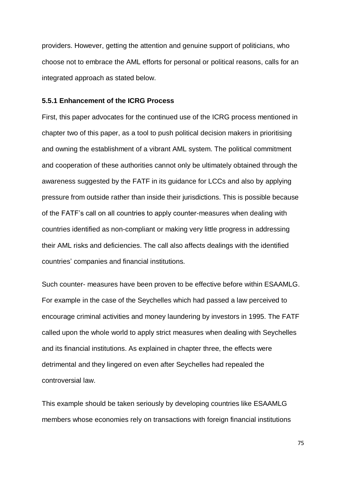providers. However, getting the attention and genuine support of politicians, who choose not to embrace the AML efforts for personal or political reasons, calls for an integrated approach as stated below.

#### **5.5.1 Enhancement of the ICRG Process**

First, this paper advocates for the continued use of the ICRG process mentioned in chapter two of this paper, as a tool to push political decision makers in prioritising and owning the establishment of a vibrant AML system. The political commitment and cooperation of these authorities cannot only be ultimately obtained through the awareness suggested by the FATF in its guidance for LCCs and also by applying pressure from outside rather than inside their jurisdictions. This is possible because of the FATF's call on all countries to apply counter-measures when dealing with countries identified as non-compliant or making very little progress in addressing their AML risks and deficiencies. The call also affects dealings with the identified countries' companies and financial institutions.

Such counter- measures have been proven to be effective before within ESAAMLG. For example in the case of the Seychelles which had passed a law perceived to encourage criminal activities and money laundering by investors in 1995. The FATF called upon the whole world to apply strict measures when dealing with Seychelles and its financial institutions. As explained in chapter three, the effects were detrimental and they lingered on even after Seychelles had repealed the controversial law.

This example should be taken seriously by developing countries like ESAAMLG members whose economies rely on transactions with foreign financial institutions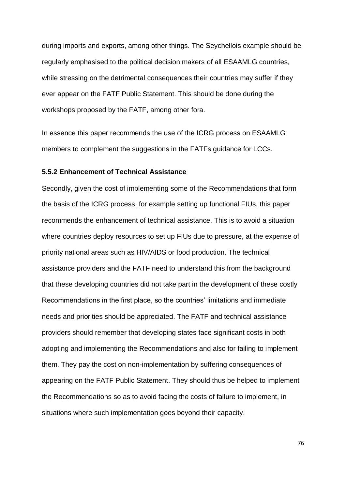during imports and exports, among other things. The Seychellois example should be regularly emphasised to the political decision makers of all ESAAMLG countries, while stressing on the detrimental consequences their countries may suffer if they ever appear on the FATF Public Statement. This should be done during the workshops proposed by the FATF, among other fora.

In essence this paper recommends the use of the ICRG process on ESAAMLG members to complement the suggestions in the FATFs guidance for LCCs.

#### **5.5.2 Enhancement of Technical Assistance**

Secondly, given the cost of implementing some of the Recommendations that form the basis of the ICRG process, for example setting up functional FIUs, this paper recommends the enhancement of technical assistance. This is to avoid a situation where countries deploy resources to set up FIUs due to pressure, at the expense of priority national areas such as HIV/AIDS or food production. The technical assistance providers and the FATF need to understand this from the background that these developing countries did not take part in the development of these costly Recommendations in the first place, so the countries' limitations and immediate needs and priorities should be appreciated. The FATF and technical assistance providers should remember that developing states face significant costs in both adopting and implementing the Recommendations and also for failing to implement them. They pay the cost on non-implementation by suffering consequences of appearing on the FATF Public Statement. They should thus be helped to implement the Recommendations so as to avoid facing the costs of failure to implement, in situations where such implementation goes beyond their capacity.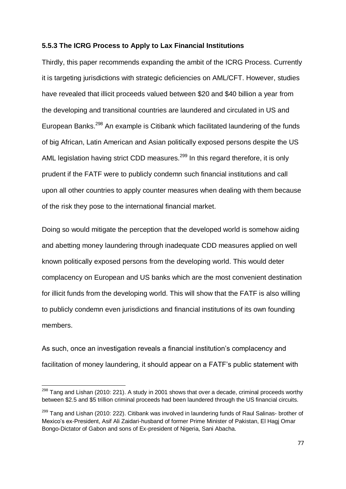#### **5.5.3 The ICRG Process to Apply to Lax Financial Institutions**

Thirdly, this paper recommends expanding the ambit of the ICRG Process. Currently it is targeting jurisdictions with strategic deficiencies on AML/CFT. However, studies have revealed that illicit proceeds valued between \$20 and \$40 billion a year from the developing and transitional countries are laundered and circulated in US and European Banks.<sup>298</sup> An example is Citibank which facilitated laundering of the funds of big African, Latin American and Asian politically exposed persons despite the US AML legislation having strict CDD measures.<sup>299</sup> In this regard therefore, it is only prudent if the FATF were to publicly condemn such financial institutions and call upon all other countries to apply counter measures when dealing with them because of the risk they pose to the international financial market.

Doing so would mitigate the perception that the developed world is somehow aiding and abetting money laundering through inadequate CDD measures applied on well known politically exposed persons from the developing world. This would deter complacency on European and US banks which are the most convenient destination for illicit funds from the developing world. This will show that the FATF is also willing to publicly condemn even jurisdictions and financial institutions of its own founding members.

As such, once an investigation reveals a financial institution's complacency and facilitation of money laundering, it should appear on a FATF's public statement with

 $^{298}$  Tang and Lishan (2010: 221). A study in 2001 shows that over a decade, criminal proceeds worthy between \$2.5 and \$5 trillion criminal proceeds had been laundered through the US financial circuits.

<sup>&</sup>lt;sup>299</sup> Tang and Lishan (2010: 222). Citibank was involved in laundering funds of Raul Salinas- brother of Mexico's ex-President, Asif Ali Zaidari-husband of former Prime Minister of Pakistan, El Hagj Omar Bongo-Dictator of Gabon and sons of Ex-president of Nigeria, Sani Abacha.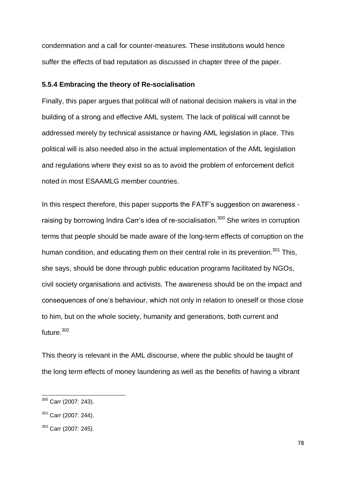condemnation and a call for counter-measures. These institutions would hence suffer the effects of bad reputation as discussed in chapter three of the paper.

#### **5.5.4 Embracing the theory of Re-socialisation**

Finally, this paper argues that political will of national decision makers is vital in the building of a strong and effective AML system. The lack of political will cannot be addressed merely by technical assistance or having AML legislation in place. This political will is also needed also in the actual implementation of the AML legislation and regulations where they exist so as to avoid the problem of enforcement deficit noted in most ESAAMLG member countries.

In this respect therefore, this paper supports the FATF's suggestion on awareness raising by borrowing Indira Carr's idea of re-socialisation.<sup>300</sup> She writes in corruption terms that people should be made aware of the long-term effects of corruption on the human condition, and educating them on their central role in its prevention.<sup>301</sup> This, she says, should be done through public education programs facilitated by NGOs, civil society organisations and activists. The awareness should be on the impact and consequences of one's behaviour, which not only in relation to oneself or those close to him, but on the whole society, humanity and generations, both current and future.<sup>302</sup>

This theory is relevant in the AML discourse, where the public should be taught of the long term effects of money laundering as well as the benefits of having a vibrant

 $\overline{\phantom{a}}$ 

<sup>&</sup>lt;sup>300</sup> Carr (2007: 243).

 $301$  Carr (2007: 244).

<sup>302</sup> Carr (2007: 245).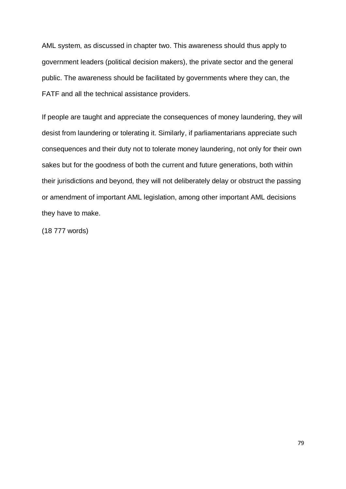AML system, as discussed in chapter two. This awareness should thus apply to government leaders (political decision makers), the private sector and the general public. The awareness should be facilitated by governments where they can, the FATF and all the technical assistance providers.

If people are taught and appreciate the consequences of money laundering, they will desist from laundering or tolerating it. Similarly, if parliamentarians appreciate such consequences and their duty not to tolerate money laundering, not only for their own sakes but for the goodness of both the current and future generations, both within their jurisdictions and beyond, they will not deliberately delay or obstruct the passing or amendment of important AML legislation, among other important AML decisions they have to make.

(18 777 words)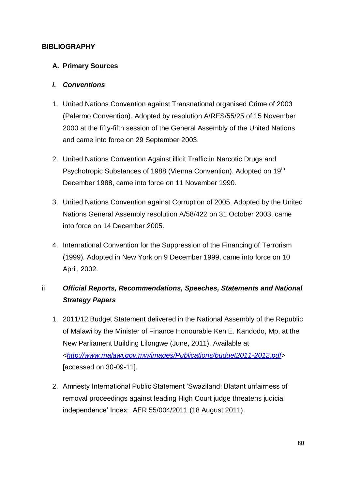## **BIBLIOGRAPHY**

## **A. Primary Sources**

## *i. Conventions*

- 1. United Nations Convention against Transnational organised Crime of 2003 (Palermo Convention). Adopted by resolution A/RES/55/25 of 15 November 2000 at the fifty-fifth session of the General Assembly of the United Nations and came into force on 29 September 2003.
- 2. United Nations Convention Against illicit Traffic in Narcotic Drugs and Psychotropic Substances of 1988 (Vienna Convention). Adopted on 19<sup>th</sup> December 1988, came into force on 11 November 1990.
- 3. United Nations Convention against Corruption of 2005. Adopted by the United Nations General Assembly resolution A/58/422 on 31 October 2003, came into force on 14 December 2005.
- 4. International Convention for the Suppression of the Financing of Terrorism (1999). Adopted in New York on 9 December 1999, came into force on 10 April, 2002.

## ii. *Official Reports, Recommendations, Speeches, Statements and National Strategy Papers*

- 1. 2011/12 Budget Statement delivered in the National Assembly of the Republic of Malawi by the Minister of Finance Honourable Ken E. Kandodo, Mp, at the New Parliament Building Lilongwe (June, 2011). Available at *[<http://www.malawi.gov.mw/images/Publications/budget2011-2012.pdf](http://www.malawi.gov.mw/images/Publications/budget2011-2012.pdf%3e%20%5baccessed%20on%2030-09-11)*> [\[accessed on 30-09-11\]](http://www.malawi.gov.mw/images/Publications/budget2011-2012.pdf%3e%20%5baccessed%20on%2030-09-11).
- 2. Amnesty International Public Statement 'Swaziland: Blatant unfairness of removal proceedings against leading High Court judge threatens judicial independence' Index: AFR 55/004/2011 (18 August 2011).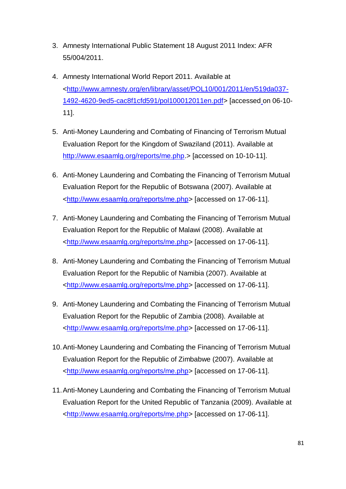- 3. Amnesty International Public Statement 18 August 2011 Index: AFR 55/004/2011.
- 4. Amnesty International World Report 2011. Available at [<http://www.amnesty.org/en/library/asset/POL10/001/2011/en/519da037-](http://www.amnesty.org/en/library/asset/POL10/001/2011/en/519da037-1492-4620-9ed5-cac8f1cfd591/pol100012011en.pdf.%3e%20%5baccessed%20on%2006-10-11) [1492-4620-9ed5-cac8f1cfd591/pol100012011en.pdf> \[accessed](http://www.amnesty.org/en/library/asset/POL10/001/2011/en/519da037-1492-4620-9ed5-cac8f1cfd591/pol100012011en.pdf.%3e%20%5baccessed%20on%2006-10-11) on 06-10- [11\]](http://www.amnesty.org/en/library/asset/POL10/001/2011/en/519da037-1492-4620-9ed5-cac8f1cfd591/pol100012011en.pdf.%3e%20%5baccessed%20on%2006-10-11).
- 5. Anti-Money Laundering and Combating of Financing of Terrorism Mutual Evaluation Report for the Kingdom of Swaziland (2011). Available at [http://www.esaamlg.org/reports/me.php.](http://www.esaamlg.org/reports/me.php)> [accessed on 10-10-11].
- 6. Anti-Money Laundering and Combating the Financing of Terrorism Mutual Evaluation Report for the Republic of Botswana (2007). Available at [<http://www.esaamlg.org/reports/me.php>](http://www.esaamlg.org/reports/me.php) [accessed on 17-06-11].
- 7. Anti-Money Laundering and Combating the Financing of Terrorism Mutual Evaluation Report for the Republic of Malawi (2008). Available at [<http://www.esaamlg.org/reports/me.php>](http://www.esaamlg.org/reports/me.php) [accessed on 17-06-11].
- 8. Anti-Money Laundering and Combating the Financing of Terrorism Mutual Evaluation Report for the Republic of Namibia (2007). Available at [<http://www.esaamlg.org/reports/me.php>](http://www.esaamlg.org/reports/me.php) [accessed on 17-06-11].
- 9. Anti-Money Laundering and Combating the Financing of Terrorism Mutual Evaluation Report for the Republic of Zambia (2008). Available at [<http://www.esaamlg.org/reports/me.php>](http://www.esaamlg.org/reports/me.php) [accessed on 17-06-11].
- 10.Anti-Money Laundering and Combating the Financing of Terrorism Mutual Evaluation Report for the Republic of Zimbabwe (2007). Available at [<http://www.esaamlg.org/reports/me.php>](http://www.esaamlg.org/reports/me.php) [accessed on 17-06-11].
- 11.Anti-Money Laundering and Combating the Financing of Terrorism Mutual Evaluation Report for the United Republic of Tanzania (2009). Available at [<http://www.esaamlg.org/reports/me.php>](http://www.esaamlg.org/reports/me.php) [accessed on 17-06-11].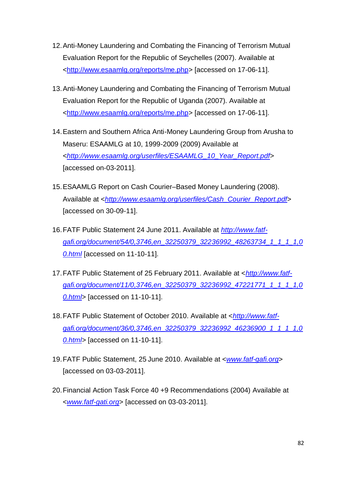- 12.Anti-Money Laundering and Combating the Financing of Terrorism Mutual Evaluation Report for the Republic of Seychelles (2007). Available at [<http://www.esaamlg.org/reports/me.php>](http://www.esaamlg.org/reports/me.php) [accessed on 17-06-11].
- 13.Anti-Money Laundering and Combating the Financing of Terrorism Mutual Evaluation Report for the Republic of Uganda (2007). Available at [<http://www.esaamlg.org/reports/me.php>](http://www.esaamlg.org/reports/me.php) [accessed on 17-06-11].
- 14.Eastern and Southern Africa Anti-Money Laundering Group from Arusha to Maseru: ESAAMLG at 10, 1999-2009 (2009) Available at <*[http://www.esaamlg.org/userfiles/ESAAMLG\\_10\\_Year\\_Report.pdf](http://www.esaamlg.org/userfiles/ESAAMLG_10_Year_Report.pdf)*> [accessed on-03-2011].
- 15.ESAAMLG Report on Cash Courier–Based Money Laundering (2008). Available at <*[http://www.esaamlg.org/userfiles/Cash\\_Courier\\_Report.pdf](http://www.esaamlg.org/userfiles/Cash_Courier_Report.pdf%3e%20%5baccessed%20on%2030-09-11)*> [accessed [on 30-09-11\]](http://www.esaamlg.org/userfiles/Cash_Courier_Report.pdf%3e%20%5baccessed%20on%2030-09-11).
- 16.FATF Public Statement 24 June 2011. Available at *[http://www.fatf](http://www.fatf-gafi.org/document/54/0,3746,en_32250379_32236992_48263734_1_1_1_1,00.html)[gafi.org/document/54/0,3746,en\\_32250379\\_32236992\\_48263734\\_1\\_1\\_1\\_1,0](http://www.fatf-gafi.org/document/54/0,3746,en_32250379_32236992_48263734_1_1_1_1,00.html) [0.html](http://www.fatf-gafi.org/document/54/0,3746,en_32250379_32236992_48263734_1_1_1_1,00.html)* [accessed on 11-10-11].
- 17.FATF Public Statement of 25 February 2011. Available at <*[http://www.fatf](http://www.fatf-gafi.org/document/11/0,3746,en_32250379_32236992_47221771_1_1_1_1,00.html)[gafi.org/document/11/0,3746,en\\_32250379\\_32236992\\_47221771\\_1\\_1\\_1\\_1,0](http://www.fatf-gafi.org/document/11/0,3746,en_32250379_32236992_47221771_1_1_1_1,00.html) [0.html](http://www.fatf-gafi.org/document/11/0,3746,en_32250379_32236992_47221771_1_1_1_1,00.html)*> [accessed on 11-10-11].
- 18.FATF Public Statement of October 2010. Available at <*[http://www.fatf](http://www.fatf-gafi.org/document/36/0,3746,en_32250379_32236992_46236900_1_1_1_1,00.html)[gafi.org/document/36/0,3746,en\\_32250379\\_32236992\\_46236900\\_1\\_1\\_1\\_1,0](http://www.fatf-gafi.org/document/36/0,3746,en_32250379_32236992_46236900_1_1_1_1,00.html) 0.html*> [accessed on 11-10-11].
- 19.FATF Public Statement, 25 June 2010. Available at <*[www.fatf-gafi.org](http://www.fatf-gafi.org/)*> [accessed on 03-03-2011].
- 20.Financial Action Task Force 40 +9 Recommendations (2004) Available at <*[www.fatf-gati.org](http://www.fatf-gati.org/)*> [accessed on 03-03-2011].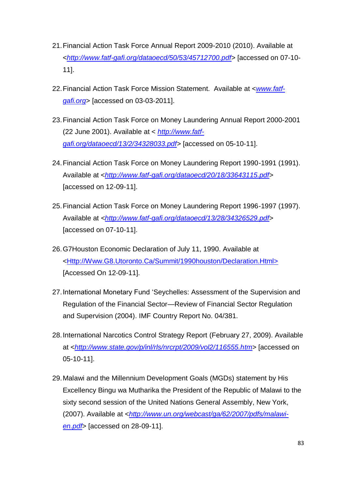- 21.Financial Action Task Force Annual Report 2009-2010 (2010). Available at <*[http://www.fatf-gafi.org/dataoecd/50/53/45712700.pdf](http://www.fatf-gafi.org/dataoecd/50/53/45712700.pdf%3e%20%5baccessed%20on%2007-10-11)*> [accessed on 07-10- [11\]](http://www.fatf-gafi.org/dataoecd/50/53/45712700.pdf%3e%20%5baccessed%20on%2007-10-11).
- 22.Financial Action Task Force Mission Statement. Available at <*[www.fatf](http://www.fatf-gafi.org/)[gafi.org](http://www.fatf-gafi.org/)*> [accessed on 03-03-2011].
- 23.Financial Action Task Force on Money Laundering Annual Report 2000-2001 (22 June 2001). Available at < *[http://www.fatf](http://www.fatf-gafi.org/dataoecd/13/2/34328033.pdf)[gafi.org/dataoecd/13/2/34328033.pdf>](http://www.fatf-gafi.org/dataoecd/13/2/34328033.pdf)* [accessed on 05-10-11].
- 24.Financial Action Task Force on Money Laundering Report 1990-1991 (1991). Available at <*[http://www.fatf-gafi.org/dataoecd/20/18/33643115.pdf](http://www.fatf-gafi.org/dataoecd/20/18/33643115.pdf%3e%20%5baccessed%20on%2012-09-11)*> [\[accessed on 12-09-11\]](http://www.fatf-gafi.org/dataoecd/20/18/33643115.pdf%3e%20%5baccessed%20on%2012-09-11).
- 25.Financial Action Task Force on Money Laundering Report 1996-1997 (1997). Available at *[<http://www.fatf-gafi.org/dataoecd/13/28/34326529.pdf](http://www.fatf-gafi.org/dataoecd/13/28/34326529.pdf%3e%20%5baccessed%20on%2007-10-11)*> [\[accessed on 07-10-11\]](http://www.fatf-gafi.org/dataoecd/13/28/34326529.pdf%3e%20%5baccessed%20on%2007-10-11).
- 26.G7Houston Economic Declaration of July 11, 1990. Available at [<Http://Www.G8.Utoronto.Ca/Summit/1990houston/Declaration.Html>](http://www.g8.utoronto.ca/Summit/1990houston/Declaration.Html%3e%20%5bAccessed%20On%2012-09-11)  [\[Accessed On 12-09-11\]](http://www.g8.utoronto.ca/Summit/1990houston/Declaration.Html%3e%20%5bAccessed%20On%2012-09-11).
- 27. International Monetary Fund 'Seychelles: Assessment of the Supervision and Regulation of the Financial Sector—Review of Financial Sector Regulation and Supervision (2004). IMF Country Report No. 04/381.
- 28[.International Narcotics Control Strategy Report \(](http://www.state.gov/p/inl/rls/nrcrpt/2009/index.htm)February 27, 2009). Available at <*[http://www.state.gov/p/inl/rls/nrcrpt/2009/vol2/116555.htm](http://www.state.gov/p/inl/rls/nrcrpt/2009/vol2/116555.htm%3e%20%5baccessed%20on%2005-10-11)*> [accessed on [05-10-11\]](http://www.state.gov/p/inl/rls/nrcrpt/2009/vol2/116555.htm%3e%20%5baccessed%20on%2005-10-11).
- 29.Malawi and the Millennium Development Goals (MGDs) statement by His Excellency Bingu wa Mutharika the President of the Republic of Malawi to the sixty second session of the United Nations General Assembly, New York, (2007). Available at <*[http://www.un.org/webcast/ga/62/2007/pdfs/malawi](http://www.un.org/webcast/ga/62/2007/pdfs/malawi-en.pdf)[en.pdf](http://www.un.org/webcast/ga/62/2007/pdfs/malawi-en.pdf)*> [accessed on 28-09-11].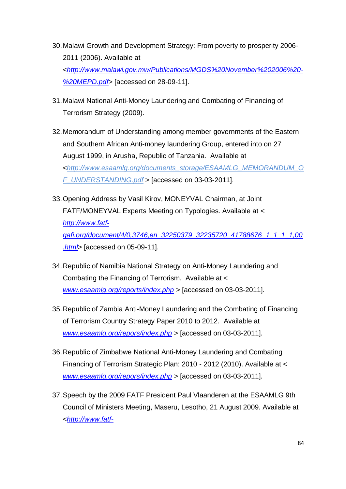- 30.Malawi Growth and Development Strategy: From poverty to prosperity 2006- 2011 (2006). Available at <*[http://www.malawi.gov.mw/Publications/MGDS%20November%202006%20-](http://www.malawi.gov.mw/Publications/MGDS%20November%202006%20-%20MEPD.pdf) [%20MEPD.pdf](http://www.malawi.gov.mw/Publications/MGDS%20November%202006%20-%20MEPD.pdf)*> [accessed on 28-09-11].
- 31.Malawi National Anti-Money Laundering and Combating of Financing of Terrorism Strategy (2009).
- 32.Memorandum of Understanding among member governments of the Eastern and Southern African Anti-money laundering Group, entered into on 27 August 1999, in Arusha, Republic of Tanzania. Available at <*[http://www.esaamlg.org/documents\\_storage/ESAAMLG\\_MEMORANDUM\\_O](http://www.esaamlg.org/documents_storage/ESAAMLG_MEMORANDUM_OF_UNDERSTANDING.pdf) [F\\_UNDERSTANDING.pdf](http://www.esaamlg.org/documents_storage/ESAAMLG_MEMORANDUM_OF_UNDERSTANDING.pdf)* > [accessed on 03-03-2011].
- 33.Opening Address by Vasil Kirov, MONEYVAL Chairman, at Joint FATF/MONEYVAL Experts Meeting on Typologies. Available at < *[http://www.fatf](http://www.fatf-gafi.org/document/4/0,3746,en_32250379_32235720_41788676_1_1_1_1,00.html)[gafi.org/document/4/0,3746,en\\_32250379\\_32235720\\_41788676\\_1\\_1\\_1\\_1,00](http://www.fatf-gafi.org/document/4/0,3746,en_32250379_32235720_41788676_1_1_1_1,00.html) [.html](http://www.fatf-gafi.org/document/4/0,3746,en_32250379_32235720_41788676_1_1_1_1,00.html)*> [accessed on 05-09-11].
- 34.Republic of Namibia National Strategy on Anti-Money Laundering and Combating the Financing of Terrorism. Available at < *[www.esaamlg.org/reports/index.php](http://www.esaamlg.org/reports/index.php)* > [accessed on 03-03-2011].
- 35.Republic of Zambia Anti-Money Laundering and the Combating of Financing of Terrorism Country Strategy Paper 2010 to 2012. Available at *[www.esaamlg.org/repors/index.php](http://www.esaamlg.org/repors/index.php)* > [accessed on 03-03-2011].
- 36.Republic of Zimbabwe National Anti-Money Laundering and Combating Financing of Terrorism Strategic Plan: 2010 - 2012 (2010). Available at < *[www.esaamlg.org/repors/index.php](http://www.esaamlg.org/repors/index.php)* > [accessed on 03-03-2011].
- 37.Speech by the 2009 FATF President Paul Vlaanderen at the ESAAMLG 9th Council of Ministers Meeting, Maseru, Lesotho, 21 August 2009. Available at <*[http://www.fatf-](http://www.fatf-gafi.org/document/16/0,3746,en_32250379_32236879_43576016_1_1_1_1,00.html)*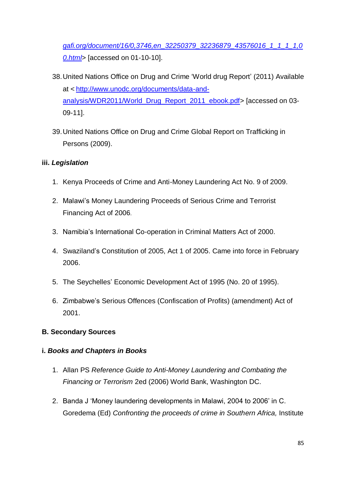*gafi.org/document/16/0,3746,en\_32250379\_32236879\_43576016\_1\_1\_1\_1,0 0.html*> [accessed on 01-10-10].

- 38.United Nations Office on Drug and Crime ‗World drug Report' (2011) Available at < [http://www.unodc.org/documents/data-and](http://www.unodc.org/documents/data-and-analysis/WDR2011/World_Drug_Report_2011_ebook.pdf)[analysis/WDR2011/World\\_Drug\\_Report\\_2011\\_ebook.pdf>](http://www.unodc.org/documents/data-and-analysis/WDR2011/World_Drug_Report_2011_ebook.pdf) [accessed on 03-09-11].
- 39.United Nations Office on Drug and Crime Global Report on Trafficking in Persons (2009).

## **iii.** *Legislation*

- 1. Kenya Proceeds of Crime and Anti-Money Laundering Act No. 9 of 2009.
- 2. Malawi's Money Laundering Proceeds of Serious Crime and Terrorist Financing Act of 2006.
- 3. Namibia's International Co-operation in Criminal Matters Act of 2000.
- 4. Swaziland's Constitution of 2005, Act 1 of 2005. Came into force in February 2006.
- 5. The Seychelles' Economic Development Act of 1995 (No. 20 of 1995).
- 6. Zimbabwe's Serious Offences (Confiscation of Profits) (amendment) Act of 2001.

## **B. Secondary Sources**

### **i.** *Books and Chapters in Books*

- 1. Allan PS *Reference Guide to Anti-Money Laundering and Combating the Financing or Terrorism* 2ed (2006) World Bank, Washington DC.
- 2. Banda J ‗Money laundering developments in Malawi, 2004 to 2006' in C. Goredema (Ed) *Confronting the proceeds of crime in Southern Africa,* Institute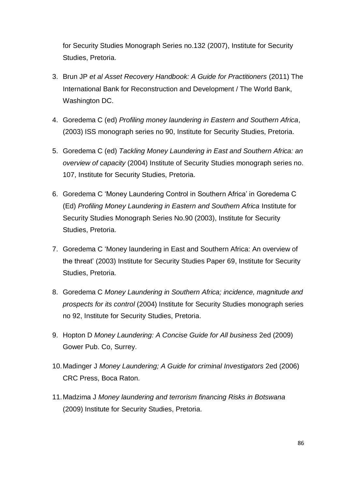for Security Studies Monograph Series no.132 (2007), Institute for Security Studies, Pretoria.

- 3. Brun JP *et al Asset Recovery Handbook: A Guide for Practitioners* (2011) The International Bank for Reconstruction and Development / The World Bank, Washington DC.
- 4. Goredema C (ed) *Profiling money laundering in Eastern and Southern Africa*, (2003) ISS monograph series no 90, Institute for Security Studies, Pretoria.
- 5. Goredema C (ed) *Tackling Money Laundering in East and Southern Africa: an overview of capacity* (2004) Institute of Security Studies monograph series no. 107, Institute for Security Studies, Pretoria.
- 6. Goredema C ‗Money Laundering Control in Southern Africa' in Goredema C (Ed) *Profiling Money Laundering in Eastern and Southern Africa* Institute for Security Studies Monograph Series No.90 (2003), Institute for Security Studies, Pretoria.
- 7. Goredema C ‗Money laundering in East and Southern Africa: An overview of the threat' (2003) Institute for Security Studies Paper 69, Institute for Security Studies, Pretoria.
- 8. Goredema C *Money Laundering in Southern Africa; incidence, magnitude and prospects for its control* (2004) Institute for Security Studies monograph series no 92, Institute for Security Studies, Pretoria.
- 9. Hopton D *Money Laundering: A Concise Guide for All business* 2ed (2009) Gower Pub. Co, Surrey.
- 10.Madinger J *Money Laundering; A Guide for criminal Investigators* 2ed (2006) CRC Press, Boca Raton.
- 11.Madzima J *Money laundering and terrorism financing Risks in Botswana*  (2009) Institute for Security Studies, Pretoria.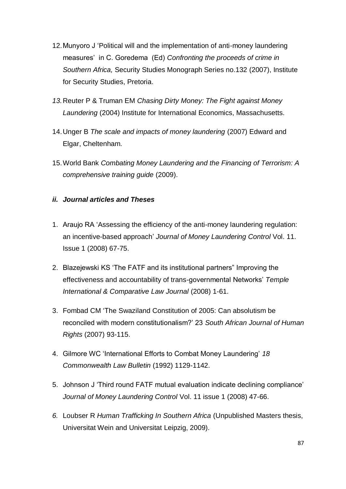- 12. Munyoro J 'Political will and the implementation of anti-money laundering measures' in C. Goredema (Ed) *Confronting the proceeds of crime in Southern Africa,* Security Studies Monograph Series no.132 (2007), Institute for Security Studies, Pretoria.
- *13.*Reuter P & Truman EM *Chasing Dirty Money: The Fight against Money Laundering* (2004) Institute for International Economics, Massachusetts.
- 14.Unger B *The scale and impacts of money laundering* (2007) Edward and Elgar, Cheltenham.
- 15.World Bank *Combating Money Laundering and the Financing of Terrorism: A comprehensive training guide* (2009).

## *ii. Journal articles and Theses*

- 1. Araujo RA ‗Assessing the efficiency of the anti-money laundering regulation: an incentive-based approach' *Journal of Money Laundering Control* Vol. 11. Issue 1 (2008) 67-75.
- 2. Blazejewski KS 'The FATF and its institutional partners" Improving the effectiveness and accountability of trans-governmental Networks' *Temple International & Comparative Law Journal* (2008) 1-61.
- 3. Fombad CM ‗The Swaziland Constitution of 2005: Can absolutism be reconciled with modern constitutionalism?' 23 *South African Journal of Human Rights* (2007) 93-115.
- 4. Gilmore WC ‗International Efforts to Combat Money Laundering' *18 Commonwealth Law Bulletin* (1992) 1129-1142.
- 5. Johnson J ‗Third round FATF mutual evaluation indicate declining compliance' *Journal of Money Laundering Control* Vol. 11 issue 1 (2008) 47-66.
- *6.* Loubser R *Human Trafficking In Southern Africa* (Unpublished Masters thesis, Universitat Wein and Universitat Leipzig, 2009).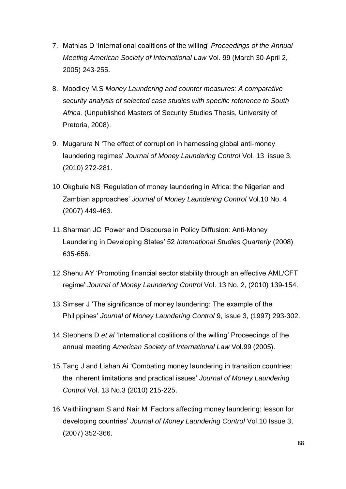- 7. Mathias D ‗International coalitions of the willing' *Proceedings of the Annual Meeting American Society of International Law* Vol. 99 (March 30-April 2, 2005) 243-255.
- 8. Moodley M.S *Money Laundering and counter measures: A comparative security analysis of selected case studies with specific reference to South Africa.* (Unpublished Masters of Security Studies Thesis, University of Pretoria, 2008).
- 9. Mugarura N 'The effect of corruption in harnessing global anti-money laundering regimes' *Journal of Money Laundering Control* Vol*.* 13issue 3, (2010) 272-281.
- 10. Okgbule NS 'Regulation of money laundering in Africa: the Nigerian and Zambian approaches' *Journal of Money Laundering Control* Vol.10 No. 4 (2007) 449-463.
- 11. Sharman JC 'Power and Discourse in Policy Diffusion: Anti-Money Laundering in Developing States' 52 *International Studies Quarterly* (2008) 635-656.
- 12. Shehu AY 'Promoting financial sector stability through an effective AML/CFT regime' *Journal of Money Laundering Control* Vol. 13 No. 2, (2010) 139-154.
- 13. Simser J 'The significance of money laundering: The example of the Philippines' *Journal of Money Laundering Control* 9, issue 3, (1997) 293-302.
- 14. Stephens D *et al* 'International coalitions of the willing' Proceedings of the annual meeting *American Society of International Law* Vol.99 (2005).
- 15. Tang J and Lishan Ai 'Combating money laundering in transition countries: the inherent limitations and practical issues' *Journal of Money Laundering Control* Vol. 13 No.3 (2010) 215-225.
- 16. Vaithilingham S and Nair M 'Factors affecting money laundering: lesson for developing countries' *Journal of Money Laundering Control* Vol.10 Issue 3, (2007) 352-366.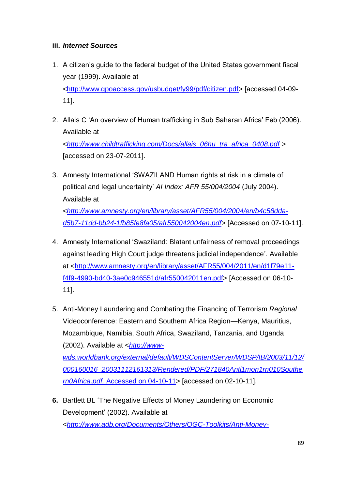## **iii.** *Internet Sources*

- 1. A citizen's guide to the federal budget of the United States government fiscal year (1999). Available at [<http://www.gpoaccess.gov/usbudget/fy99/pdf/citizen.pdf>](http://www.gpoaccess.gov/usbudget/fy99/pdf/citizen.pdf) [accessed 04-09- 11].
- 2. Allais C ‗An overview of Human trafficking in Sub Saharan Africa' Feb (2006). Available at <*[http://www.childtrafficking.com/Docs/allais\\_06hu\\_tra\\_africa\\_0408.pdf](http://www.childtrafficking.com/Docs/allais_06hu_tra_africa_0408.pdf)* > [accessed on 23-07-2011].
- 3. Amnesty International 'SWAZILAND Human rights at risk in a climate of political and legal uncertainty' *AI Index: AFR 55/004/2004* (July 2004). Available at <*[http://www.amnesty.org/en/library/asset/AFR55/004/2004/en/b4c58dda](http://www.amnesty.org/en/library/asset/AFR55/004/2004/en/b4c58dda-d5b7-11dd-bb24-1fb85fe8fa05/afr550042004en.pdf%3e%20%5bAccessed%20on%2007-10-11)[d5b7-11dd-bb24-1fb85fe8fa05/afr550042004en.pdf](http://www.amnesty.org/en/library/asset/AFR55/004/2004/en/b4c58dda-d5b7-11dd-bb24-1fb85fe8fa05/afr550042004en.pdf%3e%20%5bAccessed%20on%2007-10-11)*> [Accessed on 07-10-11].
- 4. Amnesty International 'Swaziland: Blatant unfairness of removal proceedings against leading High Court judge threatens judicial independence'. Available at [<http://www.amnesty.org/en/library/asset/AFR55/004/2011/en/d1f79e11](http://www.amnesty.org/en/library/asset/AFR55/004/2011/en/d1f79e11-f4f9-4990-bd40-3ae0c946551d/afr550042011en.pdf%3e%20%5bAccessed%20on%2006-10-11) [f4f9-4990-bd40-3ae0c946551d/afr550042011en.pdf> \[Accessed on 06-10-](http://www.amnesty.org/en/library/asset/AFR55/004/2011/en/d1f79e11-f4f9-4990-bd40-3ae0c946551d/afr550042011en.pdf%3e%20%5bAccessed%20on%2006-10-11) [11\]](http://www.amnesty.org/en/library/asset/AFR55/004/2011/en/d1f79e11-f4f9-4990-bd40-3ae0c946551d/afr550042011en.pdf%3e%20%5bAccessed%20on%2006-10-11).
- 5. Anti-Money Laundering and Combating the Financing of Terrorism *Regional* Videoconference: Eastern and Southern Africa Region—Kenya, Mauritius, Mozambique, Namibia, South Africa, Swaziland, Tanzania, and Uganda (2002). Available at <*[http://www](http://www-wds.worldbank.org/external/default/WDSContentServer/WDSP/IB/2003/11/12/000160016_20031112161313/Rendered/PDF/271840Anti1mon1rn010Southern0Africa.pdf.%20Accessed%20on%2004-10-11)[wds.worldbank.org/external/default/WDSContentServer/WDSP/IB/2003/11/12/](http://www-wds.worldbank.org/external/default/WDSContentServer/WDSP/IB/2003/11/12/000160016_20031112161313/Rendered/PDF/271840Anti1mon1rn010Southern0Africa.pdf.%20Accessed%20on%2004-10-11) [000160016\\_20031112161313/Rendered/PDF/271840Anti1mon1rn010Southe](http://www-wds.worldbank.org/external/default/WDSContentServer/WDSP/IB/2003/11/12/000160016_20031112161313/Rendered/PDF/271840Anti1mon1rn010Southern0Africa.pdf.%20Accessed%20on%2004-10-11) rn0Africa.pdf.* [Accessed on 04-10-11>](http://www-wds.worldbank.org/external/default/WDSContentServer/WDSP/IB/2003/11/12/000160016_20031112161313/Rendered/PDF/271840Anti1mon1rn010Southern0Africa.pdf.%20Accessed%20on%2004-10-11) [accessed on 02-10-11].
- **6.** Bartlett BL 'The Negative Effects of Money Laundering on Economic Development' (2002). Available at <*[http://www.adb.org/Documents/Others/OGC-Toolkits/Anti-Money-](http://www.adb.org/Documents/Others/OGC-Toolkits/Anti-Money-Laundering/documents/money_laundering_neg_effects.pdf)*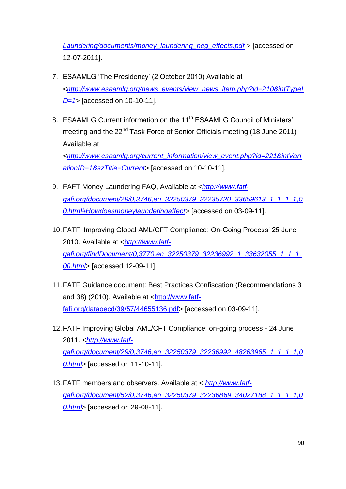*Laundering/documents/money\_laundering\_neg\_effects.pdf* > [accessed on 12-07-2011].

- 7. ESAAMLG 'The Presidency' (2 October 2010) Available at <*[http://www.esaamlg.org/news\\_events/view\\_news\\_item.php?id=210&intTypeI](http://www.esaamlg.org/news_events/view_news_item.php?id=210&intTypeID=1) [D=1](http://www.esaamlg.org/news_events/view_news_item.php?id=210&intTypeID=1)*> [accessed on 10-10-11].
- 8. ESAAMLG Current information on the 11<sup>th</sup> ESAAMLG Council of Ministers' meeting and the 22<sup>nd</sup> Task Force of Senior Officials meeting (18 June 2011) Available at <*[http://www.esaamlg.org/current\\_information/view\\_event.php?id=221&intVari](http://www.esaamlg.org/current_information/view_event.php?id=221&intVariationID=1&szTitle=Current) [ationID=1&szTitle=Current>](http://www.esaamlg.org/current_information/view_event.php?id=221&intVariationID=1&szTitle=Current)* [accessed on 10-10-11].
- 9. FAFT Money Laundering FAQ, Available at <*[http://www.fatf](http://www.fatf-gafi.org/document/29/0,3746,en_32250379_32235720_33659613_1_1_1_1,00.html#Howdoesmoneylaunderingaffect)[gafi.org/document/29/0,3746,en\\_32250379\\_32235720\\_33659613\\_1\\_1\\_1\\_1,0](http://www.fatf-gafi.org/document/29/0,3746,en_32250379_32235720_33659613_1_1_1_1,00.html#Howdoesmoneylaunderingaffect) [0.html#Howdoesmoneylaunderingaffect>](http://www.fatf-gafi.org/document/29/0,3746,en_32250379_32235720_33659613_1_1_1_1,00.html#Howdoesmoneylaunderingaffect)* [accessed on 03-09-11].
- 10. FATF 'Improving Global AML/CFT Compliance: On-Going Process' 25 June 2010. Available at <h*[ttp://www.fatf](http://www.fatf-gafi.org/findDocument/0,3770,en_32250379_32236992_1_33632055_1_1_1,00.html)[gafi.org/findDocument/0,3770,en\\_32250379\\_32236992\\_1\\_33632055\\_1\\_1\\_1,](http://www.fatf-gafi.org/findDocument/0,3770,en_32250379_32236992_1_33632055_1_1_1,00.html) [00.html](http://www.fatf-gafi.org/findDocument/0,3770,en_32250379_32236992_1_33632055_1_1_1,00.html)*> [accessed 12-09-11].
- 11.FATF Guidance document: Best Practices Confiscation (Recommendations 3 and 38) (2010). Available at [<http://www.fatf](http://www.fatf-fafi.org/dataoecd/39/57/44655136.pdf)[fafi.org/dataoecd/39/57/44655136.pdf>](http://www.fatf-fafi.org/dataoecd/39/57/44655136.pdf) [accessed on 03-09-11].
- 12.FATF Improving Global AML/CFT Compliance: on-going process 24 June 2011. <*[http://www.fatf](http://www.fatf-gafi.org/document/29/0,3746,en_32250379_32236992_48263965_1_1_1_1,00.html)[gafi.org/document/29/0,3746,en\\_32250379\\_32236992\\_48263965\\_1\\_1\\_1\\_1,0](http://www.fatf-gafi.org/document/29/0,3746,en_32250379_32236992_48263965_1_1_1_1,00.html) [0.html>](http://www.fatf-gafi.org/document/29/0,3746,en_32250379_32236992_48263965_1_1_1_1,00.html)* [accessed on 11-10-11].
- 13.FATF members and observers. Available at < *[http://www.fatf](http://www.fatf-gafi.org/document/52/0,3746,en_32250379_32236869_34027188_1_1_1_1,00.html)[gafi.org/document/52/0,3746,en\\_32250379\\_32236869\\_34027188\\_1\\_1\\_1\\_1,0](http://www.fatf-gafi.org/document/52/0,3746,en_32250379_32236869_34027188_1_1_1_1,00.html) [0.html](http://www.fatf-gafi.org/document/52/0,3746,en_32250379_32236869_34027188_1_1_1_1,00.html)*> [accessed on 29-08-11].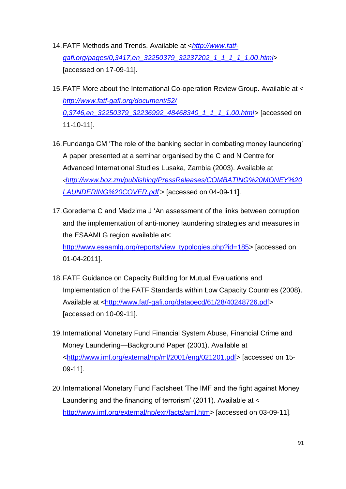- 14.FATF Methods and Trends. Available at <*[http://www.fatf](http://www.fatf-gafi.org/pages/0,3417,en_32250379_32237202_1_1_1_1_1,00.html)[gafi.org/pages/0,3417,en\\_32250379\\_32237202\\_1\\_1\\_1\\_1\\_1,00.html](http://www.fatf-gafi.org/pages/0,3417,en_32250379_32237202_1_1_1_1_1,00.html)*> [accessed on 17-09-11].
- 15.FATF More about the International Co-operation Review Group. Available at < *[http://www.fatf-gafi.org/document/52/](http://www.fatf-gafi.org/document/52/%200,3746,en_32250379_32236992_48468340_1_1_1_1,00.html)  [0,3746,en\\_32250379\\_32236992\\_48468340\\_1\\_1\\_1\\_1,00.html>](http://www.fatf-gafi.org/document/52/%200,3746,en_32250379_32236992_48468340_1_1_1_1,00.html)* [accessed on 11-10-11].
- 16. Fundanga CM 'The role of the banking sector in combating money laundering' A paper presented at a seminar organised by the C and N Centre for Advanced International Studies Lusaka, Zambia (2003). Available at <*[http://www.boz.zm/publishing/PressReleases/COMBATING%20MONEY%20](http://www.boz.zm/publishing/PressReleases/COMBATING%20MONEY%20LAUNDERING%20COVER.pdf) [LAUNDERING%20COVER.pdf](http://www.boz.zm/publishing/PressReleases/COMBATING%20MONEY%20LAUNDERING%20COVER.pdf)* > [accessed on 04-09-11].
- 17. Goredema C and Madzima J 'An assessment of the links between corruption and the implementation of anti-money laundering strategies and measures in the ESAAMLG region available at< [http://www.esaamlg.org/reports/view\\_typologies.php?id=185>](http://www.esaamlg.org/reports/view_typologies.php?id=185) [accessed on 01-04-2011].
- 18.FATF Guidance on Capacity Building for Mutual Evaluations and Implementation of the FATF Standards within Low Capacity Countries (2008). Available at [<http://www.fatf-gafi.org/dataoecd/61/28/40248726.pdf>](http://www.fatf-gafi.org/dataoecd/61/28/40248726.pdf) [accessed on 10-09-11].
- 19.International Monetary Fund Financial System Abuse, Financial Crime and Money Laundering—Background Paper (2001). Available at [<http://www.imf.org/external/np/ml/2001/eng/021201.pdf>](http://www.imf.org/external/np/ml/2001/eng/021201.pdf) [accessed on 15- 09-11].
- 20. International Monetary Fund Factsheet 'The IMF and the fight against Money Laundering and the financing of terrorism' (2011). Available at < [http://www.imf.org/external/np/exr/facts/aml.htm>](http://www.imf.org/external/np/exr/facts/aml.htm) [accessed on 03-09-11].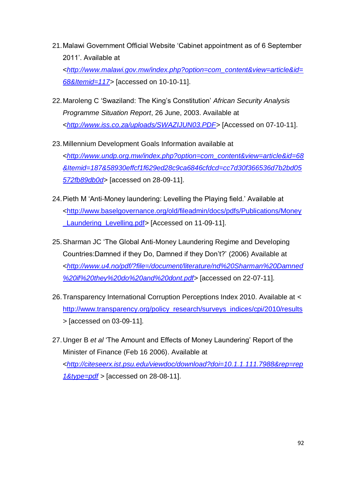- 21. Malawi Government Official Website 'Cabinet appointment as of 6 September 2011'. Available at <*[http://www.malawi.gov.mw/index.php?option=com\\_content&view=article&id=](http://www.malawi.gov.mw/index.php?option=com_content&view=article&id=68&Itemid=117) [68&Itemid=117>](http://www.malawi.gov.mw/index.php?option=com_content&view=article&id=68&Itemid=117)* [accessed on 10-10-11].
- 22.Maroleng C ‗Swaziland: The King's Constitution' *African Security Analysis Programme Situation Report*, 26 June, 2003. Available at <*[http://www.iss.co.za/uploads/SWAZIJUN03.PDF>](http://www.iss.co.za/uploads/SWAZIJUN03.PDF%3e%20%5bAccessed%20on%2007-10-11)* [Accessed on 07-10-11].
- 23.Millennium Development Goals Information available at <*[http://www.undp.org.mw/index.php?option=com\\_content&view=article&id=68](http://www.undp.org.mw/index.php?option=com_content&view=article&id=68&Itemid=187&58930effcf1f629ed28c9ca6846cfdcd=cc7d30f366536d7b2bd05572fb89db0d) [&Itemid=187&58930effcf1f629ed28c9ca6846cfdcd=cc7d30f366536d7b2bd05](http://www.undp.org.mw/index.php?option=com_content&view=article&id=68&Itemid=187&58930effcf1f629ed28c9ca6846cfdcd=cc7d30f366536d7b2bd05572fb89db0d) [572fb89db0d](http://www.undp.org.mw/index.php?option=com_content&view=article&id=68&Itemid=187&58930effcf1f629ed28c9ca6846cfdcd=cc7d30f366536d7b2bd05572fb89db0d)*> [accessed on 28-09-11].
- 24. Pieth M 'Anti-Money laundering: Levelling the Playing field.' Available at [<http://www.baselgovernance.org/old/fileadmin/docs/pdfs/Publications/Money](http://www.baselgovernance.org/old/fileadmin/docs/pdfs/Publications/Money_Laundering_Levelling.pdf%3e%20%5bAccessed%20on%2011-09-11) Laundering Levelling.pdf> [Accessed on 11-09-11].
- 25.Sharman JC ‗The Global Anti-Money Laundering Regime and Developing Countries:Damned if they Do, Damned if they Don't?' (2006) Available at <*[http://www.u4.no/pdf/?file=/document/literature/nd%20Sharman%20Damned](http://www.u4.no/pdf/?file=/document/literature/nd%20Sharman%20Damned%20if%20they%20do%20and%20dont.pdf) [%20if%20they%20do%20and%20dont.pdf>](http://www.u4.no/pdf/?file=/document/literature/nd%20Sharman%20Damned%20if%20they%20do%20and%20dont.pdf)* [accessed on 22-07-11].
- 26.Transparency International Corruption Perceptions Index 2010. Available at < [http://www.transparency.org/policy\\_research/surveys\\_indices/cpi/2010/results](http://www.transparency.org/policy_research/surveys_indices/cpi/2010/results) *>* [accessed on 03-09-11].
- 27. Unger B et al 'The Amount and Effects of Money Laundering' Report of the Minister of Finance (Feb 16 2006). Available at <*[http://citeseerx.ist.psu.edu/viewdoc/download?doi=10.1.1.111.7988&rep=rep](http://citeseerx.ist.psu.edu/viewdoc/download?doi=10.1.1.111.7988&rep=rep1&type=pdf) [1&type=pdf](http://citeseerx.ist.psu.edu/viewdoc/download?doi=10.1.1.111.7988&rep=rep1&type=pdf) >* [accessed on 28-08-11].